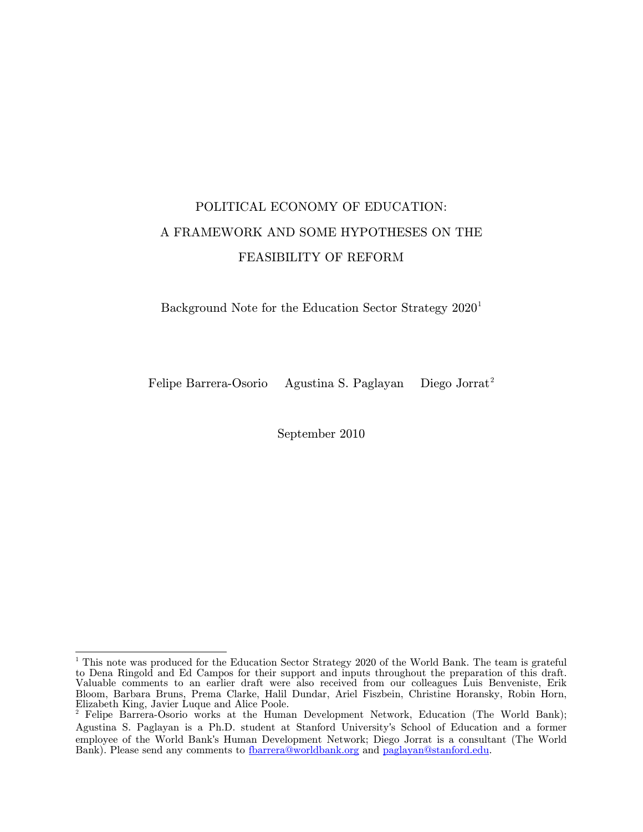# POLITICAL ECONOMY OF EDUCATION: A FRAMEWORK AND SOME HYPOTHESES ON THE FEASIBILITY OF REFORM

Background Note for the Education Sector Strategy 2020<sup>[1](#page-0-0)</sup>

Felipe Barrera-Osorio Agustina S. Paglayan Diego Jorrat<sup>[2](#page-0-1)</sup>

September 2010

<span id="page-0-0"></span><sup>&</sup>lt;sup>1</sup> This note was produced for the Education Sector Strategy 2020 of the World Bank. The team is grateful to Dena Ringold and Ed Campos for their support and inputs throughout the preparation of this draft. Valuable comments to an earlier draft were also received from our colleagues Luis Benveniste, Erik Bloom, Barbara Bruns, Prema Clarke, Halil Dundar, Ariel Fiszbein, Christine Horansky, Robin Horn, Elizabeth King, Javier Luque and Alice Poole.

<span id="page-0-1"></span><sup>&</sup>lt;sup>2</sup> Felipe Barrera-Osorio works at the Human Development Network, Education (The World Bank); Agustina S. Paglayan is a Ph.D. student at Stanford University's School of Education and a former employee of the World Bank's Human Development Network; Diego Jorrat is a consultant (The World Bank). Please send any comments to [fbarrera@worldbank.org](mailto:fbarrera@worldbank.org) and [paglayan@stanford.edu.](mailto:paglayan@stanford.edu)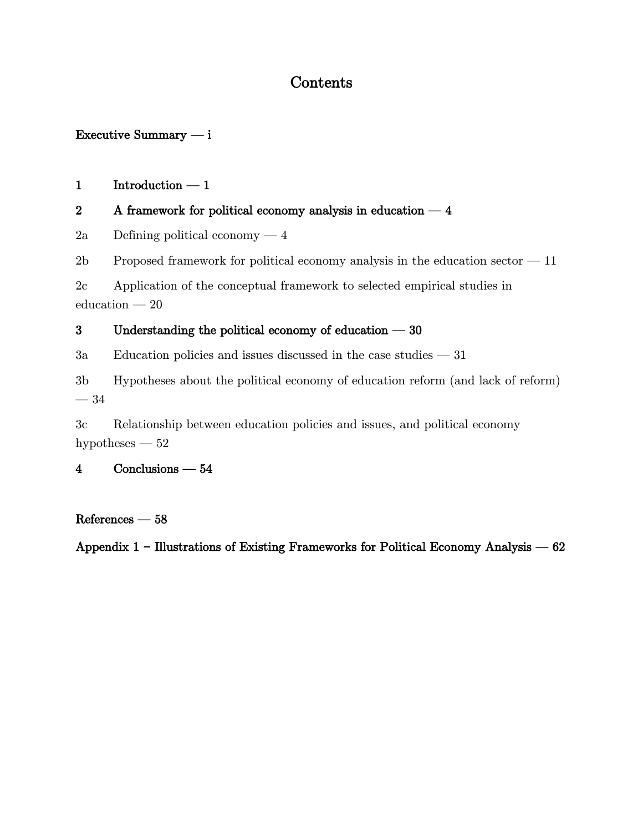## Contents

### Executive Summary  $- i$

### $1$  Introduction  $-1$

### [2 A framework for political economy analysis in education](#page-9-0)  $-4$

[2a](#page-9-1) [Defining political economy](#page-9-1)  $-4$ 

2b Proposed framework for political economy analysis in the education sector  $-11$ 

[2c](#page-25-0) [Application of the conceptual framework to selected empirical studies in](#page-25-0)   $eduction - 20$ 

### [3 Understanding the political economy of education](#page-35-0)  $-30$

 $3a$  [Education policies and issues discussed in the case studies](#page-36-0)  $-31$ 

[3b](#page-39-0) [Hypotheses about the political economy of education reform \(and lack of reform\)](#page-39-0)  $-34$ 

[3c](#page-57-0) [Relationship between education policies and issues, and political economy](#page-57-0)  [hypotheses](#page-57-0) —  $52$ 

### [4 Conclusions](#page-59-0) – 54

#### $References - 58$  $References - 58$

Appendix 1 – Illustrations of Existing Frameworks for Political Economy Analysis – 62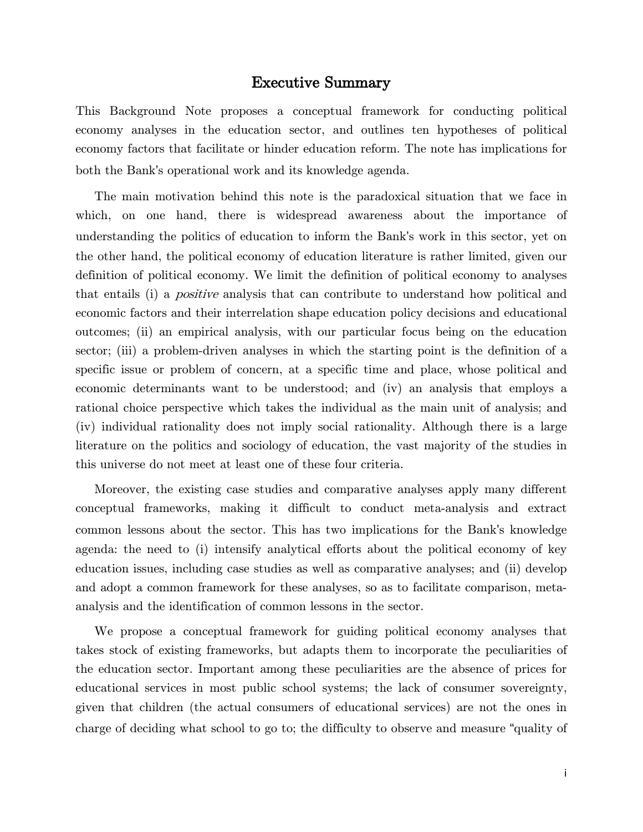#### Executive Summary

<span id="page-2-0"></span>This Background Note proposes a conceptual framework for conducting political economy analyses in the education sector, and outlines ten hypotheses of political economy factors that facilitate or hinder education reform. The note has implications for both the Bank's operational work and its knowledge agenda.

The main motivation behind this note is the paradoxical situation that we face in which, on one hand, there is widespread awareness about the importance of understanding the politics of education to inform the Bank's work in this sector, yet on the other hand, the political economy of education literature is rather limited, given our definition of political economy. We limit the definition of political economy to analyses that entails (i) a positive analysis that can contribute to understand how political and economic factors and their interrelation shape education policy decisions and educational outcomes; (ii) an empirical analysis, with our particular focus being on the education sector; (iii) a problem-driven analyses in which the starting point is the definition of a specific issue or problem of concern, at a specific time and place, whose political and economic determinants want to be understood; and (iv) an analysis that employs a rational choice perspective which takes the individual as the main unit of analysis; and (iv) individual rationality does not imply social rationality. Although there is a large literature on the politics and sociology of education, the vast majority of the studies in this universe do not meet at least one of these four criteria.

Moreover, the existing case studies and comparative analyses apply many different conceptual frameworks, making it difficult to conduct meta-analysis and extract common lessons about the sector. This has two implications for the Bank's knowledge agenda: the need to (i) intensify analytical efforts about the political economy of key education issues, including case studies as well as comparative analyses; and (ii) develop and adopt a common framework for these analyses, so as to facilitate comparison, metaanalysis and the identification of common lessons in the sector.

We propose a conceptual framework for guiding political economy analyses that takes stock of existing frameworks, but adapts them to incorporate the peculiarities of the education sector. Important among these peculiarities are the absence of prices for educational services in most public school systems; the lack of consumer sovereignty, given that children (the actual consumers of educational services) are not the ones in charge of deciding what school to go to; the difficulty to observe and measure "quality of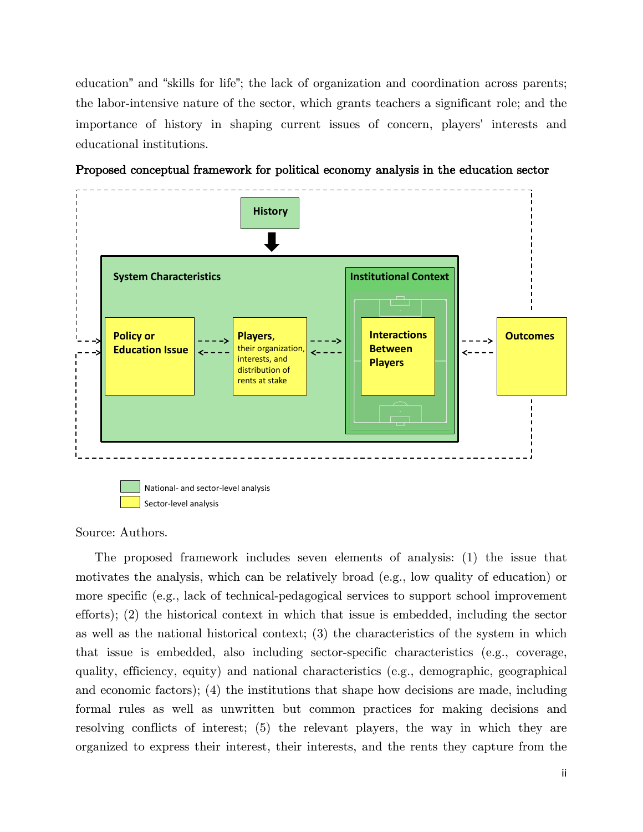education" and "skills for life"; the lack of organization and coordination across parents; the labor-intensive nature of the sector, which grants teachers a significant role; and the importance of history in shaping current issues of concern, players' interests and educational institutions.



Proposed conceptual framework for political economy analysis in the education sector

```
Source: Authors.
```
The proposed framework includes seven elements of analysis: (1) the issue that motivates the analysis, which can be relatively broad (e.g., low quality of education) or more specific (e.g., lack of technical-pedagogical services to support school improvement efforts); (2) the historical context in which that issue is embedded, including the sector as well as the national historical context; (3) the characteristics of the system in which that issue is embedded, also including sector-specific characteristics (e.g., coverage, quality, efficiency, equity) and national characteristics (e.g., demographic, geographical and economic factors); (4) the institutions that shape how decisions are made, including formal rules as well as unwritten but common practices for making decisions and resolving conflicts of interest; (5) the relevant players, the way in which they are organized to express their interest, their interests, and the rents they capture from the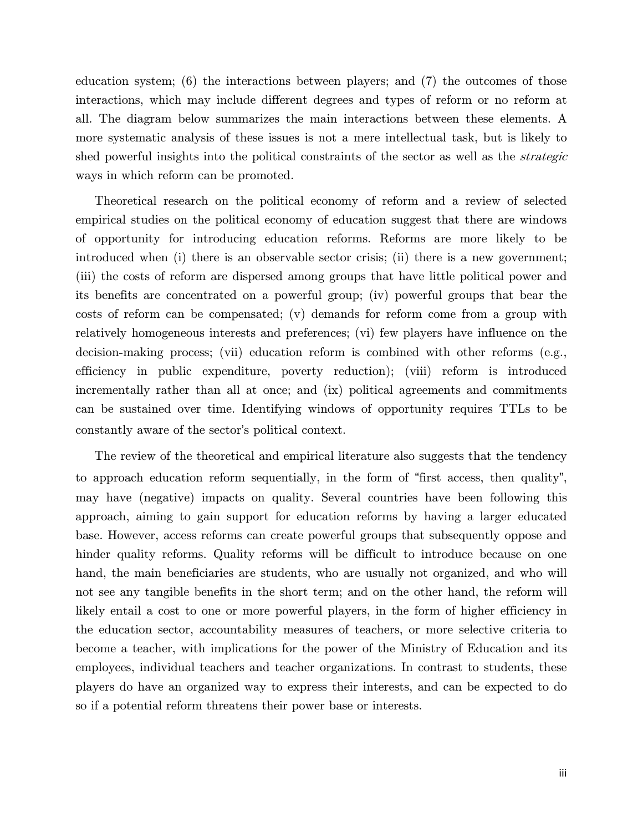education system; (6) the interactions between players; and (7) the outcomes of those interactions, which may include different degrees and types of reform or no reform at all. The diagram below summarizes the main interactions between these elements. A more systematic analysis of these issues is not a mere intellectual task, but is likely to shed powerful insights into the political constraints of the sector as well as the *strategic* ways in which reform can be promoted.

Theoretical research on the political economy of reform and a review of selected empirical studies on the political economy of education suggest that there are windows of opportunity for introducing education reforms. Reforms are more likely to be introduced when (i) there is an observable sector crisis; (ii) there is a new government; (iii) the costs of reform are dispersed among groups that have little political power and its benefits are concentrated on a powerful group; (iv) powerful groups that bear the costs of reform can be compensated; (v) demands for reform come from a group with relatively homogeneous interests and preferences; (vi) few players have influence on the decision-making process; (vii) education reform is combined with other reforms (e.g., efficiency in public expenditure, poverty reduction); (viii) reform is introduced incrementally rather than all at once; and (ix) political agreements and commitments can be sustained over time. Identifying windows of opportunity requires TTLs to be constantly aware of the sector's political context.

The review of the theoretical and empirical literature also suggests that the tendency to approach education reform sequentially, in the form of "first access, then quality", may have (negative) impacts on quality. Several countries have been following this approach, aiming to gain support for education reforms by having a larger educated base. However, access reforms can create powerful groups that subsequently oppose and hinder quality reforms. Quality reforms will be difficult to introduce because on one hand, the main beneficiaries are students, who are usually not organized, and who will not see any tangible benefits in the short term; and on the other hand, the reform will likely entail a cost to one or more powerful players, in the form of higher efficiency in the education sector, accountability measures of teachers, or more selective criteria to become a teacher, with implications for the power of the Ministry of Education and its employees, individual teachers and teacher organizations. In contrast to students, these players do have an organized way to express their interests, and can be expected to do so if a potential reform threatens their power base or interests.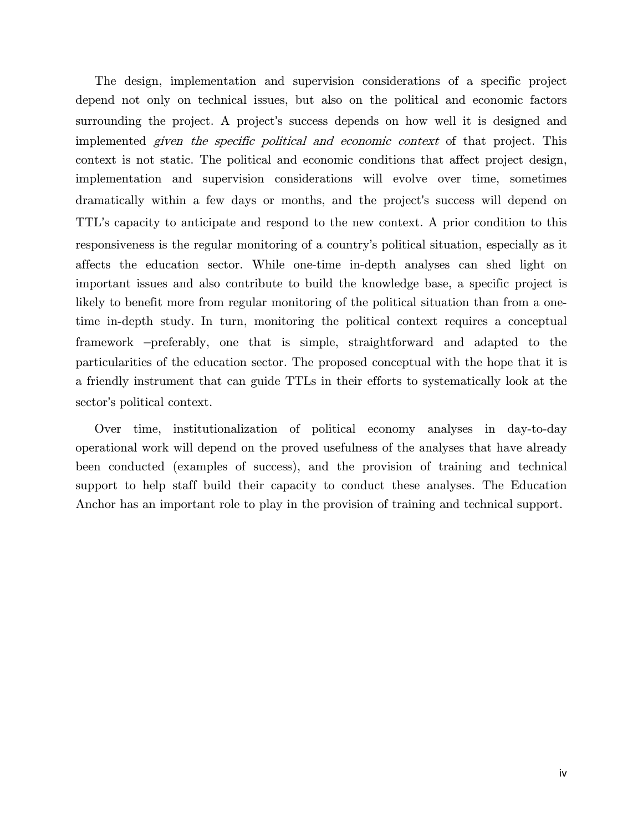The design, implementation and supervision considerations of a specific project depend not only on technical issues, but also on the political and economic factors surrounding the project. A project's success depends on how well it is designed and implemented given the specific political and economic context of that project. This context is not static. The political and economic conditions that affect project design, implementation and supervision considerations will evolve over time, sometimes dramatically within a few days or months, and the project's success will depend on TTL's capacity to anticipate and respond to the new context. A prior condition to this responsiveness is the regular monitoring of a country's political situation, especially as it affects the education sector. While one-time in-depth analyses can shed light on important issues and also contribute to build the knowledge base, a specific project is likely to benefit more from regular monitoring of the political situation than from a onetime in-depth study. In turn, monitoring the political context requires a conceptual framework –preferably, one that is simple, straightforward and adapted to the particularities of the education sector. The proposed conceptual with the hope that it is a friendly instrument that can guide TTLs in their efforts to systematically look at the sector's political context.

Over time, institutionalization of political economy analyses in day-to-day operational work will depend on the proved usefulness of the analyses that have already been conducted (examples of success), and the provision of training and technical support to help staff build their capacity to conduct these analyses. The Education Anchor has an important role to play in the provision of training and technical support.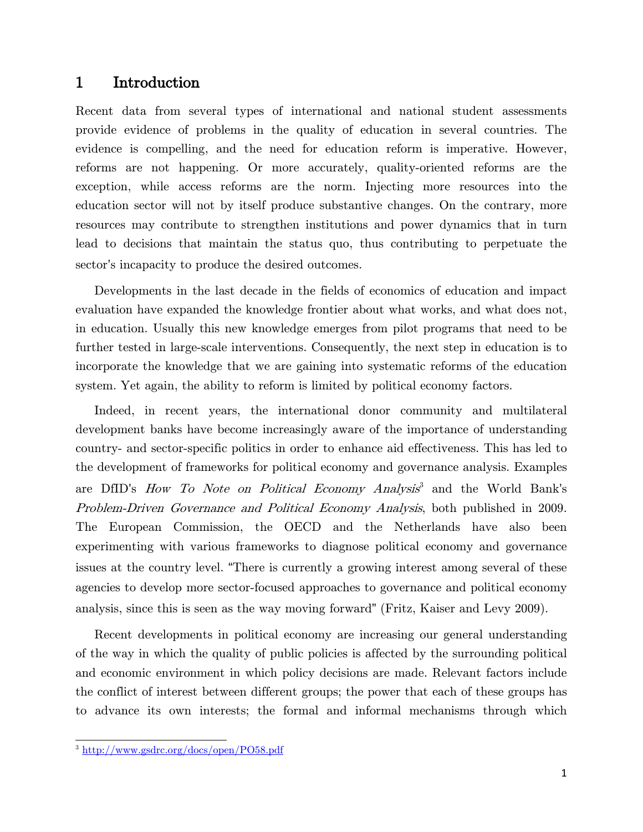#### <span id="page-6-0"></span>1 Introduction

Recent data from several types of international and national student assessments provide evidence of problems in the quality of education in several countries. The evidence is compelling, and the need for education reform is imperative. However, reforms are not happening. Or more accurately, quality-oriented reforms are the exception, while access reforms are the norm. Injecting more resources into the education sector will not by itself produce substantive changes. On the contrary, more resources may contribute to strengthen institutions and power dynamics that in turn lead to decisions that maintain the status quo, thus contributing to perpetuate the sector's incapacity to produce the desired outcomes.

Developments in the last decade in the fields of economics of education and impact evaluation have expanded the knowledge frontier about what works, and what does not, in education. Usually this new knowledge emerges from pilot programs that need to be further tested in large-scale interventions. Consequently, the next step in education is to incorporate the knowledge that we are gaining into systematic reforms of the education system. Yet again, the ability to reform is limited by political economy factors.

Indeed, in recent years, the international donor community and multilateral development banks have become increasingly aware of the importance of understanding country- and sector-specific politics in order to enhance aid effectiveness. This has led to the development of frameworks for political economy and governance analysis. Examples are DfID's How To Note on Political Economy Analysis<sup>[3](#page-6-1)</sup> and the World Bank's Problem-Driven Governance and Political Economy Analysis, both published in 2009. The European Commission, the OECD and the Netherlands have also been experimenting with various frameworks to diagnose political economy and governance issues at the country level. "There is currently a growing interest among several of these agencies to develop more sector-focused approaches to governance and political economy analysis, since this is seen as the way moving forward" (Fritz, Kaiser and Levy 2009).

Recent developments in political economy are increasing our general understanding of the way in which the quality of public policies is affected by the surrounding political and economic environment in which policy decisions are made. Relevant factors include the conflict of interest between different groups; the power that each of these groups has to advance its own interests; the formal and informal mechanisms through which

<span id="page-6-1"></span><sup>3</sup> <http://www.gsdrc.org/docs/open/PO58.pdf>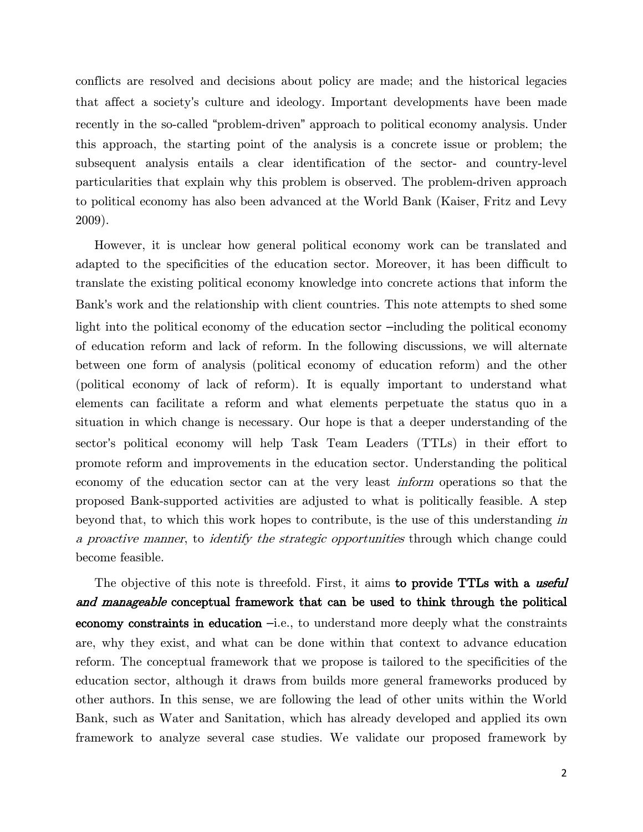conflicts are resolved and decisions about policy are made; and the historical legacies that affect a society's culture and ideology. Important developments have been made recently in the so-called "problem-driven" approach to political economy analysis. Under this approach, the starting point of the analysis is a concrete issue or problem; the subsequent analysis entails a clear identification of the sector- and country-level particularities that explain why this problem is observed. The problem-driven approach to political economy has also been advanced at the World Bank (Kaiser, Fritz and Levy 2009).

However, it is unclear how general political economy work can be translated and adapted to the specificities of the education sector. Moreover, it has been difficult to translate the existing political economy knowledge into concrete actions that inform the Bank's work and the relationship with client countries. This note attempts to shed some light into the political economy of the education sector –including the political economy of education reform and lack of reform. In the following discussions, we will alternate between one form of analysis (political economy of education reform) and the other (political economy of lack of reform). It is equally important to understand what elements can facilitate a reform and what elements perpetuate the status quo in a situation in which change is necessary. Our hope is that a deeper understanding of the sector's political economy will help Task Team Leaders (TTLs) in their effort to promote reform and improvements in the education sector. Understanding the political economy of the education sector can at the very least inform operations so that the proposed Bank-supported activities are adjusted to what is politically feasible. A step beyond that, to which this work hopes to contribute, is the use of this understanding in a proactive manner, to identify the strategic opportunities through which change could become feasible.

The objective of this note is threefold. First, it aims to provide TTLs with a useful and manageable conceptual framework that can be used to think through the political economy constraints in education –i.e., to understand more deeply what the constraints are, why they exist, and what can be done within that context to advance education reform. The conceptual framework that we propose is tailored to the specificities of the education sector, although it draws from builds more general frameworks produced by other authors. In this sense, we are following the lead of other units within the World Bank, such as Water and Sanitation, which has already developed and applied its own framework to analyze several case studies. We validate our proposed framework by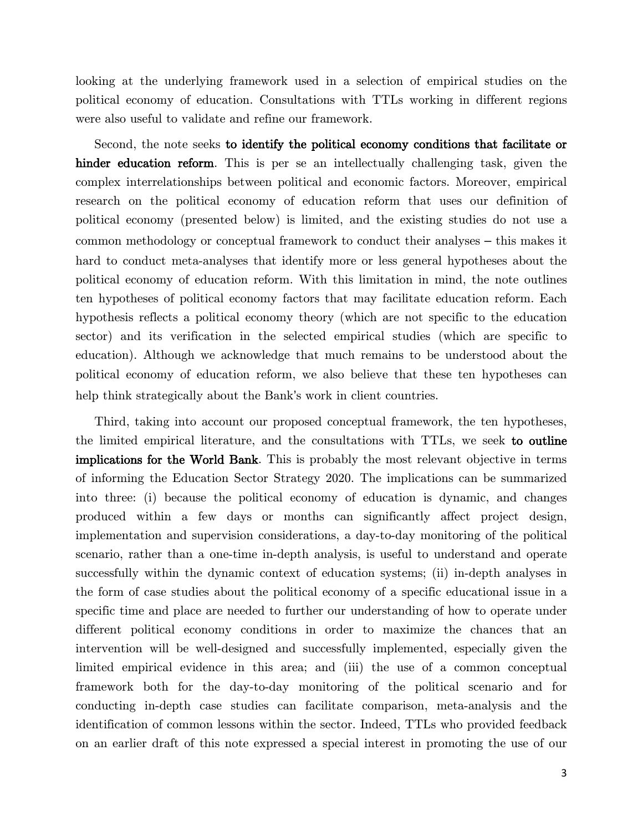looking at the underlying framework used in a selection of empirical studies on the political economy of education. Consultations with TTLs working in different regions were also useful to validate and refine our framework.

Second, the note seeks to identify the political economy conditions that facilitate or hinder education reform. This is per se an intellectually challenging task, given the complex interrelationships between political and economic factors. Moreover, empirical research on the political economy of education reform that uses our definition of political economy (presented below) is limited, and the existing studies do not use a common methodology or conceptual framework to conduct their analyses – this makes it hard to conduct meta-analyses that identify more or less general hypotheses about the political economy of education reform. With this limitation in mind, the note outlines ten hypotheses of political economy factors that may facilitate education reform. Each hypothesis reflects a political economy theory (which are not specific to the education sector) and its verification in the selected empirical studies (which are specific to education). Although we acknowledge that much remains to be understood about the political economy of education reform, we also believe that these ten hypotheses can help think strategically about the Bank's work in client countries.

Third, taking into account our proposed conceptual framework, the ten hypotheses, the limited empirical literature, and the consultations with TTLs, we seek to outline implications for the World Bank. This is probably the most relevant objective in terms of informing the Education Sector Strategy 2020. The implications can be summarized into three: (i) because the political economy of education is dynamic, and changes produced within a few days or months can significantly affect project design, implementation and supervision considerations, a day-to-day monitoring of the political scenario, rather than a one-time in-depth analysis, is useful to understand and operate successfully within the dynamic context of education systems; (ii) in-depth analyses in the form of case studies about the political economy of a specific educational issue in a specific time and place are needed to further our understanding of how to operate under different political economy conditions in order to maximize the chances that an intervention will be well-designed and successfully implemented, especially given the limited empirical evidence in this area; and (iii) the use of a common conceptual framework both for the day-to-day monitoring of the political scenario and for conducting in-depth case studies can facilitate comparison, meta-analysis and the identification of common lessons within the sector. Indeed, TTLs who provided feedback on an earlier draft of this note expressed a special interest in promoting the use of our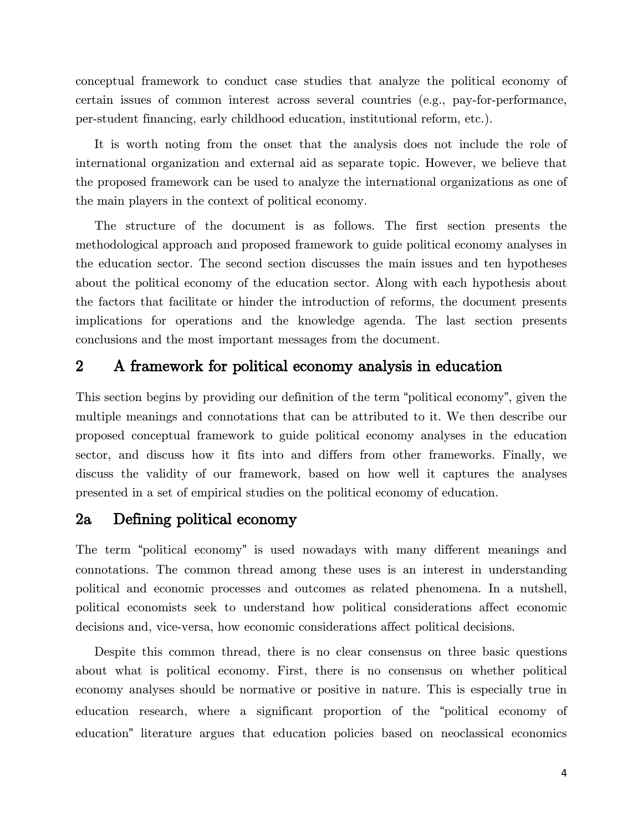conceptual framework to conduct case studies that analyze the political economy of certain issues of common interest across several countries (e.g., pay-for-performance, per-student financing, early childhood education, institutional reform, etc.).

It is worth noting from the onset that the analysis does not include the role of international organization and external aid as separate topic. However, we believe that the proposed framework can be used to analyze the international organizations as one of the main players in the context of political economy.

The structure of the document is as follows. The first section presents the methodological approach and proposed framework to guide political economy analyses in the education sector. The second section discusses the main issues and ten hypotheses about the political economy of the education sector. Along with each hypothesis about the factors that facilitate or hinder the introduction of reforms, the document presents implications for operations and the knowledge agenda. The last section presents conclusions and the most important messages from the document.

### <span id="page-9-0"></span>2 A framework for political economy analysis in education

This section begins by providing our definition of the term "political economy", given the multiple meanings and connotations that can be attributed to it. We then describe our proposed conceptual framework to guide political economy analyses in the education sector, and discuss how it fits into and differs from other frameworks. Finally, we discuss the validity of our framework, based on how well it captures the analyses presented in a set of empirical studies on the political economy of education.

## <span id="page-9-1"></span>2a Defining political economy

The term "political economy" is used nowadays with many different meanings and connotations. The common thread among these uses is an interest in understanding political and economic processes and outcomes as related phenomena. In a nutshell, political economists seek to understand how political considerations affect economic decisions and, vice-versa, how economic considerations affect political decisions.

Despite this common thread, there is no clear consensus on three basic questions about what is political economy. First, there is no consensus on whether political economy analyses should be normative or positive in nature. This is especially true in education research, where a significant proportion of the "political economy of education" literature argues that education policies based on neoclassical economics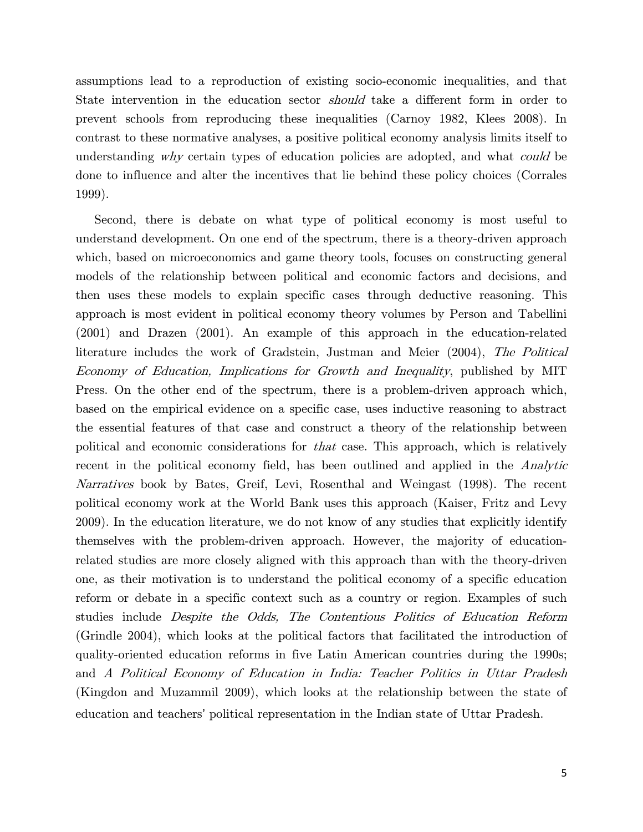assumptions lead to a reproduction of existing socio-economic inequalities, and that State intervention in the education sector *should* take a different form in order to prevent schools from reproducing these inequalities (Carnoy 1982, Klees 2008). In contrast to these normative analyses, a positive political economy analysis limits itself to understanding why certain types of education policies are adopted, and what *could* be done to influence and alter the incentives that lie behind these policy choices (Corrales 1999).

Second, there is debate on what type of political economy is most useful to understand development. On one end of the spectrum, there is a theory-driven approach which, based on microeconomics and game theory tools, focuses on constructing general models of the relationship between political and economic factors and decisions, and then uses these models to explain specific cases through deductive reasoning. This approach is most evident in political economy theory volumes by Person and Tabellini (2001) and Drazen (2001). An example of this approach in the education-related literature includes the work of Gradstein, Justman and Meier (2004), The Political Economy of Education, Implications for Growth and Inequality, published by MIT Press. On the other end of the spectrum, there is a problem-driven approach which, based on the empirical evidence on a specific case, uses inductive reasoning to abstract the essential features of that case and construct a theory of the relationship between political and economic considerations for that case. This approach, which is relatively recent in the political economy field, has been outlined and applied in the *Analytic* Narratives book by Bates, Greif, Levi, Rosenthal and Weingast (1998). The recent political economy work at the World Bank uses this approach (Kaiser, Fritz and Levy 2009). In the education literature, we do not know of any studies that explicitly identify themselves with the problem-driven approach. However, the majority of educationrelated studies are more closely aligned with this approach than with the theory-driven one, as their motivation is to understand the political economy of a specific education reform or debate in a specific context such as a country or region. Examples of such studies include Despite the Odds, The Contentious Politics of Education Reform (Grindle 2004), which looks at the political factors that facilitated the introduction of quality-oriented education reforms in five Latin American countries during the 1990s; and A Political Economy of Education in India: Teacher Politics in Uttar Pradesh (Kingdon and Muzammil 2009), which looks at the relationship between the state of education and teachers' political representation in the Indian state of Uttar Pradesh.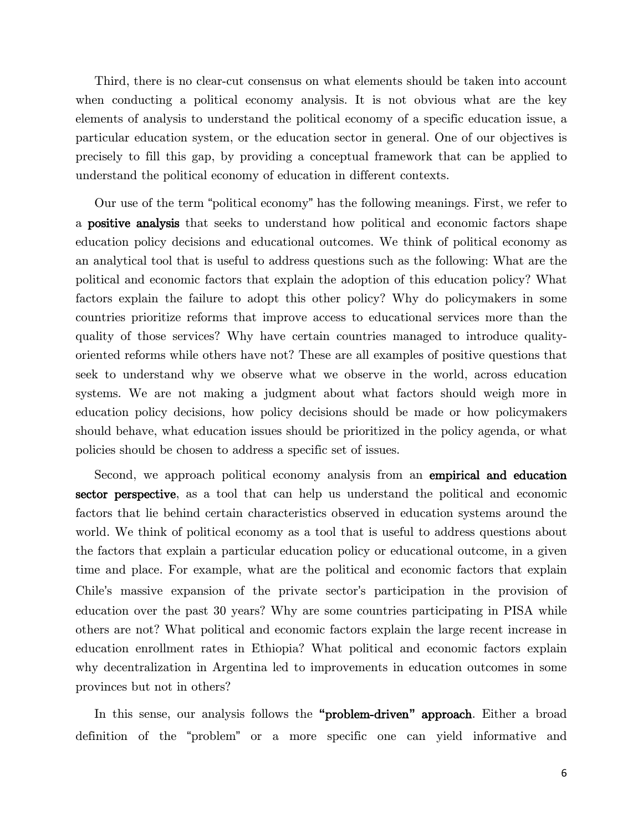Third, there is no clear-cut consensus on what elements should be taken into account when conducting a political economy analysis. It is not obvious what are the key elements of analysis to understand the political economy of a specific education issue, a particular education system, or the education sector in general. One of our objectives is precisely to fill this gap, by providing a conceptual framework that can be applied to understand the political economy of education in different contexts.

Our use of the term "political economy" has the following meanings. First, we refer to a positive analysis that seeks to understand how political and economic factors shape education policy decisions and educational outcomes. We think of political economy as an analytical tool that is useful to address questions such as the following: What are the political and economic factors that explain the adoption of this education policy? What factors explain the failure to adopt this other policy? Why do policymakers in some countries prioritize reforms that improve access to educational services more than the quality of those services? Why have certain countries managed to introduce qualityoriented reforms while others have not? These are all examples of positive questions that seek to understand why we observe what we observe in the world, across education systems. We are not making a judgment about what factors should weigh more in education policy decisions, how policy decisions should be made or how policymakers should behave, what education issues should be prioritized in the policy agenda, or what policies should be chosen to address a specific set of issues.

Second, we approach political economy analysis from an empirical and education sector perspective, as a tool that can help us understand the political and economic factors that lie behind certain characteristics observed in education systems around the world. We think of political economy as a tool that is useful to address questions about the factors that explain a particular education policy or educational outcome, in a given time and place. For example, what are the political and economic factors that explain Chile's massive expansion of the private sector's participation in the provision of education over the past 30 years? Why are some countries participating in PISA while others are not? What political and economic factors explain the large recent increase in education enrollment rates in Ethiopia? What political and economic factors explain why decentralization in Argentina led to improvements in education outcomes in some provinces but not in others?

In this sense, our analysis follows the **"**problem-driven**"** approach. Either a broad definition of the "problem" or a more specific one can yield informative and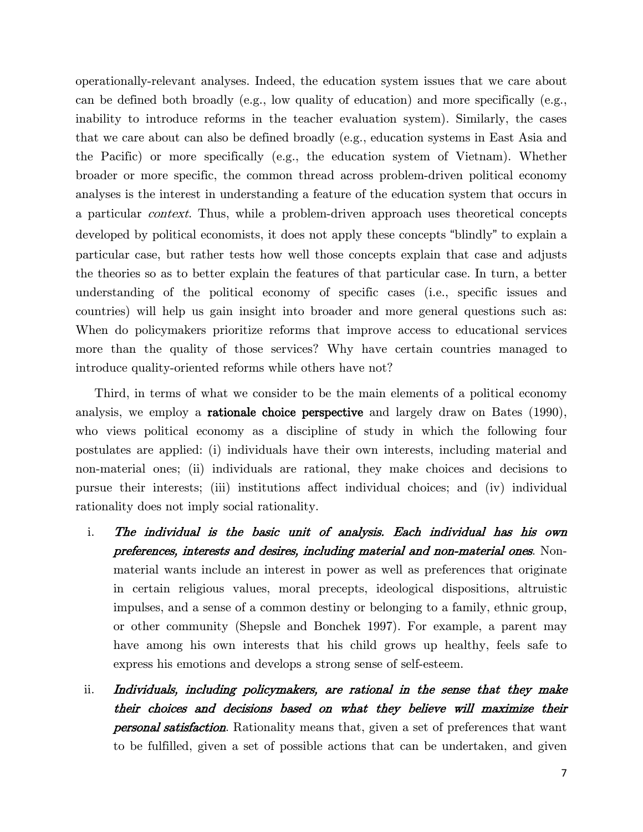operationally-relevant analyses. Indeed, the education system issues that we care about can be defined both broadly (e.g., low quality of education) and more specifically (e.g., inability to introduce reforms in the teacher evaluation system). Similarly, the cases that we care about can also be defined broadly (e.g., education systems in East Asia and the Pacific) or more specifically (e.g., the education system of Vietnam). Whether broader or more specific, the common thread across problem-driven political economy analyses is the interest in understanding a feature of the education system that occurs in a particular context. Thus, while a problem-driven approach uses theoretical concepts developed by political economists, it does not apply these concepts "blindly" to explain a particular case, but rather tests how well those concepts explain that case and adjusts the theories so as to better explain the features of that particular case. In turn, a better understanding of the political economy of specific cases (i.e., specific issues and countries) will help us gain insight into broader and more general questions such as: When do policymakers prioritize reforms that improve access to educational services more than the quality of those services? Why have certain countries managed to introduce quality-oriented reforms while others have not?

Third, in terms of what we consider to be the main elements of a political economy analysis, we employ a rationale choice perspective and largely draw on Bates (1990), who views political economy as a discipline of study in which the following four postulates are applied: (i) individuals have their own interests, including material and non-material ones; (ii) individuals are rational, they make choices and decisions to pursue their interests; (iii) institutions affect individual choices; and (iv) individual rationality does not imply social rationality.

- i. The individual is the basic unit of analysis. Each individual has his own preferences, interests and desires, including material and non-material ones. Nonmaterial wants include an interest in power as well as preferences that originate in certain religious values, moral precepts, ideological dispositions, altruistic impulses, and a sense of a common destiny or belonging to a family, ethnic group, or other community (Shepsle and Bonchek 1997). For example, a parent may have among his own interests that his child grows up healthy, feels safe to express his emotions and develops a strong sense of self-esteem.
- ii. Individuals, including policymakers, are rational in the sense that they make their choices and decisions based on what they believe will maximize their **personal satisfaction**. Rationality means that, given a set of preferences that want to be fulfilled, given a set of possible actions that can be undertaken, and given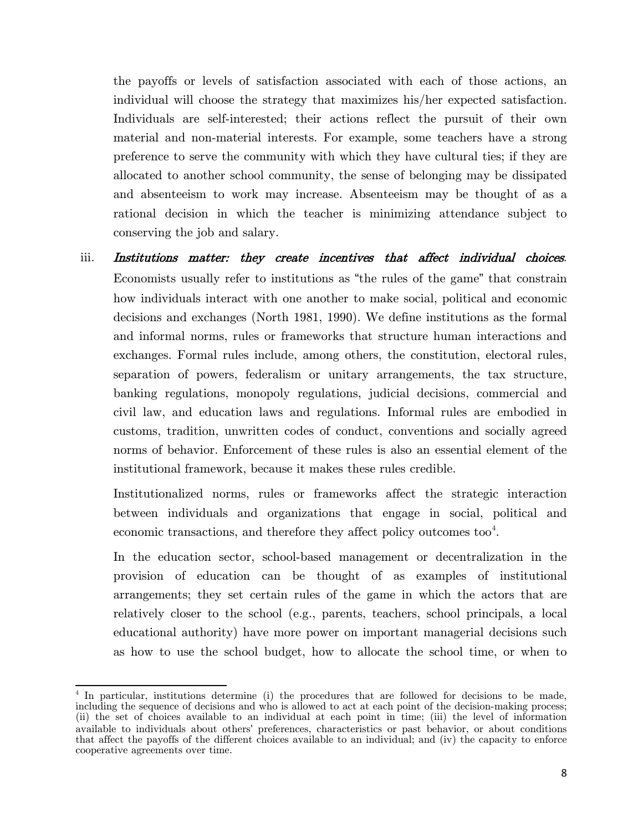the payoffs or levels of satisfaction associated with each of those actions, an individual will choose the strategy that maximizes his/her expected satisfaction. Individuals are self-interested; their actions reflect the pursuit of their own material and non-material interests. For example, some teachers have a strong preference to serve the community with which they have cultural ties; if they are allocated to another school community, the sense of belonging may be dissipated and absenteeism to work may increase. Absenteeism may be thought of as a rational decision in which the teacher is minimizing attendance subject to conserving the job and salary.

iii. Institutions matter: they create incentives that affect individual choices. Economists usually refer to institutions as "the rules of the game" that constrain how individuals interact with one another to make social, political and economic decisions and exchanges (North 1981, 1990). We define institutions as the formal and informal norms, rules or frameworks that structure human interactions and exchanges. Formal rules include, among others, the constitution, electoral rules, separation of powers, federalism or unitary arrangements, the tax structure, banking regulations, monopoly regulations, judicial decisions, commercial and civil law, and education laws and regulations. Informal rules are embodied in customs, tradition, unwritten codes of conduct, conventions and socially agreed norms of behavior. Enforcement of these rules is also an essential element of the institutional framework, because it makes these rules credible.

Institutionalized norms, rules or frameworks affect the strategic interaction between individuals and organizations that engage in social, political and economic transactions, and therefore they affect policy outcomes too<sup>[4](#page-13-0)</sup>.

In the education sector, school-based management or decentralization in the provision of education can be thought of as examples of institutional arrangements; they set certain rules of the game in which the actors that are relatively closer to the school (e.g., parents, teachers, school principals, a local educational authority) have more power on important managerial decisions such as how to use the school budget, how to allocate the school time, or when to

<span id="page-13-0"></span><sup>4</sup> In particular, institutions determine (i) the procedures that are followed for decisions to be made, including the sequence of decisions and who is allowed to act at each point of the decision-making process; (ii) the set of choices available to an individual at each point in time; (iii) the level of information available to individuals about others' preferences, characteristics or past behavior, or about conditions that affect the payoffs of the different choices available to an individual; and (iv) the capacity to enforce cooperative agreements over time.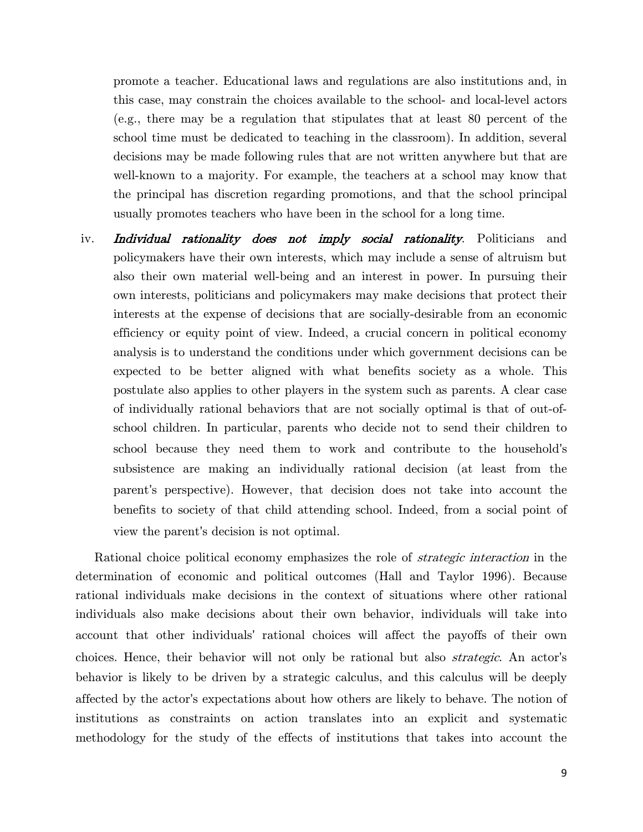promote a teacher. Educational laws and regulations are also institutions and, in this case, may constrain the choices available to the school- and local-level actors (e.g., there may be a regulation that stipulates that at least 80 percent of the school time must be dedicated to teaching in the classroom). In addition, several decisions may be made following rules that are not written anywhere but that are well-known to a majority. For example, the teachers at a school may know that the principal has discretion regarding promotions, and that the school principal usually promotes teachers who have been in the school for a long time.

iv. **Individual rationality does not imply social rationality**. Politicians and policymakers have their own interests, which may include a sense of altruism but also their own material well-being and an interest in power. In pursuing their own interests, politicians and policymakers may make decisions that protect their interests at the expense of decisions that are socially-desirable from an economic efficiency or equity point of view. Indeed, a crucial concern in political economy analysis is to understand the conditions under which government decisions can be expected to be better aligned with what benefits society as a whole. This postulate also applies to other players in the system such as parents. A clear case of individually rational behaviors that are not socially optimal is that of out-ofschool children. In particular, parents who decide not to send their children to school because they need them to work and contribute to the household's subsistence are making an individually rational decision (at least from the parent's perspective). However, that decision does not take into account the benefits to society of that child attending school. Indeed, from a social point of view the parent's decision is not optimal.

Rational choice political economy emphasizes the role of *strategic interaction* in the determination of economic and political outcomes (Hall and Taylor 1996). Because rational individuals make decisions in the context of situations where other rational individuals also make decisions about their own behavior, individuals will take into account that other individuals' rational choices will affect the payoffs of their own choices. Hence, their behavior will not only be rational but also strategic. An actor's behavior is likely to be driven by a strategic calculus, and this calculus will be deeply affected by the actor's expectations about how others are likely to behave. The notion of institutions as constraints on action translates into an explicit and systematic methodology for the study of the effects of institutions that takes into account the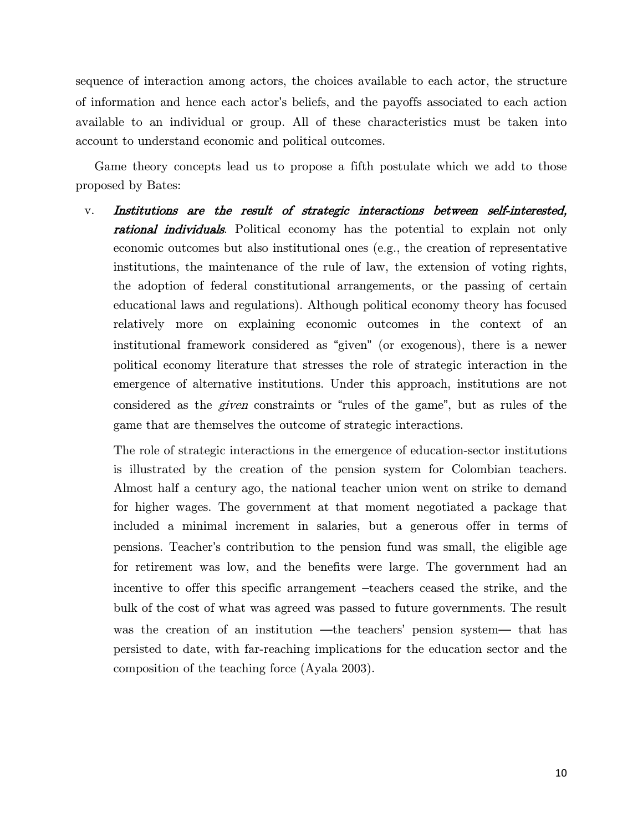sequence of interaction among actors, the choices available to each actor, the structure of information and hence each actor's beliefs, and the payoffs associated to each action available to an individual or group. All of these characteristics must be taken into account to understand economic and political outcomes.

Game theory concepts lead us to propose a fifth postulate which we add to those proposed by Bates:

v. Institutions are the result of strategic interactions between self-interested, **rational individuals**. Political economy has the potential to explain not only economic outcomes but also institutional ones (e.g., the creation of representative institutions, the maintenance of the rule of law, the extension of voting rights, the adoption of federal constitutional arrangements, or the passing of certain educational laws and regulations). Although political economy theory has focused relatively more on explaining economic outcomes in the context of an institutional framework considered as "given" (or exogenous), there is a newer political economy literature that stresses the role of strategic interaction in the emergence of alternative institutions. Under this approach, institutions are not considered as the given constraints or "rules of the game", but as rules of the game that are themselves the outcome of strategic interactions.

The role of strategic interactions in the emergence of education-sector institutions is illustrated by the creation of the pension system for Colombian teachers. Almost half a century ago, the national teacher union went on strike to demand for higher wages. The government at that moment negotiated a package that included a minimal increment in salaries, but a generous offer in terms of pensions. Teacher's contribution to the pension fund was small, the eligible age for retirement was low, and the benefits were large. The government had an incentive to offer this specific arrangement –teachers ceased the strike, and the bulk of the cost of what was agreed was passed to future governments. The result was the creation of an institution —the teachers' pension system— that has persisted to date, with far-reaching implications for the education sector and the composition of the teaching force (Ayala 2003).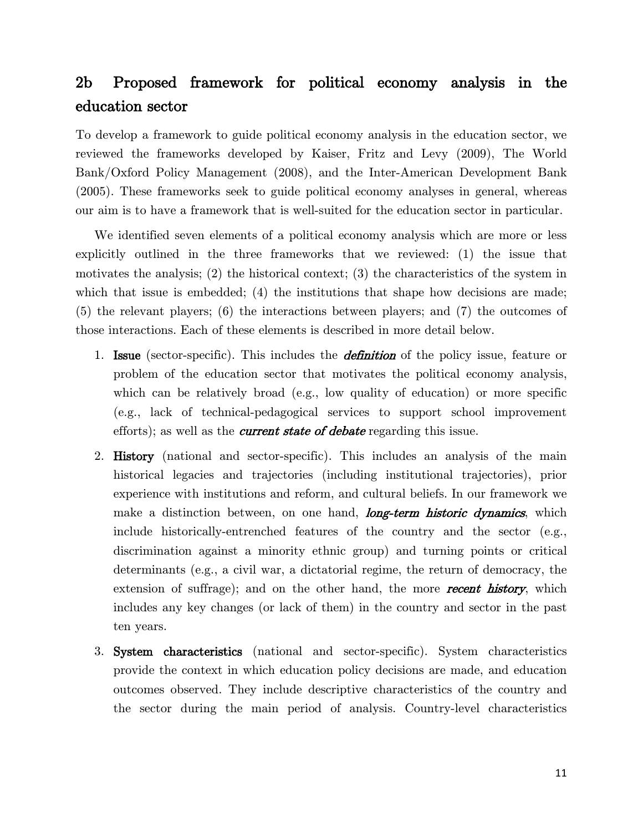# 2b Proposed framework for political economy analysis in the education sector

To develop a framework to guide political economy analysis in the education sector, we reviewed the frameworks developed by Kaiser, Fritz and Levy (2009), The World Bank/Oxford Policy Management (2008), and the Inter-American Development Bank (2005). These frameworks seek to guide political economy analyses in general, whereas our aim is to have a framework that is well-suited for the education sector in particular.

We identified seven elements of a political economy analysis which are more or less explicitly outlined in the three frameworks that we reviewed: (1) the issue that motivates the analysis; (2) the historical context; (3) the characteristics of the system in which that issue is embedded; (4) the institutions that shape how decisions are made; (5) the relevant players; (6) the interactions between players; and (7) the outcomes of those interactions. Each of these elements is described in more detail below.

- 1. **Issue** (sector-specific). This includes the *definition* of the policy issue, feature or problem of the education sector that motivates the political economy analysis, which can be relatively broad (e.g., low quality of education) or more specific (e.g., lack of technical-pedagogical services to support school improvement efforts); as well as the *current state of debate* regarding this issue.
- 2. **History** (national and sector-specific). This includes an analysis of the main historical legacies and trajectories (including institutional trajectories), prior experience with institutions and reform, and cultural beliefs. In our framework we make a distinction between, on one hand, *long-term historic dynamics*, which include historically-entrenched features of the country and the sector (e.g., discrimination against a minority ethnic group) and turning points or critical determinants (e.g., a civil war, a dictatorial regime, the return of democracy, the extension of suffrage); and on the other hand, the more **recent history**, which includes any key changes (or lack of them) in the country and sector in the past ten years.
- 3. System characteristics (national and sector-specific). System characteristics provide the context in which education policy decisions are made, and education outcomes observed. They include descriptive characteristics of the country and the sector during the main period of analysis. Country-level characteristics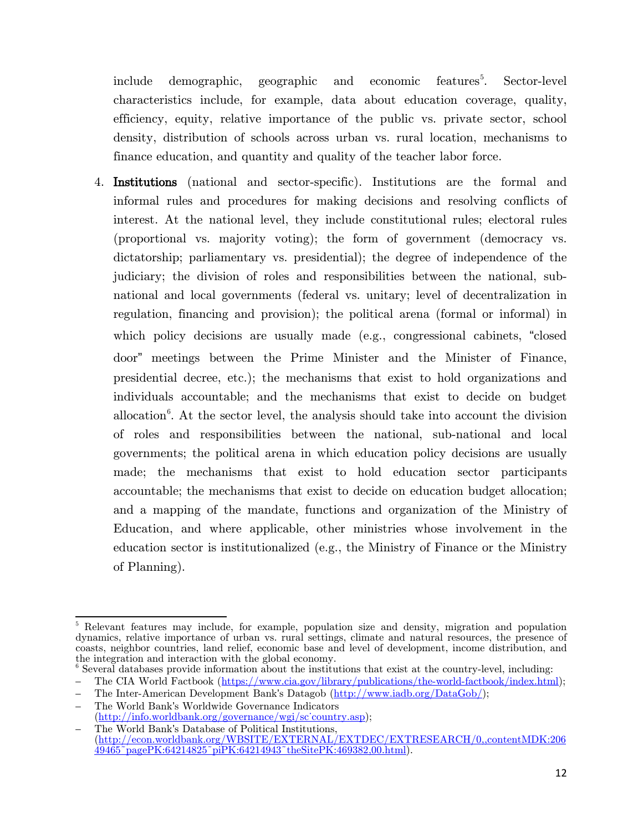include demographic, geographic and economic features<sup>[5](#page-17-0)</sup>. . Sector-level characteristics include, for example, data about education coverage, quality, efficiency, equity, relative importance of the public vs. private sector, school density, distribution of schools across urban vs. rural location, mechanisms to finance education, and quantity and quality of the teacher labor force.

4. Institutions (national and sector-specific). Institutions are the formal and informal rules and procedures for making decisions and resolving conflicts of interest. At the national level, they include constitutional rules; electoral rules (proportional vs. majority voting); the form of government (democracy vs. dictatorship; parliamentary vs. presidential); the degree of independence of the judiciary; the division of roles and responsibilities between the national, subnational and local governments (federal vs. unitary; level of decentralization in regulation, financing and provision); the political arena (formal or informal) in which policy decisions are usually made (e.g., congressional cabinets, "closed door" meetings between the Prime Minister and the Minister of Finance, presidential decree, etc.); the mechanisms that exist to hold organizations and individuals accountable; and the mechanisms that exist to decide on budget allocation<sup>[6](#page-17-1)</sup>. At the sector level, the analysis should take into account the division of roles and responsibilities between the national, sub-national and local governments; the political arena in which education policy decisions are usually made; the mechanisms that exist to hold education sector participants accountable; the mechanisms that exist to decide on education budget allocation; and a mapping of the mandate, functions and organization of the Ministry of Education, and where applicable, other ministries whose involvement in the education sector is institutionalized (e.g., the Ministry of Finance or the Ministry of Planning).

<span id="page-17-0"></span><sup>&</sup>lt;sup>5</sup> Relevant features may include, for example, population size and density, migration and population dynamics, relative importance of urban vs. rural settings, climate and natural resources, the presence of coasts, neighbor countries, land relief, economic base and level of development, income distribution, and the integration and interaction with the global economy.

<span id="page-17-1"></span> $6$  Several databases provide information about the institutions that exist at the country-level, including:

<sup>–</sup> The CIA World Factbook [\(https://www.cia.gov/library/publications/the-world-factbook/index.html\)](https://www.cia.gov/library/publications/the-world-factbook/index.html);

<sup>–</sup> The Inter-American Development Bank's Datagob [\(http://www.iadb.org/DataGob/\)](http://www.iadb.org/DataGob/);

<sup>–</sup> The World Bank's Worldwide Governance Indicators (http://info.worldbank.org/governance/wgi/sc<sup>-</sup>country.asp);

<sup>–</sup> The World Bank's Database of Political Institutions, [\(http://econ.worldbank.org/WBSITE/EXTERNAL/EXTDEC/EXTRESEARCH/0,,contentMDK:206](http://econ.worldbank.org/WBSITE/EXTERNAL/EXTDEC/EXTRESEARCH/0,,contentMDK:20649465%7EpagePK:64214825%7EpiPK:64214943%7EtheSitePK:469382,00.html)  $49465\degree$ pagePK:64214825 $\degree$ piPK:64214943 $\degree$ theSitePK:469382,00.html).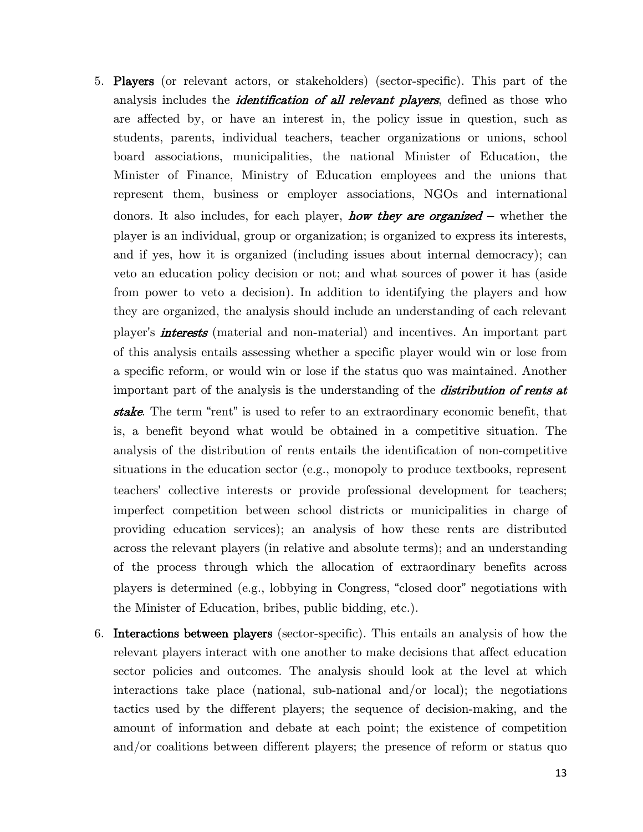5. Players (or relevant actors, or stakeholders) (sector-specific). This part of the analysis includes the *identification of all relevant players*, defined as those who are affected by, or have an interest in, the policy issue in question, such as students, parents, individual teachers, teacher organizations or unions, school board associations, municipalities, the national Minister of Education, the Minister of Finance, Ministry of Education employees and the unions that represent them, business or employer associations, NGOs and international donors. It also includes, for each player, **how they are organized** – whether the player is an individual, group or organization; is organized to express its interests, and if yes, how it is organized (including issues about internal democracy); can veto an education policy decision or not; and what sources of power it has (aside from power to veto a decision). In addition to identifying the players and how they are organized, the analysis should include an understanding of each relevant player's **interests** (material and non-material) and incentives. An important part of this analysis entails assessing whether a specific player would win or lose from a specific reform, or would win or lose if the status quo was maintained. Another important part of the analysis is the understanding of the *distribution of rents at* 

stake. The term "rent" is used to refer to an extraordinary economic benefit, that is, a benefit beyond what would be obtained in a competitive situation. The analysis of the distribution of rents entails the identification of non-competitive situations in the education sector (e.g., monopoly to produce textbooks, represent teachers' collective interests or provide professional development for teachers; imperfect competition between school districts or municipalities in charge of providing education services); an analysis of how these rents are distributed across the relevant players (in relative and absolute terms); and an understanding of the process through which the allocation of extraordinary benefits across players is determined (e.g., lobbying in Congress, "closed door" negotiations with the Minister of Education, bribes, public bidding, etc.).

6. Interactions between players (sector-specific). This entails an analysis of how the relevant players interact with one another to make decisions that affect education sector policies and outcomes. The analysis should look at the level at which interactions take place (national, sub-national and/or local); the negotiations tactics used by the different players; the sequence of decision-making, and the amount of information and debate at each point; the existence of competition and/or coalitions between different players; the presence of reform or status quo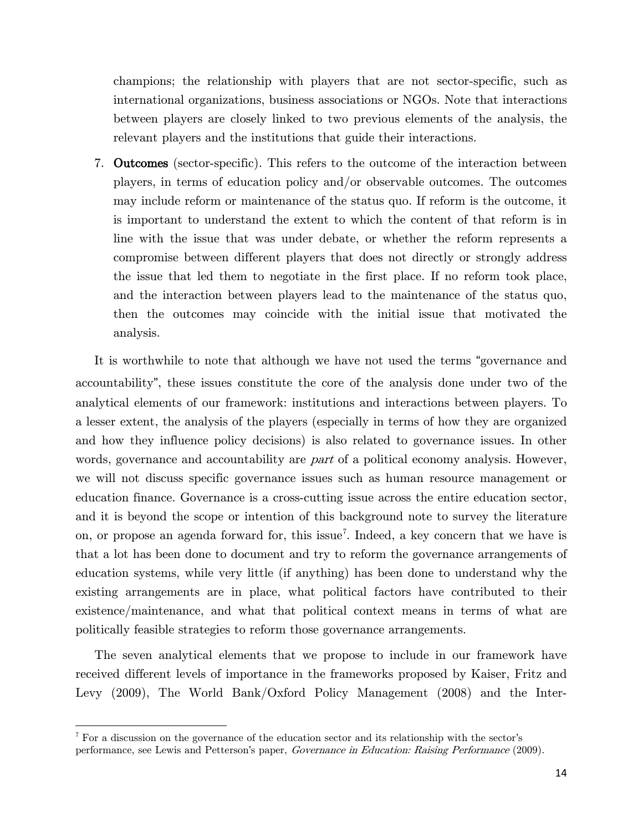champions; the relationship with players that are not sector-specific, such as international organizations, business associations or NGOs. Note that interactions between players are closely linked to two previous elements of the analysis, the relevant players and the institutions that guide their interactions.

7. Outcomes (sector-specific). This refers to the outcome of the interaction between players, in terms of education policy and/or observable outcomes. The outcomes may include reform or maintenance of the status quo. If reform is the outcome, it is important to understand the extent to which the content of that reform is in line with the issue that was under debate, or whether the reform represents a compromise between different players that does not directly or strongly address the issue that led them to negotiate in the first place. If no reform took place, and the interaction between players lead to the maintenance of the status quo, then the outcomes may coincide with the initial issue that motivated the analysis.

It is worthwhile to note that although we have not used the terms "governance and accountability", these issues constitute the core of the analysis done under two of the analytical elements of our framework: institutions and interactions between players. To a lesser extent, the analysis of the players (especially in terms of how they are organized and how they influence policy decisions) is also related to governance issues. In other words, governance and accountability are *part* of a political economy analysis. However, we will not discuss specific governance issues such as human resource management or education finance. Governance is a cross-cutting issue across the entire education sector, and it is beyond the scope or intention of this background note to survey the literature on, or propose an agenda forward for, this issue<sup>[7](#page-19-0)</sup>. Indeed, a key concern that we have is that a lot has been done to document and try to reform the governance arrangements of education systems, while very little (if anything) has been done to understand why the existing arrangements are in place, what political factors have contributed to their existence/maintenance, and what that political context means in terms of what are politically feasible strategies to reform those governance arrangements.

The seven analytical elements that we propose to include in our framework have received different levels of importance in the frameworks proposed by Kaiser, Fritz and Levy (2009), The World Bank/Oxford Policy Management (2008) and the Inter-

l

<span id="page-19-0"></span><sup>&</sup>lt;sup>7</sup> For a discussion on the governance of the education sector and its relationship with the sector's performance, see Lewis and Petterson's paper, Governance in Education: Raising Performance (2009).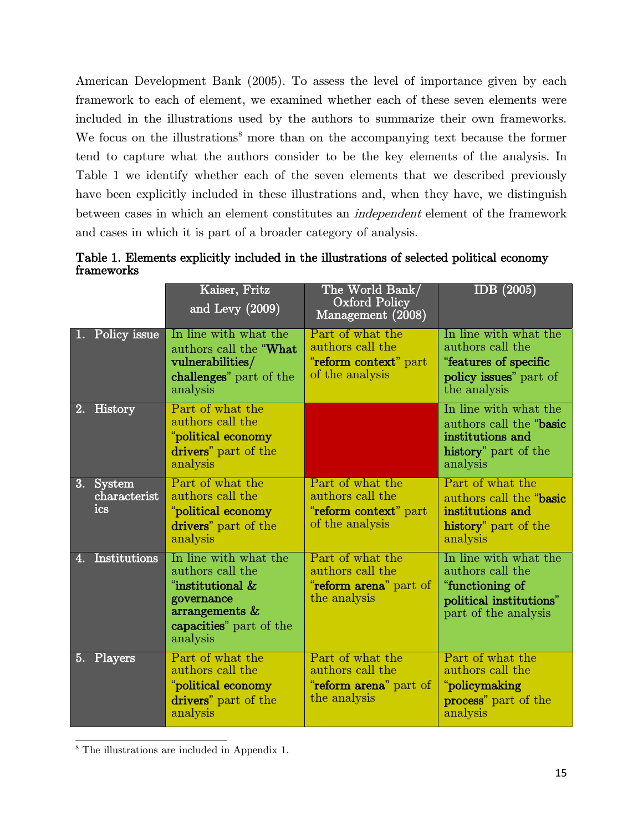American Development Bank (2005). To assess the level of importance given by each framework to each of element, we examined whether each of these seven elements were included in the illustrations used by the authors to summarize their own frameworks. We focus on the illustrations<sup>[8](#page-20-1)</sup> more than on the accompanying text because the former tend to capture what the authors consider to be the key elements of the analysis. In [Table 1](#page-20-0) we identify whether each of the seven elements that we described previously have been explicitly included in these illustrations and, when they have, we distinguish between cases in which an element constitutes an independent element of the framework and cases in which it is part of a broader category of analysis.

<span id="page-20-0"></span>

|            |  |  | Table 1. Elements explicitly included in the illustrations of selected political economy |  |  |
|------------|--|--|------------------------------------------------------------------------------------------|--|--|
| frameworks |  |  |                                                                                          |  |  |

|    |                                  | Kaiser, Fritz<br>and Levy (2009)                                                                                                        | The World Bank/<br><b>Oxford Policy</b><br>Management (2008)                     | IDB $(2005)$                                                                                                    |
|----|----------------------------------|-----------------------------------------------------------------------------------------------------------------------------------------|----------------------------------------------------------------------------------|-----------------------------------------------------------------------------------------------------------------|
| Ш. | Policy issue                     | In line with what the<br>authors call the "What<br>vulnerabilities/<br>challenges" part of the<br>analysis                              | Part of what the<br>authors call the<br>"reform context" part<br>of the analysis | In line with what the<br>authors call the<br>"features of specific<br>policy issues" part of<br>the analysis    |
|    | 2. History                       | Part of what the<br>authors call the<br>"political economy<br>drivers" part of the<br>analysis                                          |                                                                                  | In line with what the<br>authors call the "basic<br>institutions and<br>history" part of the<br>analysis        |
|    | 3. System<br>characterist<br>ics | Part of what the<br>authors call the<br>"political economy<br>drivers" part of the<br>analysis                                          | Part of what the<br>authors call the<br>"reform context" part<br>of the analysis | Part of what the<br>authors call the "basic<br>institutions and<br>history" part of the<br>analysis             |
| 4. | <b>Institutions</b>              | In line with what the<br>authors call the<br>"institutional &<br>governance<br>$arrangements \&$<br>capacities" part of the<br>analysis | Part of what the<br>authors call the<br>"reform arena" part of<br>the analysis   | In line with what the<br>authors call the<br>"functioning of<br>political institutions"<br>part of the analysis |
|    | 5. Players                       | Part of what the<br>authors call the<br>"political economy<br>drivers" part of the<br>analysis                                          | Part of what the<br>authors call the<br>"reform arena" part of<br>the analysis   | Part of what the<br>authors call the<br>"policymaking<br>process" part of the<br>analysis                       |

<span id="page-20-1"></span><sup>8</sup> The illustrations are included in Appendix 1.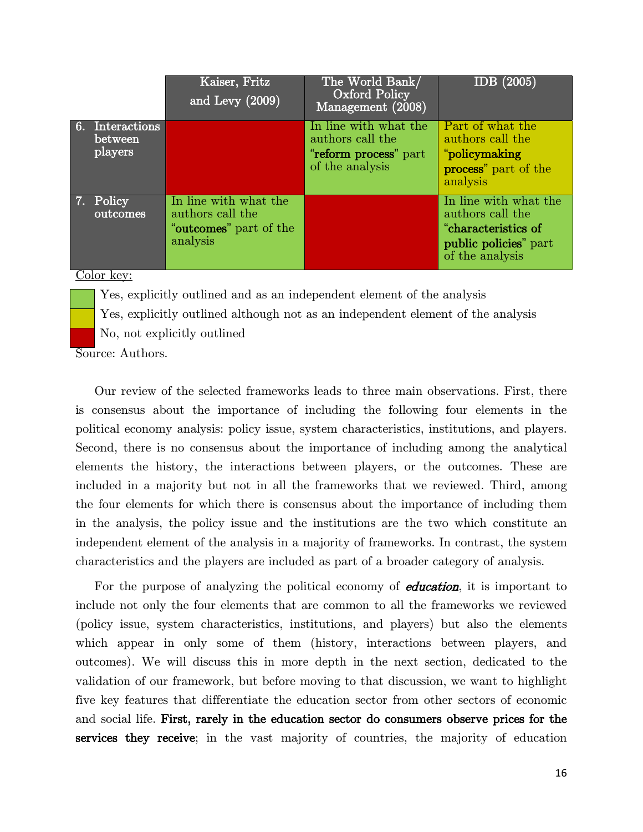|                                       | Kaiser, Fritz<br>and Levy $(2009)$                                              | The World Bank/<br><b>Oxford Policy</b><br>Management (2008)                          | <u>IDB (2005)</u>                                                                                            |
|---------------------------------------|---------------------------------------------------------------------------------|---------------------------------------------------------------------------------------|--------------------------------------------------------------------------------------------------------------|
| 6. Interactions<br>between<br>players |                                                                                 | In line with what the<br>authors call the<br>"reform process" part<br>of the analysis | Part of what the<br>authors call the<br>"policymaking<br>process" part of the<br>analysis                    |
| 7. Policy<br>outcomes                 | In line with what the<br>authors call the<br>"outcomes" part of the<br>analysis |                                                                                       | In line with what the<br>authors call the<br>"characteristics of<br>public policies" part<br>of the analysis |

#### Color key:

Yes, explicitly outlined and as an independent element of the analysis

Yes, explicitly outlined although not as an independent element of the analysis

No, not explicitly outlined

Source: Authors.

Our review of the selected frameworks leads to three main observations. First, there is consensus about the importance of including the following four elements in the political economy analysis: policy issue, system characteristics, institutions, and players. Second, there is no consensus about the importance of including among the analytical elements the history, the interactions between players, or the outcomes. These are included in a majority but not in all the frameworks that we reviewed. Third, among the four elements for which there is consensus about the importance of including them in the analysis, the policy issue and the institutions are the two which constitute an independent element of the analysis in a majority of frameworks. In contrast, the system characteristics and the players are included as part of a broader category of analysis.

For the purpose of analyzing the political economy of *education*, it is important to include not only the four elements that are common to all the frameworks we reviewed (policy issue, system characteristics, institutions, and players) but also the elements which appear in only some of them (history, interactions between players, and outcomes). We will discuss this in more depth in the next section, dedicated to the validation of our framework, but before moving to that discussion, we want to highlight five key features that differentiate the education sector from other sectors of economic and social life. First, rarely in the education sector do consumers observe prices for the services they receive; in the vast majority of countries, the majority of education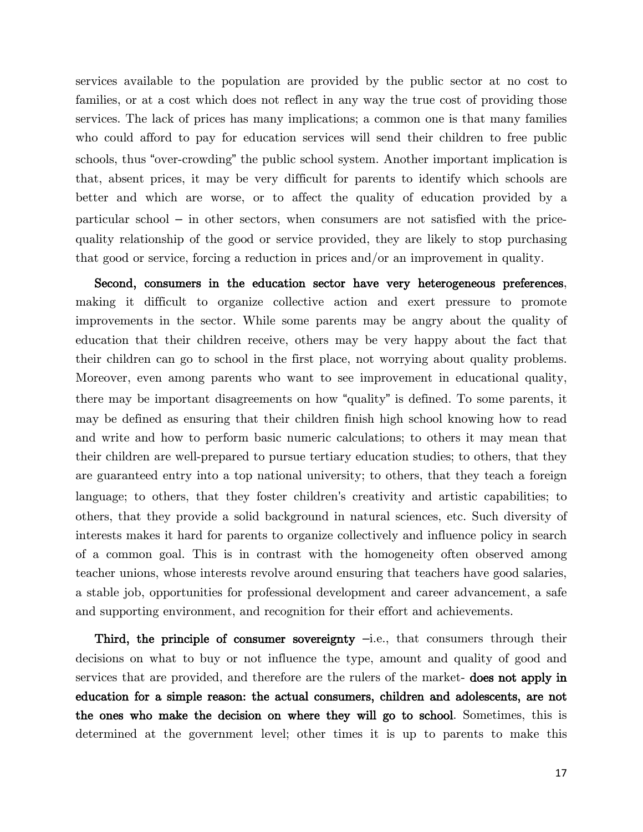services available to the population are provided by the public sector at no cost to families, or at a cost which does not reflect in any way the true cost of providing those services. The lack of prices has many implications; a common one is that many families who could afford to pay for education services will send their children to free public schools, thus "over-crowding" the public school system. Another important implication is that, absent prices, it may be very difficult for parents to identify which schools are better and which are worse, or to affect the quality of education provided by a particular school – in other sectors, when consumers are not satisfied with the pricequality relationship of the good or service provided, they are likely to stop purchasing that good or service, forcing a reduction in prices and/or an improvement in quality.

Second, consumers in the education sector have very heterogeneous preferences, making it difficult to organize collective action and exert pressure to promote improvements in the sector. While some parents may be angry about the quality of education that their children receive, others may be very happy about the fact that their children can go to school in the first place, not worrying about quality problems. Moreover, even among parents who want to see improvement in educational quality, there may be important disagreements on how "quality" is defined. To some parents, it may be defined as ensuring that their children finish high school knowing how to read and write and how to perform basic numeric calculations; to others it may mean that their children are well-prepared to pursue tertiary education studies; to others, that they are guaranteed entry into a top national university; to others, that they teach a foreign language; to others, that they foster children's creativity and artistic capabilities; to others, that they provide a solid background in natural sciences, etc. Such diversity of interests makes it hard for parents to organize collectively and influence policy in search of a common goal. This is in contrast with the homogeneity often observed among teacher unions, whose interests revolve around ensuring that teachers have good salaries, a stable job, opportunities for professional development and career advancement, a safe and supporting environment, and recognition for their effort and achievements.

Third, the principle of consumer sovereignty  $-i.e.,$  that consumers through their decisions on what to buy or not influence the type, amount and quality of good and services that are provided, and therefore are the rulers of the market- does not apply in education for a simple reason: the actual consumers, children and adolescents, are not the ones who make the decision on where they will go to school. Sometimes, this is determined at the government level; other times it is up to parents to make this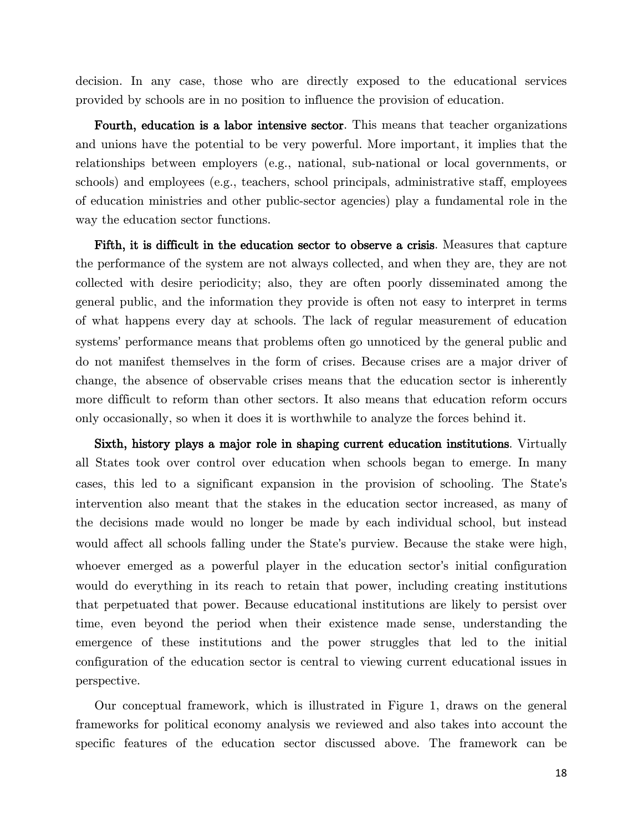decision. In any case, those who are directly exposed to the educational services provided by schools are in no position to influence the provision of education.

Fourth, education is a labor intensive sector. This means that teacher organizations and unions have the potential to be very powerful. More important, it implies that the relationships between employers (e.g., national, sub-national or local governments, or schools) and employees (e.g., teachers, school principals, administrative staff, employees of education ministries and other public-sector agencies) play a fundamental role in the way the education sector functions.

Fifth, it is difficult in the education sector to observe a crisis. Measures that capture the performance of the system are not always collected, and when they are, they are not collected with desire periodicity; also, they are often poorly disseminated among the general public, and the information they provide is often not easy to interpret in terms of what happens every day at schools. The lack of regular measurement of education systems' performance means that problems often go unnoticed by the general public and do not manifest themselves in the form of crises. Because crises are a major driver of change, the absence of observable crises means that the education sector is inherently more difficult to reform than other sectors. It also means that education reform occurs only occasionally, so when it does it is worthwhile to analyze the forces behind it.

Sixth, history plays a major role in shaping current education institutions. Virtually all States took over control over education when schools began to emerge. In many cases, this led to a significant expansion in the provision of schooling. The State's intervention also meant that the stakes in the education sector increased, as many of the decisions made would no longer be made by each individual school, but instead would affect all schools falling under the State's purview. Because the stake were high, whoever emerged as a powerful player in the education sector's initial configuration would do everything in its reach to retain that power, including creating institutions that perpetuated that power. Because educational institutions are likely to persist over time, even beyond the period when their existence made sense, understanding the emergence of these institutions and the power struggles that led to the initial configuration of the education sector is central to viewing current educational issues in perspective.

Our conceptual framework, which is illustrated in Figure 1, draws on the general frameworks for political economy analysis we reviewed and also takes into account the specific features of the education sector discussed above. The framework can be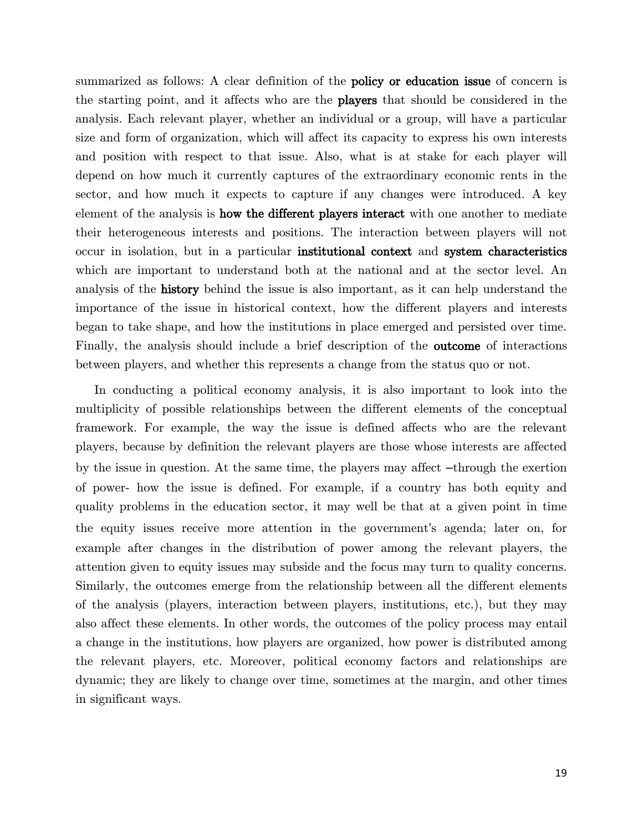summarized as follows: A clear definition of the **policy or education issue** of concern is the starting point, and it affects who are the players that should be considered in the analysis. Each relevant player, whether an individual or a group, will have a particular size and form of organization, which will affect its capacity to express his own interests and position with respect to that issue. Also, what is at stake for each player will depend on how much it currently captures of the extraordinary economic rents in the sector, and how much it expects to capture if any changes were introduced. A key element of the analysis is how the different players interact with one another to mediate their heterogeneous interests and positions. The interaction between players will not occur in isolation, but in a particular institutional context and system characteristics which are important to understand both at the national and at the sector level. An analysis of the history behind the issue is also important, as it can help understand the importance of the issue in historical context, how the different players and interests began to take shape, and how the institutions in place emerged and persisted over time. Finally, the analysis should include a brief description of the outcome of interactions between players, and whether this represents a change from the status quo or not.

In conducting a political economy analysis, it is also important to look into the multiplicity of possible relationships between the different elements of the conceptual framework. For example, the way the issue is defined affects who are the relevant players, because by definition the relevant players are those whose interests are affected by the issue in question. At the same time, the players may affect –through the exertion of power- how the issue is defined. For example, if a country has both equity and quality problems in the education sector, it may well be that at a given point in time the equity issues receive more attention in the government's agenda; later on, for example after changes in the distribution of power among the relevant players, the attention given to equity issues may subside and the focus may turn to quality concerns. Similarly, the outcomes emerge from the relationship between all the different elements of the analysis (players, interaction between players, institutions, etc.), but they may also affect these elements. In other words, the outcomes of the policy process may entail a change in the institutions, how players are organized, how power is distributed among the relevant players, etc. Moreover, political economy factors and relationships are dynamic; they are likely to change over time, sometimes at the margin, and other times in significant ways.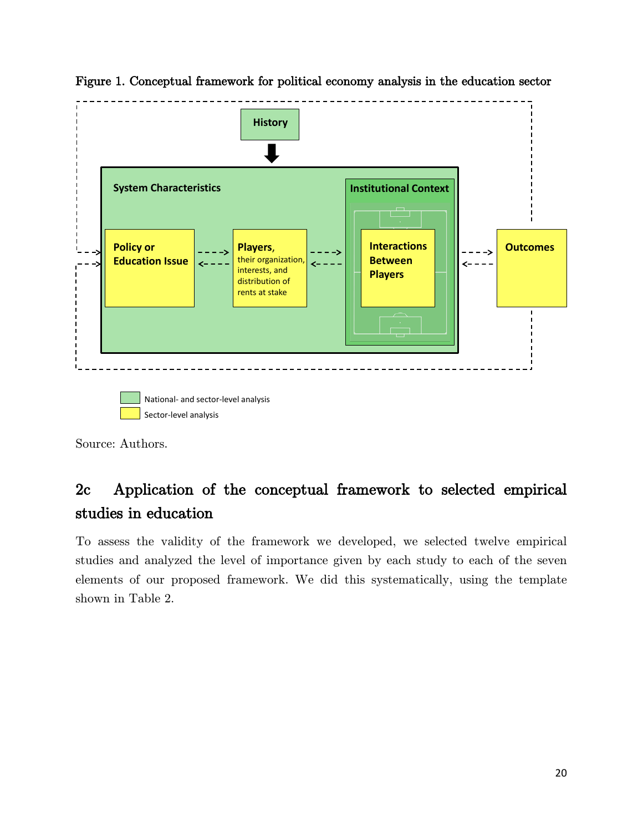

Figure 1. Conceptual framework for political economy analysis in the education sector

Source: Authors.

# <span id="page-25-0"></span>2c Application of the conceptual framework to selected empirical studies in education

To assess the validity of the framework we developed, we selected twelve empirical studies and analyzed the level of importance given by each study to each of the seven elements of our proposed framework. We did this systematically, using the template shown in [Table 2.](#page-26-0)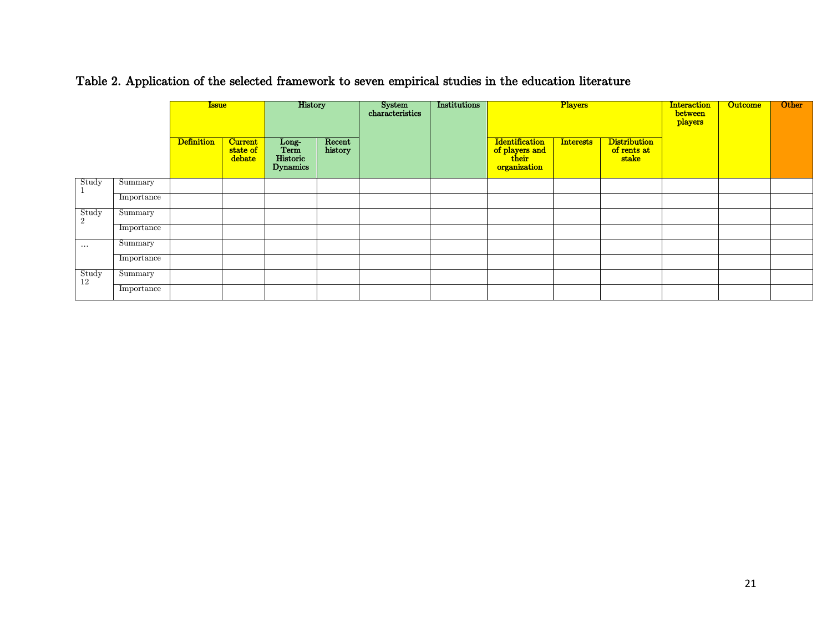|                         |            | <b>Issue</b>      |                                      | History                               |                   | System<br>characteristics<br>Institutions |  | Players                                                          |                  | <b>Interaction</b><br>between<br>players    | <b>Outcome</b> | Other |  |
|-------------------------|------------|-------------------|--------------------------------------|---------------------------------------|-------------------|-------------------------------------------|--|------------------------------------------------------------------|------------------|---------------------------------------------|----------------|-------|--|
|                         |            | <b>Definition</b> | <b>Current</b><br>state of<br>debate | Long-<br>Term<br>Historic<br>Dynamics | Recent<br>history |                                           |  | <b>Identification</b><br>of players and<br>their<br>organization | <b>Interests</b> | <b>Distribution</b><br>of rents at<br>stake |                |       |  |
| Study                   | Summary    |                   |                                      |                                       |                   |                                           |  |                                                                  |                  |                                             |                |       |  |
|                         | Importance |                   |                                      |                                       |                   |                                           |  |                                                                  |                  |                                             |                |       |  |
| Study<br>$\overline{2}$ | Summary    |                   |                                      |                                       |                   |                                           |  |                                                                  |                  |                                             |                |       |  |
|                         | Importance |                   |                                      |                                       |                   |                                           |  |                                                                  |                  |                                             |                |       |  |
| $\sim$ $\sim$ $\sim$    | Summary    |                   |                                      |                                       |                   |                                           |  |                                                                  |                  |                                             |                |       |  |
|                         | Importance |                   |                                      |                                       |                   |                                           |  |                                                                  |                  |                                             |                |       |  |
| Study<br>12             | Summary    |                   |                                      |                                       |                   |                                           |  |                                                                  |                  |                                             |                |       |  |
|                         | Importance |                   |                                      |                                       |                   |                                           |  |                                                                  |                  |                                             |                |       |  |

Table 2. Application of the selected framework to seven empirical studies in the education literature

<span id="page-26-0"></span>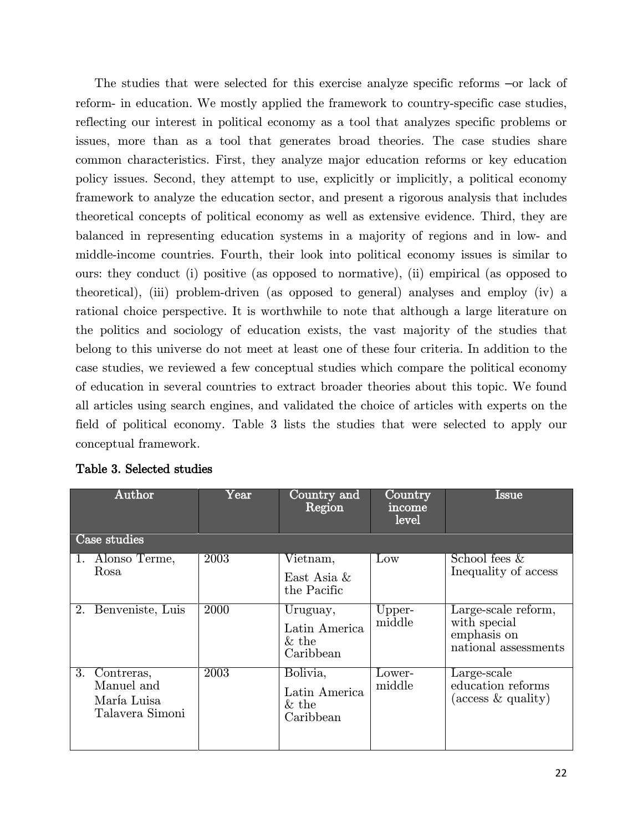The studies that were selected for this exercise analyze specific reforms –or lack of reform- in education. We mostly applied the framework to country-specific case studies, reflecting our interest in political economy as a tool that analyzes specific problems or issues, more than as a tool that generates broad theories. The case studies share common characteristics. First, they analyze major education reforms or key education policy issues. Second, they attempt to use, explicitly or implicitly, a political economy framework to analyze the education sector, and present a rigorous analysis that includes theoretical concepts of political economy as well as extensive evidence. Third, they are balanced in representing education systems in a majority of regions and in low- and middle-income countries. Fourth, their look into political economy issues is similar to ours: they conduct (i) positive (as opposed to normative), (ii) empirical (as opposed to theoretical), (iii) problem-driven (as opposed to general) analyses and employ (iv) a rational choice perspective. It is worthwhile to note that although a large literature on the politics and sociology of education exists, the vast majority of the studies that belong to this universe do not meet at least one of these four criteria. In addition to the case studies, we reviewed a few conceptual studies which compare the political economy of education in several countries to extract broader theories about this topic. We found all articles using search engines, and validated the choice of articles with experts on the field of political economy. [Table 3](#page-27-0) lists the studies that were selected to apply our conceptual framework.

| Author                                                        | $\mathrm{Year}$ | Country and<br>Region                              | Country<br>income<br>level | <b>Issue</b>                                                               |  |  |  |
|---------------------------------------------------------------|-----------------|----------------------------------------------------|----------------------------|----------------------------------------------------------------------------|--|--|--|
| Case studies                                                  |                 |                                                    |                            |                                                                            |  |  |  |
| Alonso Terme,<br>$\mathbf{1}$ .<br>Rosa                       | 2003            | Vietnam,<br>East Asia &<br>the Pacific             | $_{\text{Low}}$            | School fees $\&$<br>Inequality of access                                   |  |  |  |
| Benveniste, Luis<br>2.                                        | 2000            | Uruguay,<br>Latin America<br>$\&$ the<br>Caribbean | Upper-<br>middle           | Large-scale reform,<br>with special<br>emphasis on<br>national assessments |  |  |  |
| 3. Contreras,<br>Manuel and<br>María Luisa<br>Talavera Simoni | 2003            | Bolivia,<br>Latin America<br>$\&$ the<br>Caribbean | Lower-<br>middle           | Large-scale<br>education reforms<br>(access $\&$ quality)                  |  |  |  |

#### <span id="page-27-0"></span>Table 3. Selected studies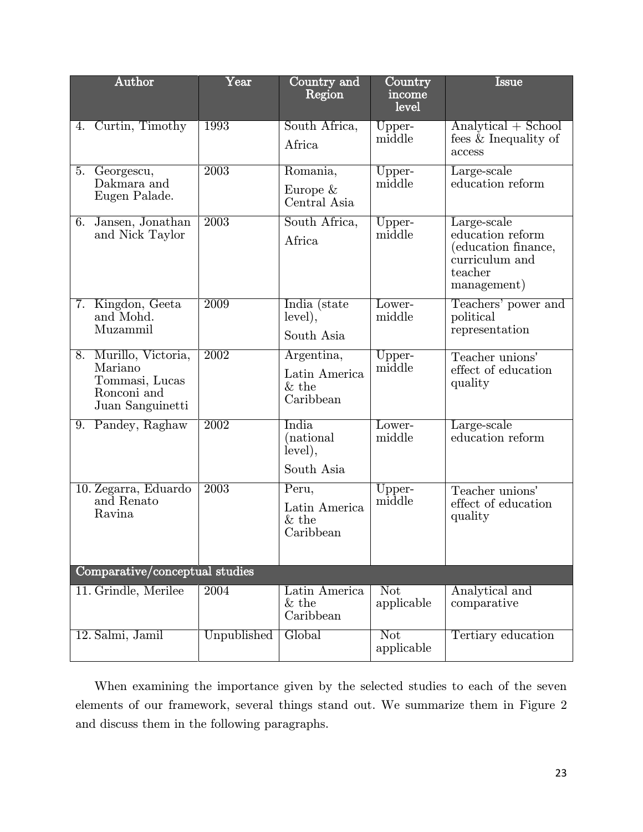| Author                                                                                | $\overline{\mathrm{Year}}$ | Country and<br>Region                                | Country<br>income<br>level | $\operatorname{Issue}$                                                                             |
|---------------------------------------------------------------------------------------|----------------------------|------------------------------------------------------|----------------------------|----------------------------------------------------------------------------------------------------|
| 4. Curtin, Timothy                                                                    | 1993                       | South Africa,<br>Africa                              | Upper-<br>middle           | $Analytical + School$<br>fees & Inequality of<br>access                                            |
| Georgescu,<br>5.<br>Dakmara and<br>Eugen Palade.                                      | 2003                       | Romania,<br>Europe $&$<br>Central Asia               | Upper-<br>middle           | Large-scale<br>education reform                                                                    |
| 6. Jansen, Jonathan<br>and Nick Taylor                                                | 2003                       | South Africa,<br>Africa                              | Upper-<br>middle           | Large-scale<br>education reform<br>(education finance,<br>curriculum and<br>teacher<br>management) |
| 7. Kingdon, Geeta<br>and Mohd.<br>Muzammil                                            | 2009                       | India (state<br>level),<br>South Asia                | Lower-<br>middle           | Teachers' power and<br>political<br>representation                                                 |
| 8. Murillo, Victoria,<br>Mariano<br>Tommasi, Lucas<br>Ronconi and<br>Juan Sanguinetti | 2002                       | Argentina,<br>Latin America<br>$\&$ the<br>Caribbean | Upper-<br>middle           | Teacher unions'<br>effect of education<br>quality                                                  |
| 9. Pandey, Raghaw                                                                     | 2002                       | India<br>(national)<br>level),<br>South Asia         | Lower-<br>middle           | Large-scale<br>education reform                                                                    |
| 10. Zegarra, Eduardo<br>and Renato<br>Ravina                                          | 2003                       | Peru,<br>Latin America<br>$&$ the<br>Caribbean       | Upper-<br>middle           | Teacher unions'<br>effect of education<br>quality                                                  |
| Comparative/conceptual studies                                                        |                            |                                                      |                            |                                                                                                    |
| 11. Grindle, Merilee                                                                  | 2004                       | Latin America<br>$&$ the<br>Caribbean                | Not<br>applicable          | Analytical and<br>comparative                                                                      |
| 12. Salmi, Jamil                                                                      | Unpublished                | Global                                               | Not<br>applicable          | Tertiary education                                                                                 |

When examining the importance given by the selected studies to each of the seven elements of our framework, several things stand out. We summarize them in [Figure 2](#page-30-0) and discuss them in the following paragraphs.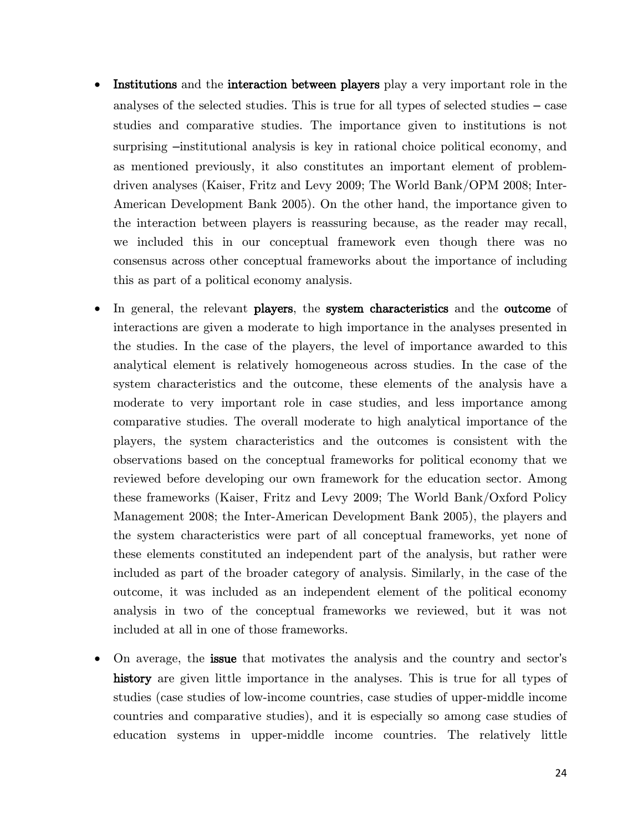- **Institutions** and the **interaction between players** play a very important role in the analyses of the selected studies. This is true for all types of selected studies – case studies and comparative studies. The importance given to institutions is not surprising –institutional analysis is key in rational choice political economy, and as mentioned previously, it also constitutes an important element of problemdriven analyses (Kaiser, Fritz and Levy 2009; The World Bank/OPM 2008; Inter-American Development Bank 2005). On the other hand, the importance given to the interaction between players is reassuring because, as the reader may recall, we included this in our conceptual framework even though there was no consensus across other conceptual frameworks about the importance of including this as part of a political economy analysis.
- In general, the relevant players, the system characteristics and the outcome of interactions are given a moderate to high importance in the analyses presented in the studies. In the case of the players, the level of importance awarded to this analytical element is relatively homogeneous across studies. In the case of the system characteristics and the outcome, these elements of the analysis have a moderate to very important role in case studies, and less importance among comparative studies. The overall moderate to high analytical importance of the players, the system characteristics and the outcomes is consistent with the observations based on the conceptual frameworks for political economy that we reviewed before developing our own framework for the education sector. Among these frameworks (Kaiser, Fritz and Levy 2009; The World Bank/Oxford Policy Management 2008; the Inter-American Development Bank 2005), the players and the system characteristics were part of all conceptual frameworks, yet none of these elements constituted an independent part of the analysis, but rather were included as part of the broader category of analysis. Similarly, in the case of the outcome, it was included as an independent element of the political economy analysis in two of the conceptual frameworks we reviewed, but it was not included at all in one of those frameworks.
- On average, the issue that motivates the analysis and the country and sector's history are given little importance in the analyses. This is true for all types of studies (case studies of low-income countries, case studies of upper-middle income countries and comparative studies), and it is especially so among case studies of education systems in upper-middle income countries. The relatively little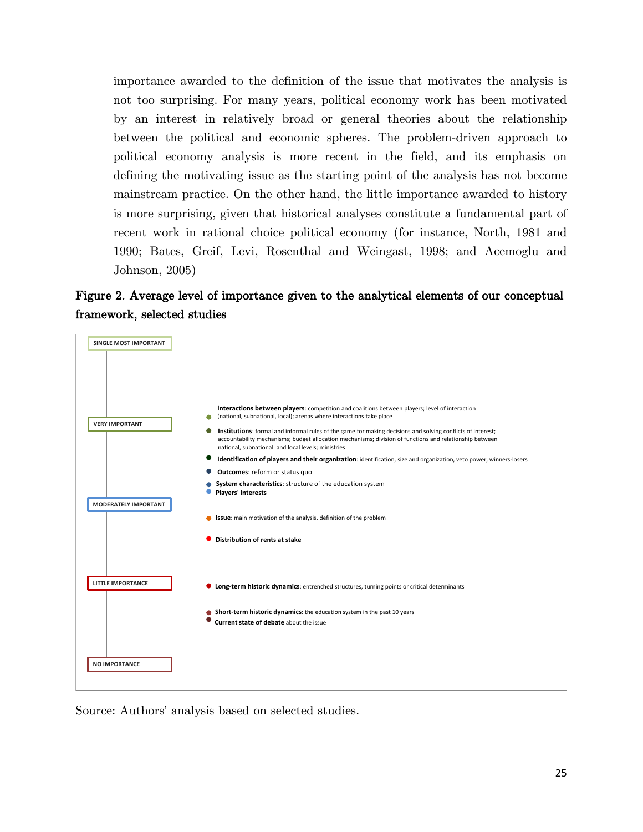importance awarded to the definition of the issue that motivates the analysis is not too surprising. For many years, political economy work has been motivated by an interest in relatively broad or general theories about the relationship between the political and economic spheres. The problem-driven approach to political economy analysis is more recent in the field, and its emphasis on defining the motivating issue as the starting point of the analysis has not become mainstream practice. On the other hand, the little importance awarded to history is more surprising, given that historical analyses constitute a fundamental part of recent work in rational choice political economy (for instance, North, 1981 and 1990; Bates, Greif, Levi, Rosenthal and Weingast, 1998; and Acemoglu and Johnson, 2005)

<span id="page-30-0"></span>Figure 2. Average level of importance given to the analytical elements of our conceptual framework, selected studies



Source: Authors' analysis based on selected studies.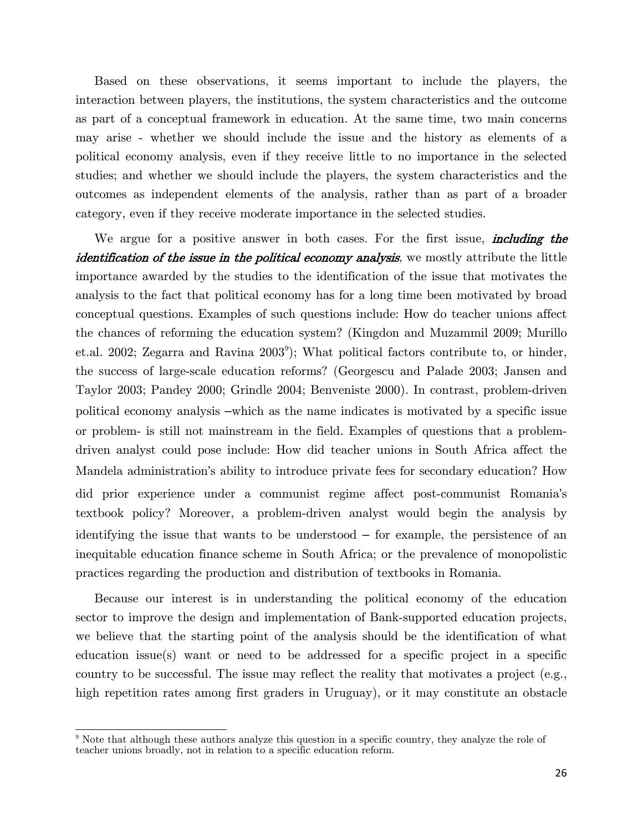Based on these observations, it seems important to include the players, the interaction between players, the institutions, the system characteristics and the outcome as part of a conceptual framework in education. At the same time, two main concerns may arise - whether we should include the issue and the history as elements of a political economy analysis, even if they receive little to no importance in the selected studies; and whether we should include the players, the system characteristics and the outcomes as independent elements of the analysis, rather than as part of a broader category, even if they receive moderate importance in the selected studies.

We argue for a positive answer in both cases. For the first issue, *including the* identification of the issue in the political economy analysis, we mostly attribute the little importance awarded by the studies to the identification of the issue that motivates the analysis to the fact that political economy has for a long time been motivated by broad conceptual questions. Examples of such questions include: How do teacher unions affect the chances of reforming the education system? (Kingdon and Muzammil 2009; Murillo et.al. 2002; Zegarra and Ravina 2003<sup>[9](#page-31-0)</sup>); What political factors contribute to, or hinder, the success of large-scale education reforms? (Georgescu and Palade 2003; Jansen and Taylor 2003; Pandey 2000; Grindle 2004; Benveniste 2000). In contrast, problem-driven political economy analysis –which as the name indicates is motivated by a specific issue or problem- is still not mainstream in the field. Examples of questions that a problemdriven analyst could pose include: How did teacher unions in South Africa affect the Mandela administration's ability to introduce private fees for secondary education? How did prior experience under a communist regime affect post-communist Romania's textbook policy? Moreover, a problem-driven analyst would begin the analysis by identifying the issue that wants to be understood – for example, the persistence of an inequitable education finance scheme in South Africa; or the prevalence of monopolistic practices regarding the production and distribution of textbooks in Romania.

Because our interest is in understanding the political economy of the education sector to improve the design and implementation of Bank-supported education projects, we believe that the starting point of the analysis should be the identification of what education issue(s) want or need to be addressed for a specific project in a specific country to be successful. The issue may reflect the reality that motivates a project (e.g., high repetition rates among first graders in Uruguay), or it may constitute an obstacle

<span id="page-31-0"></span><sup>9</sup> Note that although these authors analyze this question in a specific country, they analyze the role of teacher unions broadly, not in relation to a specific education reform.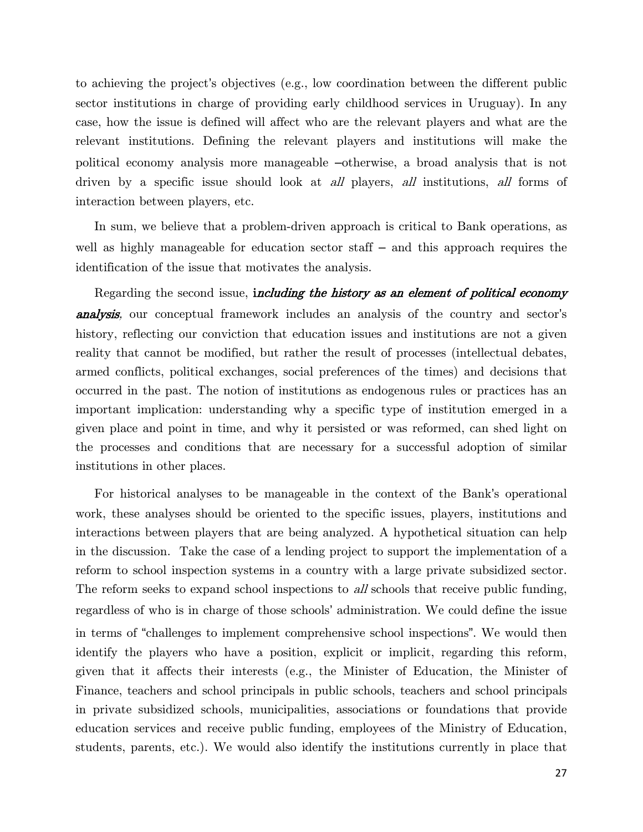to achieving the project's objectives (e.g., low coordination between the different public sector institutions in charge of providing early childhood services in Uruguay). In any case, how the issue is defined will affect who are the relevant players and what are the relevant institutions. Defining the relevant players and institutions will make the political economy analysis more manageable –otherwise, a broad analysis that is not driven by a specific issue should look at all players, all institutions, all forms of interaction between players, etc.

In sum, we believe that a problem-driven approach is critical to Bank operations, as well as highly manageable for education sector staff – and this approach requires the identification of the issue that motivates the analysis.

Regarding the second issue, *including the history as an element of political economy* **analysis**, our conceptual framework includes an analysis of the country and sector's history, reflecting our conviction that education issues and institutions are not a given reality that cannot be modified, but rather the result of processes (intellectual debates, armed conflicts, political exchanges, social preferences of the times) and decisions that occurred in the past. The notion of institutions as endogenous rules or practices has an important implication: understanding why a specific type of institution emerged in a given place and point in time, and why it persisted or was reformed, can shed light on the processes and conditions that are necessary for a successful adoption of similar institutions in other places.

For historical analyses to be manageable in the context of the Bank's operational work, these analyses should be oriented to the specific issues, players, institutions and interactions between players that are being analyzed. A hypothetical situation can help in the discussion. Take the case of a lending project to support the implementation of a reform to school inspection systems in a country with a large private subsidized sector. The reform seeks to expand school inspections to all schools that receive public funding, regardless of who is in charge of those schools' administration. We could define the issue in terms of "challenges to implement comprehensive school inspections". We would then identify the players who have a position, explicit or implicit, regarding this reform, given that it affects their interests (e.g., the Minister of Education, the Minister of Finance, teachers and school principals in public schools, teachers and school principals in private subsidized schools, municipalities, associations or foundations that provide education services and receive public funding, employees of the Ministry of Education, students, parents, etc.). We would also identify the institutions currently in place that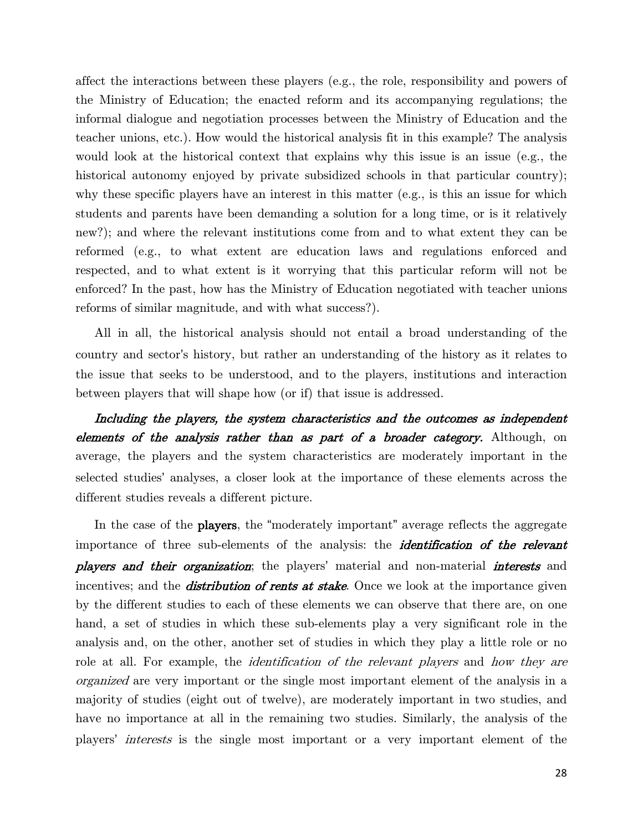affect the interactions between these players (e.g., the role, responsibility and powers of the Ministry of Education; the enacted reform and its accompanying regulations; the informal dialogue and negotiation processes between the Ministry of Education and the teacher unions, etc.). How would the historical analysis fit in this example? The analysis would look at the historical context that explains why this issue is an issue (e.g., the historical autonomy enjoyed by private subsidized schools in that particular country); why these specific players have an interest in this matter (e.g., is this an issue for which students and parents have been demanding a solution for a long time, or is it relatively new?); and where the relevant institutions come from and to what extent they can be reformed (e.g., to what extent are education laws and regulations enforced and respected, and to what extent is it worrying that this particular reform will not be enforced? In the past, how has the Ministry of Education negotiated with teacher unions reforms of similar magnitude, and with what success?).

All in all, the historical analysis should not entail a broad understanding of the country and sector's history, but rather an understanding of the history as it relates to the issue that seeks to be understood, and to the players, institutions and interaction between players that will shape how (or if) that issue is addressed.

Including the players, the system characteristics and the outcomes as independent elements of the analysis rather than as part of a broader category. Although, on average, the players and the system characteristics are moderately important in the selected studies' analyses, a closer look at the importance of these elements across the different studies reveals a different picture.

In the case of the **players**, the "moderately important" average reflects the aggregate importance of three sub-elements of the analysis: the *identification of the relevant* players and their organization; the players' material and non-material interests and incentives; and the *distribution of rents at stake*. Once we look at the importance given by the different studies to each of these elements we can observe that there are, on one hand, a set of studies in which these sub-elements play a very significant role in the analysis and, on the other, another set of studies in which they play a little role or no role at all. For example, the *identification of the relevant players* and *how they are* organized are very important or the single most important element of the analysis in a majority of studies (eight out of twelve), are moderately important in two studies, and have no importance at all in the remaining two studies. Similarly, the analysis of the players' interests is the single most important or a very important element of the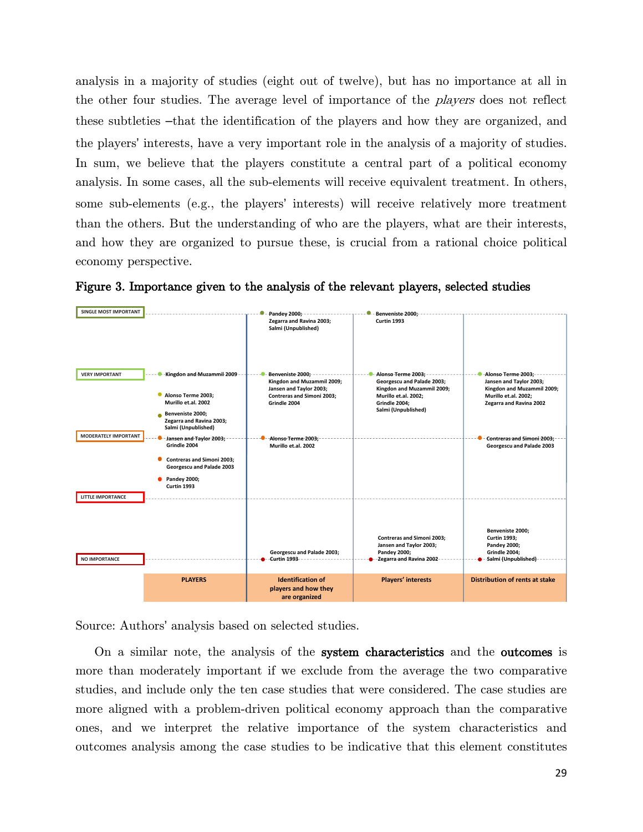analysis in a majority of studies (eight out of twelve), but has no importance at all in the other four studies. The average level of importance of the *players* does not reflect these subtleties –that the identification of the players and how they are organized, and the players' interests, have a very important role in the analysis of a majority of studies. In sum, we believe that the players constitute a central part of a political economy analysis. In some cases, all the sub-elements will receive equivalent treatment. In others, some sub-elements (e.g., the players' interests) will receive relatively more treatment than the others. But the understanding of who are the players, what are their interests, and how they are organized to pursue these, is crucial from a rational choice political economy perspective.



Figure 3. Importance given to the analysis of the relevant players, selected studies

Source: Authors' analysis based on selected studies.

On a similar note, the analysis of the system characteristics and the outcomes is more than moderately important if we exclude from the average the two comparative studies, and include only the ten case studies that were considered. The case studies are more aligned with a problem-driven political economy approach than the comparative ones, and we interpret the relative importance of the system characteristics and outcomes analysis among the case studies to be indicative that this element constitutes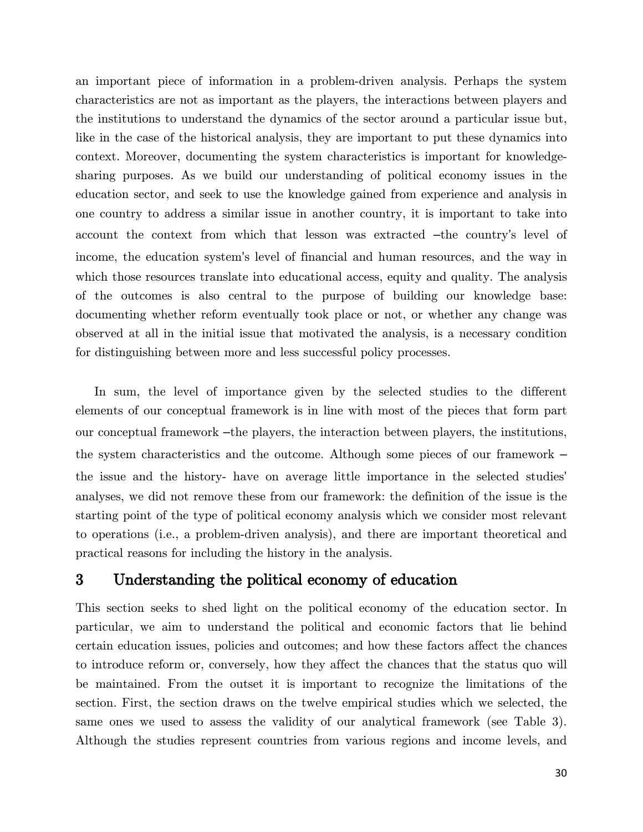an important piece of information in a problem-driven analysis. Perhaps the system characteristics are not as important as the players, the interactions between players and the institutions to understand the dynamics of the sector around a particular issue but, like in the case of the historical analysis, they are important to put these dynamics into context. Moreover, documenting the system characteristics is important for knowledgesharing purposes. As we build our understanding of political economy issues in the education sector, and seek to use the knowledge gained from experience and analysis in one country to address a similar issue in another country, it is important to take into account the context from which that lesson was extracted –the country's level of income, the education system's level of financial and human resources, and the way in which those resources translate into educational access, equity and quality. The analysis of the outcomes is also central to the purpose of building our knowledge base: documenting whether reform eventually took place or not, or whether any change was observed at all in the initial issue that motivated the analysis, is a necessary condition for distinguishing between more and less successful policy processes.

In sum, the level of importance given by the selected studies to the different elements of our conceptual framework is in line with most of the pieces that form part our conceptual framework –the players, the interaction between players, the institutions, the system characteristics and the outcome. Although some pieces of our framework – the issue and the history- have on average little importance in the selected studies' analyses, we did not remove these from our framework: the definition of the issue is the starting point of the type of political economy analysis which we consider most relevant to operations (i.e., a problem-driven analysis), and there are important theoretical and practical reasons for including the history in the analysis.

### <span id="page-35-0"></span>3 Understanding the political economy of education

This section seeks to shed light on the political economy of the education sector. In particular, we aim to understand the political and economic factors that lie behind certain education issues, policies and outcomes; and how these factors affect the chances to introduce reform or, conversely, how they affect the chances that the status quo will be maintained. From the outset it is important to recognize the limitations of the section. First, the section draws on the twelve empirical studies which we selected, the same ones we used to assess the validity of our analytical framework (see [Table 3\)](#page-27-0). Although the studies represent countries from various regions and income levels, and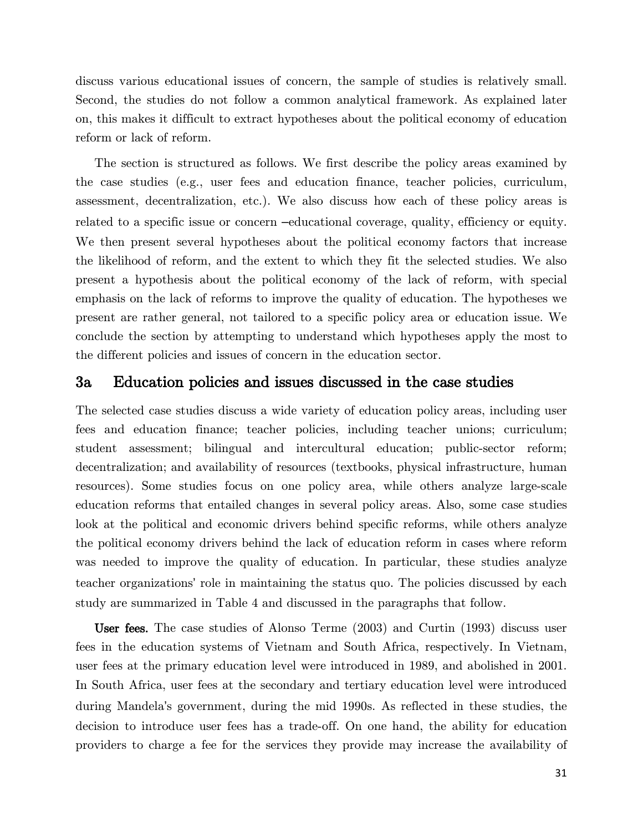discuss various educational issues of concern, the sample of studies is relatively small. Second, the studies do not follow a common analytical framework. As explained later on, this makes it difficult to extract hypotheses about the political economy of education reform or lack of reform.

The section is structured as follows. We first describe the policy areas examined by the case studies (e.g., user fees and education finance, teacher policies, curriculum, assessment, decentralization, etc.). We also discuss how each of these policy areas is related to a specific issue or concern –educational coverage, quality, efficiency or equity. We then present several hypotheses about the political economy factors that increase the likelihood of reform, and the extent to which they fit the selected studies. We also present a hypothesis about the political economy of the lack of reform, with special emphasis on the lack of reforms to improve the quality of education. The hypotheses we present are rather general, not tailored to a specific policy area or education issue. We conclude the section by attempting to understand which hypotheses apply the most to the different policies and issues of concern in the education sector.

#### <span id="page-36-0"></span>3a Education policies and issues discussed in the case studies

The selected case studies discuss a wide variety of education policy areas, including user fees and education finance; teacher policies, including teacher unions; curriculum; student assessment; bilingual and intercultural education; public-sector reform; decentralization; and availability of resources (textbooks, physical infrastructure, human resources). Some studies focus on one policy area, while others analyze large-scale education reforms that entailed changes in several policy areas. Also, some case studies look at the political and economic drivers behind specific reforms, while others analyze the political economy drivers behind the lack of education reform in cases where reform was needed to improve the quality of education. In particular, these studies analyze teacher organizations' role in maintaining the status quo. The policies discussed by each study are summarized in [Table 4](#page-39-1) and discussed in the paragraphs that follow.

User fees. The case studies of Alonso Terme (2003) and Curtin (1993) discuss user fees in the education systems of Vietnam and South Africa, respectively. In Vietnam, user fees at the primary education level were introduced in 1989, and abolished in 2001. In South Africa, user fees at the secondary and tertiary education level were introduced during Mandela's government, during the mid 1990s. As reflected in these studies, the decision to introduce user fees has a trade-off. On one hand, the ability for education providers to charge a fee for the services they provide may increase the availability of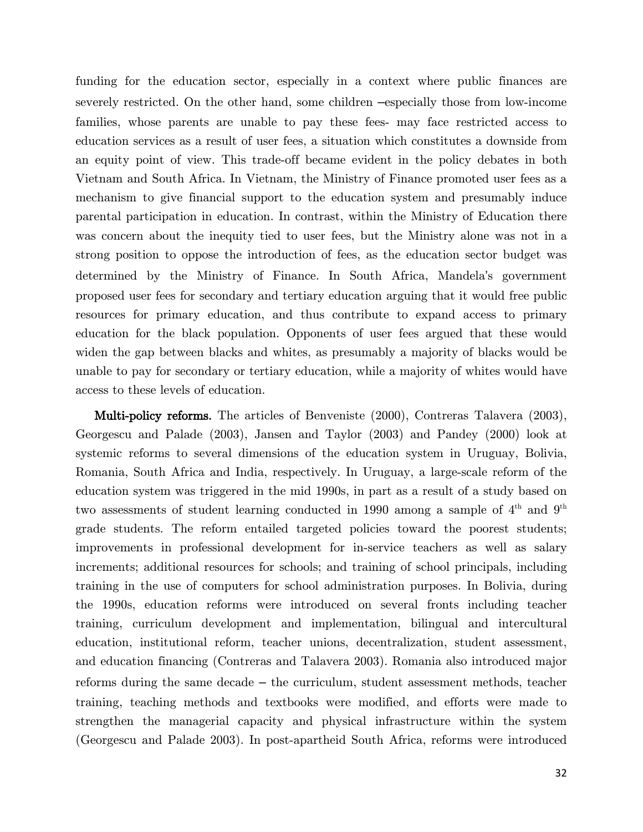funding for the education sector, especially in a context where public finances are severely restricted. On the other hand, some children –especially those from low-income families, whose parents are unable to pay these fees- may face restricted access to education services as a result of user fees, a situation which constitutes a downside from an equity point of view. This trade-off became evident in the policy debates in both Vietnam and South Africa. In Vietnam, the Ministry of Finance promoted user fees as a mechanism to give financial support to the education system and presumably induce parental participation in education. In contrast, within the Ministry of Education there was concern about the inequity tied to user fees, but the Ministry alone was not in a strong position to oppose the introduction of fees, as the education sector budget was determined by the Ministry of Finance. In South Africa, Mandela's government proposed user fees for secondary and tertiary education arguing that it would free public resources for primary education, and thus contribute to expand access to primary education for the black population. Opponents of user fees argued that these would widen the gap between blacks and whites, as presumably a majority of blacks would be unable to pay for secondary or tertiary education, while a majority of whites would have access to these levels of education.

Multi-policy reforms. The articles of Benveniste (2000), Contreras Talavera (2003), Georgescu and Palade (2003), Jansen and Taylor (2003) and Pandey (2000) look at systemic reforms to several dimensions of the education system in Uruguay, Bolivia, Romania, South Africa and India, respectively. In Uruguay, a large-scale reform of the education system was triggered in the mid 1990s, in part as a result of a study based on two assessments of student learning conducted in 1990 among a sample of  $4<sup>th</sup>$  and  $9<sup>th</sup>$ grade students. The reform entailed targeted policies toward the poorest students; improvements in professional development for in-service teachers as well as salary increments; additional resources for schools; and training of school principals, including training in the use of computers for school administration purposes. In Bolivia, during the 1990s, education reforms were introduced on several fronts including teacher training, curriculum development and implementation, bilingual and intercultural education, institutional reform, teacher unions, decentralization, student assessment, and education financing (Contreras and Talavera 2003). Romania also introduced major reforms during the same decade – the curriculum, student assessment methods, teacher training, teaching methods and textbooks were modified, and efforts were made to strengthen the managerial capacity and physical infrastructure within the system (Georgescu and Palade 2003). In post-apartheid South Africa, reforms were introduced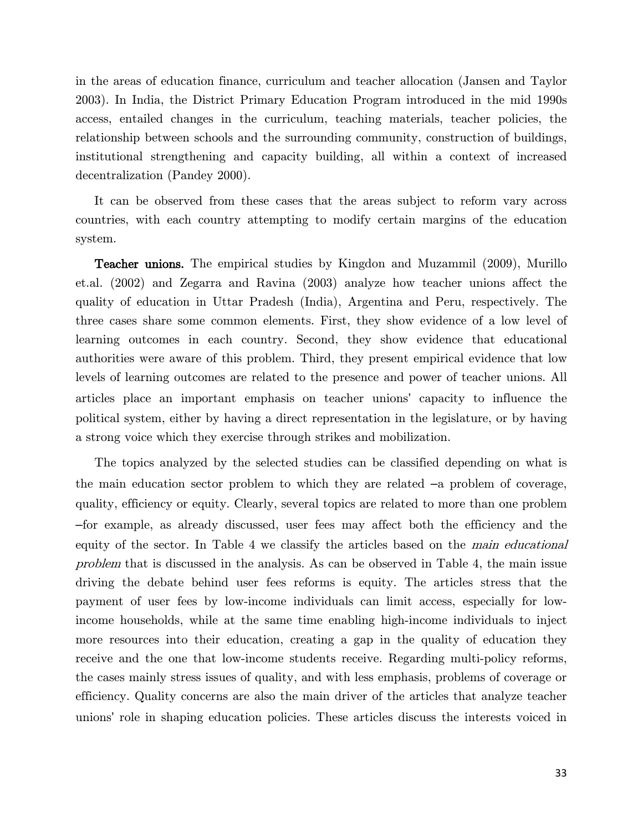in the areas of education finance, curriculum and teacher allocation (Jansen and Taylor 2003). In India, the District Primary Education Program introduced in the mid 1990s access, entailed changes in the curriculum, teaching materials, teacher policies, the relationship between schools and the surrounding community, construction of buildings, institutional strengthening and capacity building, all within a context of increased decentralization (Pandey 2000).

It can be observed from these cases that the areas subject to reform vary across countries, with each country attempting to modify certain margins of the education system.

Teacher unions. The empirical studies by Kingdon and Muzammil (2009), Murillo et.al. (2002) and Zegarra and Ravina (2003) analyze how teacher unions affect the quality of education in Uttar Pradesh (India), Argentina and Peru, respectively. The three cases share some common elements. First, they show evidence of a low level of learning outcomes in each country. Second, they show evidence that educational authorities were aware of this problem. Third, they present empirical evidence that low levels of learning outcomes are related to the presence and power of teacher unions. All articles place an important emphasis on teacher unions' capacity to influence the political system, either by having a direct representation in the legislature, or by having a strong voice which they exercise through strikes and mobilization.

The topics analyzed by the selected studies can be classified depending on what is the main education sector problem to which they are related –a problem of coverage, quality, efficiency or equity. Clearly, several topics are related to more than one problem –for example, as already discussed, user fees may affect both the efficiency and the equity of the sector. In [Table 4](#page-39-1) we classify the articles based on the main educational problem that is discussed in the analysis. As can be observed in [Table 4,](#page-39-1) the main issue driving the debate behind user fees reforms is equity. The articles stress that the payment of user fees by low-income individuals can limit access, especially for lowincome households, while at the same time enabling high-income individuals to inject more resources into their education, creating a gap in the quality of education they receive and the one that low-income students receive. Regarding multi-policy reforms, the cases mainly stress issues of quality, and with less emphasis, problems of coverage or efficiency. Quality concerns are also the main driver of the articles that analyze teacher unions' role in shaping education policies. These articles discuss the interests voiced in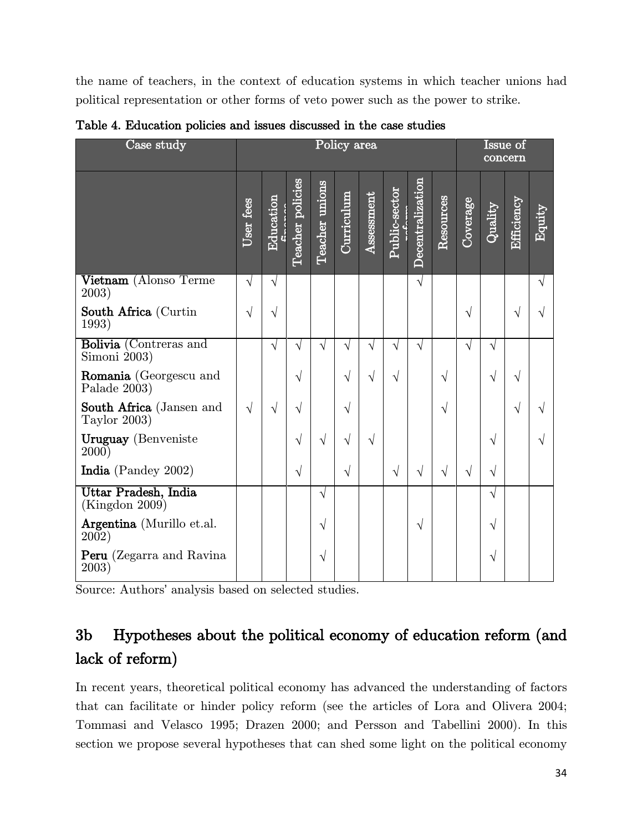the name of teachers, in the context of education systems in which teacher unions had political representation or other forms of veto power such as the power to strike.

| Case study                                       |           |           |                     |                | Policy area |            |               |                         |           |           |                          | Issue of<br>concern |                |
|--------------------------------------------------|-----------|-----------|---------------------|----------------|-------------|------------|---------------|-------------------------|-----------|-----------|--------------------------|---------------------|----------------|
|                                                  | User fees | Education | policies<br>Teacher | Teacher unions | Curriculum  | Assessment | Public-sector | <b>Decentralization</b> | Resources | Coverage  | $\operatorname{Quality}$ | Efficiency          | ${\rm Equity}$ |
| Vietnam (Alonso Terme<br>2003)                   | $\sqrt{}$ | $\sqrt{}$ |                     |                |             |            |               | $\sqrt{ }$              |           |           |                          |                     | $\sqrt{}$      |
| South Africa (Curtin<br>1993)                    | $\sqrt{}$ | V         |                     |                |             |            |               |                         |           | $\sqrt{}$ |                          |                     |                |
| Bolivia (Contreras and<br>Simoni $2003$ )        |           | J         | $\sqrt{}$           | $\sqrt{}$      | $\sqrt{}$   | $\sqrt{}$  | V             | $\sqrt{}$               |           | $\sqrt{}$ | $\sqrt{}$                |                     |                |
| $\bf{Romania}$ (Georgescu and<br>Palade $2003$ ) |           |           | $\sqrt{}$           |                | $\sqrt{}$   | $\sqrt{}$  | V             |                         | V         |           | V                        |                     |                |
| South Africa (Jansen and<br>Taylor 2003)         | $\sqrt{}$ | V         | $\sqrt{}$           |                | V           |            |               |                         | V         |           |                          |                     |                |
| Uruguay (Benveniste<br>(2000)                    |           |           | $\sqrt{ }$          | $\sqrt{ }$     | $\sqrt{}$   | $\sqrt{}$  |               |                         |           |           | J                        |                     |                |
| India (Pandey 2002)                              |           |           | $\sqrt{ }$          |                | $\sqrt{}$   |            | $\sqrt{}$     | $\sqrt{}$               | V         | $\sqrt{}$ | V                        |                     |                |
| Uttar Pradesh, India<br>(Kingdon 2009)           |           |           |                     | $\sqrt{}$      |             |            |               |                         |           |           | $\sqrt{}$                |                     |                |
| Argentina (Murillo et.al.<br>2002)               |           |           |                     | V              |             |            |               | $\sqrt{}$               |           |           | $\sqrt{}$                |                     |                |
| Peru (Zegarra and Ravina<br>2003)                |           |           |                     | V              |             |            |               |                         |           |           | $\sqrt{}$                |                     |                |

<span id="page-39-1"></span>Table 4. Education policies and issues discussed in the case studies

Source: Authors' analysis based on selected studies.

# <span id="page-39-0"></span>3b Hypotheses about the political economy of education reform (and lack of reform)

In recent years, theoretical political economy has advanced the understanding of factors that can facilitate or hinder policy reform (see the articles of Lora and Olivera 2004; Tommasi and Velasco 1995; Drazen 2000; and Persson and Tabellini 2000). In this section we propose several hypotheses that can shed some light on the political economy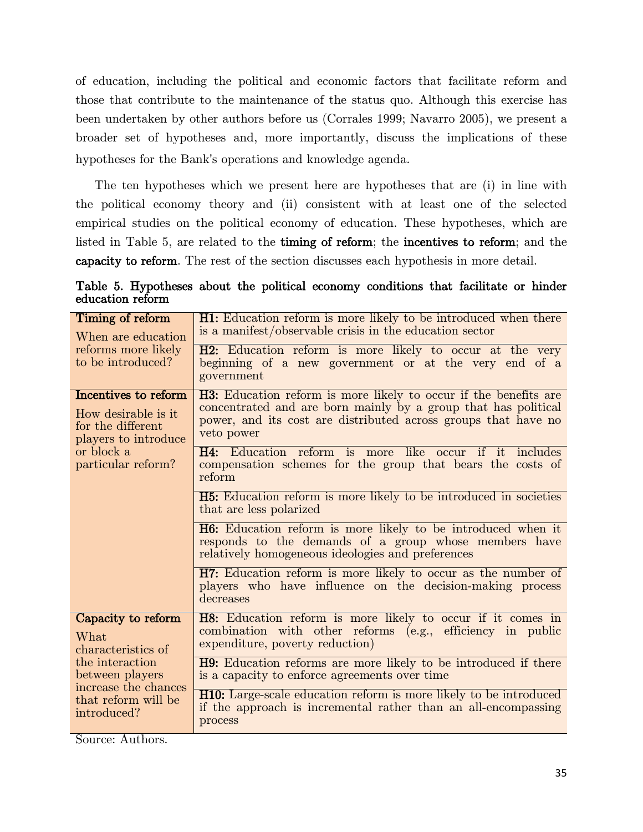of education, including the political and economic factors that facilitate reform and those that contribute to the maintenance of the status quo. Although this exercise has been undertaken by other authors before us (Corrales 1999; Navarro 2005), we present a broader set of hypotheses and, more importantly, discuss the implications of these hypotheses for the Bank's operations and knowledge agenda.

The ten hypotheses which we present here are hypotheses that are (i) in line with the political economy theory and (ii) consistent with at least one of the selected empirical studies on the political economy of education. These hypotheses, which are listed in [Table 5,](#page-40-0) are related to the timing of reform; the incentives to reform; and the capacity to reform. The rest of the section discusses each hypothesis in more detail.

| Timing of reform                         | H1: Education reform is more likely to be introduced when there                                                                                                                   |  |  |  |  |  |  |
|------------------------------------------|-----------------------------------------------------------------------------------------------------------------------------------------------------------------------------------|--|--|--|--|--|--|
| When are education                       | is a manifest/observable crisis in the education sector                                                                                                                           |  |  |  |  |  |  |
| reforms more likely<br>to be introduced? | H2: Education reform is more likely to occur at the very<br>beginning of a new government or at the very end of a<br>government                                                   |  |  |  |  |  |  |
| Incentives to reform                     | <b>H3:</b> Education reform is more likely to occur if the benefits are                                                                                                           |  |  |  |  |  |  |
| How desirable is it                      | concentrated and are born mainly by a group that has political                                                                                                                    |  |  |  |  |  |  |
| for the different                        | power, and its cost are distributed across groups that have no                                                                                                                    |  |  |  |  |  |  |
| players to introduce                     | veto power                                                                                                                                                                        |  |  |  |  |  |  |
| or block a<br>particular reform?         | <b>H4:</b> Education reform is more like occur if it includes<br>compensation schemes for the group that bears the costs of<br>reform                                             |  |  |  |  |  |  |
|                                          | <b>H5:</b> Education reform is more likely to be introduced in societies<br>that are less polarized                                                                               |  |  |  |  |  |  |
|                                          | <b>H6:</b> Education reform is more likely to be introduced when it<br>responds to the demands of a group whose members have<br>relatively homogeneous ideologies and preferences |  |  |  |  |  |  |
|                                          | <b>H7:</b> Education reform is more likely to occur as the number of<br>players who have influence on the decision-making process<br>decreases                                    |  |  |  |  |  |  |
| Capacity to reform                       | H8: Education reform is more likely to occur if it comes in                                                                                                                       |  |  |  |  |  |  |
| What                                     | combination with other reforms (e.g., efficiency in public                                                                                                                        |  |  |  |  |  |  |
| characteristics of                       | expenditure, poverty reduction)                                                                                                                                                   |  |  |  |  |  |  |
| the interaction                          | <b>H9</b> : Education reforms are more likely to be introduced if there                                                                                                           |  |  |  |  |  |  |
| between players                          | is a capacity to enforce agreements over time                                                                                                                                     |  |  |  |  |  |  |
| increase the chances                     | <b>H10:</b> Large-scale education reform is more likely to be introduced                                                                                                          |  |  |  |  |  |  |
| that reform will be                      | if the approach is incremental rather than an all-encompassing                                                                                                                    |  |  |  |  |  |  |
| introduced?                              | process                                                                                                                                                                           |  |  |  |  |  |  |

<span id="page-40-0"></span>Table 5. Hypotheses about the political economy conditions that facilitate or hinder education reform

Source: Authors.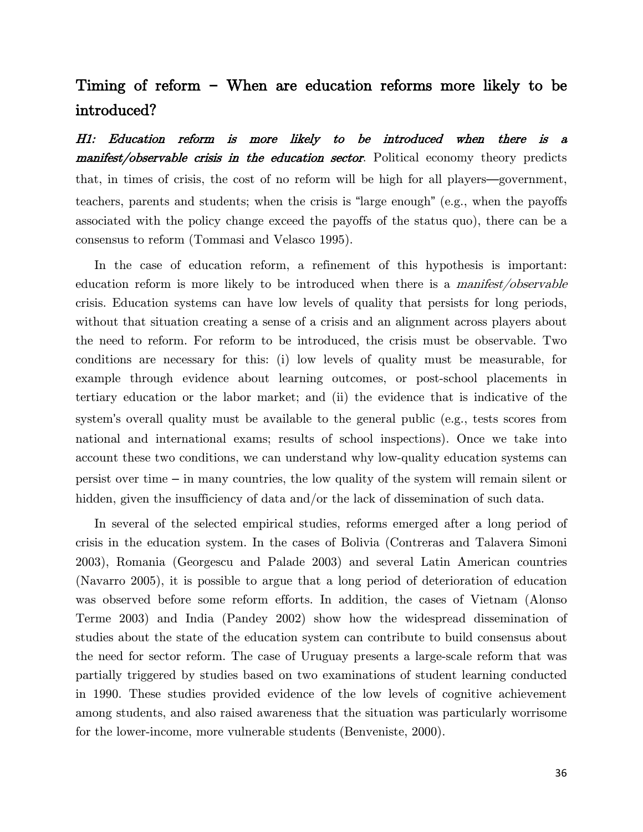# Timing of reform **–** When are education reforms more likely to be introduced?

H1: Education reform is more likely to be introduced when there is a manifest/observable crisis in the education sector. Political economy theory predicts that, in times of crisis, the cost of no reform will be high for all players—government, teachers, parents and students; when the crisis is "large enough" (e.g., when the payoffs associated with the policy change exceed the payoffs of the status quo), there can be a consensus to reform (Tommasi and Velasco 1995).

In the case of education reform, a refinement of this hypothesis is important: education reform is more likely to be introduced when there is a *manifest/observable* crisis. Education systems can have low levels of quality that persists for long periods, without that situation creating a sense of a crisis and an alignment across players about the need to reform. For reform to be introduced, the crisis must be observable. Two conditions are necessary for this: (i) low levels of quality must be measurable, for example through evidence about learning outcomes, or post-school placements in tertiary education or the labor market; and (ii) the evidence that is indicative of the system's overall quality must be available to the general public (e.g., tests scores from national and international exams; results of school inspections). Once we take into account these two conditions, we can understand why low-quality education systems can persist over time – in many countries, the low quality of the system will remain silent or hidden, given the insufficiency of data and/or the lack of dissemination of such data.

In several of the selected empirical studies, reforms emerged after a long period of crisis in the education system. In the cases of Bolivia (Contreras and Talavera Simoni 2003), Romania (Georgescu and Palade 2003) and several Latin American countries (Navarro 2005), it is possible to argue that a long period of deterioration of education was observed before some reform efforts. In addition, the cases of Vietnam (Alonso Terme 2003) and India (Pandey 2002) show how the widespread dissemination of studies about the state of the education system can contribute to build consensus about the need for sector reform. The case of Uruguay presents a large-scale reform that was partially triggered by studies based on two examinations of student learning conducted in 1990. These studies provided evidence of the low levels of cognitive achievement among students, and also raised awareness that the situation was particularly worrisome for the lower-income, more vulnerable students (Benveniste, 2000).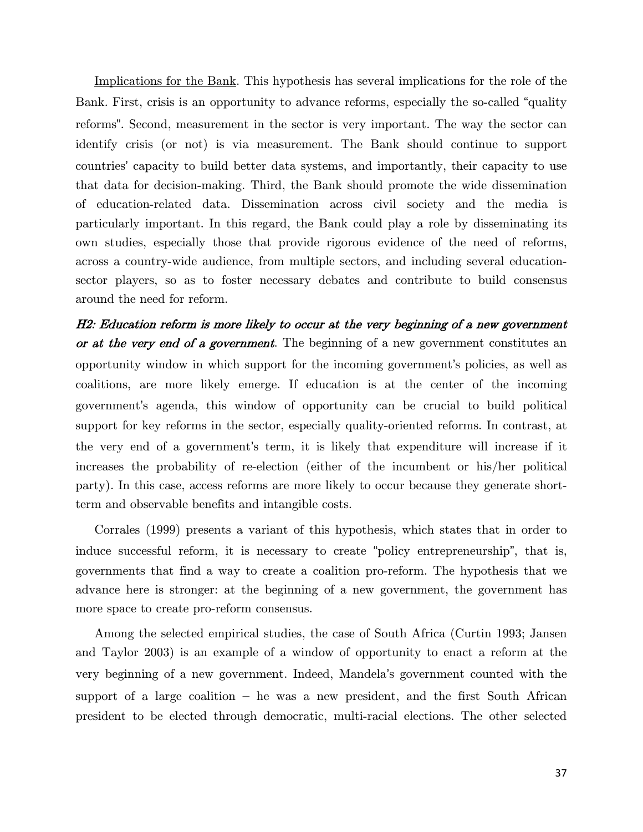Implications for the Bank. This hypothesis has several implications for the role of the Bank. First, crisis is an opportunity to advance reforms, especially the so-called "quality reforms". Second, measurement in the sector is very important. The way the sector can identify crisis (or not) is via measurement. The Bank should continue to support countries' capacity to build better data systems, and importantly, their capacity to use that data for decision-making. Third, the Bank should promote the wide dissemination of education-related data. Dissemination across civil society and the media is particularly important. In this regard, the Bank could play a role by disseminating its own studies, especially those that provide rigorous evidence of the need of reforms, across a country-wide audience, from multiple sectors, and including several educationsector players, so as to foster necessary debates and contribute to build consensus around the need for reform.

H2: Education reform is more likely to occur at the very beginning of a new government or at the very end of a government. The beginning of a new government constitutes an opportunity window in which support for the incoming government's policies, as well as coalitions, are more likely emerge. If education is at the center of the incoming government's agenda, this window of opportunity can be crucial to build political support for key reforms in the sector, especially quality-oriented reforms. In contrast, at the very end of a government's term, it is likely that expenditure will increase if it increases the probability of re-election (either of the incumbent or his/her political party). In this case, access reforms are more likely to occur because they generate shortterm and observable benefits and intangible costs.

Corrales (1999) presents a variant of this hypothesis, which states that in order to induce successful reform, it is necessary to create "policy entrepreneurship", that is, governments that find a way to create a coalition pro-reform. The hypothesis that we advance here is stronger: at the beginning of a new government, the government has more space to create pro-reform consensus.

Among the selected empirical studies, the case of South Africa (Curtin 1993; Jansen and Taylor 2003) is an example of a window of opportunity to enact a reform at the very beginning of a new government. Indeed, Mandela's government counted with the support of a large coalition – he was a new president, and the first South African president to be elected through democratic, multi-racial elections. The other selected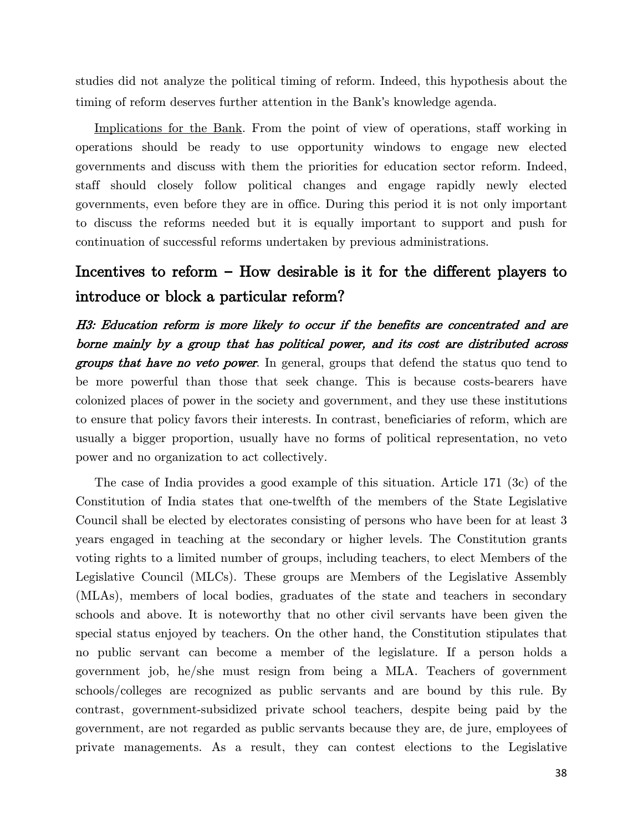studies did not analyze the political timing of reform. Indeed, this hypothesis about the timing of reform deserves further attention in the Bank's knowledge agenda.

Implications for the Bank. From the point of view of operations, staff working in operations should be ready to use opportunity windows to engage new elected governments and discuss with them the priorities for education sector reform. Indeed, staff should closely follow political changes and engage rapidly newly elected governments, even before they are in office. During this period it is not only important to discuss the reforms needed but it is equally important to support and push for continuation of successful reforms undertaken by previous administrations.

# Incentives to reform **–** How desirable is it for the different players to introduce or block a particular reform?

H3: Education reform is more likely to occur if the benefits are concentrated and are borne mainly by a group that has political power, and its cost are distributed across groups that have no veto power. In general, groups that defend the status quo tend to be more powerful than those that seek change. This is because costs-bearers have colonized places of power in the society and government, and they use these institutions to ensure that policy favors their interests. In contrast, beneficiaries of reform, which are usually a bigger proportion, usually have no forms of political representation, no veto power and no organization to act collectively.

The case of India provides a good example of this situation. Article 171 (3c) of the Constitution of India states that one-twelfth of the members of the State Legislative Council shall be elected by electorates consisting of persons who have been for at least 3 years engaged in teaching at the secondary or higher levels. The Constitution grants voting rights to a limited number of groups, including teachers, to elect Members of the Legislative Council (MLCs). These groups are Members of the Legislative Assembly (MLAs), members of local bodies, graduates of the state and teachers in secondary schools and above. It is noteworthy that no other civil servants have been given the special status enjoyed by teachers. On the other hand, the Constitution stipulates that no public servant can become a member of the legislature. If a person holds a government job, he/she must resign from being a MLA. Teachers of government schools/colleges are recognized as public servants and are bound by this rule. By contrast, government-subsidized private school teachers, despite being paid by the government, are not regarded as public servants because they are, de jure, employees of private managements. As a result, they can contest elections to the Legislative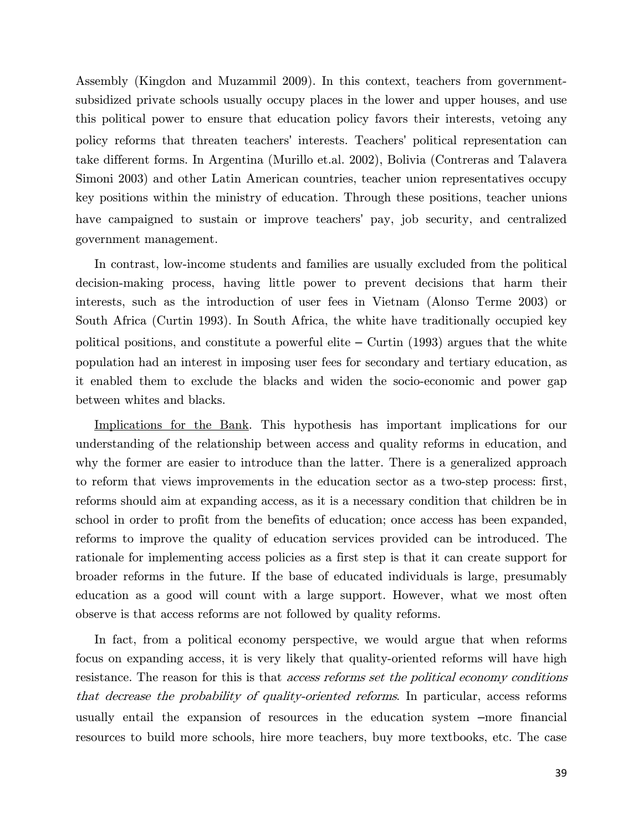Assembly (Kingdon and Muzammil 2009). In this context, teachers from governmentsubsidized private schools usually occupy places in the lower and upper houses, and use this political power to ensure that education policy favors their interests, vetoing any policy reforms that threaten teachers' interests. Teachers' political representation can take different forms. In Argentina (Murillo et.al. 2002), Bolivia (Contreras and Talavera Simoni 2003) and other Latin American countries, teacher union representatives occupy key positions within the ministry of education. Through these positions, teacher unions have campaigned to sustain or improve teachers' pay, job security, and centralized government management.

In contrast, low-income students and families are usually excluded from the political decision-making process, having little power to prevent decisions that harm their interests, such as the introduction of user fees in Vietnam (Alonso Terme 2003) or South Africa (Curtin 1993). In South Africa, the white have traditionally occupied key political positions, and constitute a powerful elite  $-$  Curtin (1993) argues that the white population had an interest in imposing user fees for secondary and tertiary education, as it enabled them to exclude the blacks and widen the socio-economic and power gap between whites and blacks.

Implications for the Bank. This hypothesis has important implications for our understanding of the relationship between access and quality reforms in education, and why the former are easier to introduce than the latter. There is a generalized approach to reform that views improvements in the education sector as a two-step process: first, reforms should aim at expanding access, as it is a necessary condition that children be in school in order to profit from the benefits of education; once access has been expanded, reforms to improve the quality of education services provided can be introduced. The rationale for implementing access policies as a first step is that it can create support for broader reforms in the future. If the base of educated individuals is large, presumably education as a good will count with a large support. However, what we most often observe is that access reforms are not followed by quality reforms.

In fact, from a political economy perspective, we would argue that when reforms focus on expanding access, it is very likely that quality-oriented reforms will have high resistance. The reason for this is that *access reforms set the political economy conditions* that decrease the probability of quality-oriented reforms. In particular, access reforms usually entail the expansion of resources in the education system –more financial resources to build more schools, hire more teachers, buy more textbooks, etc. The case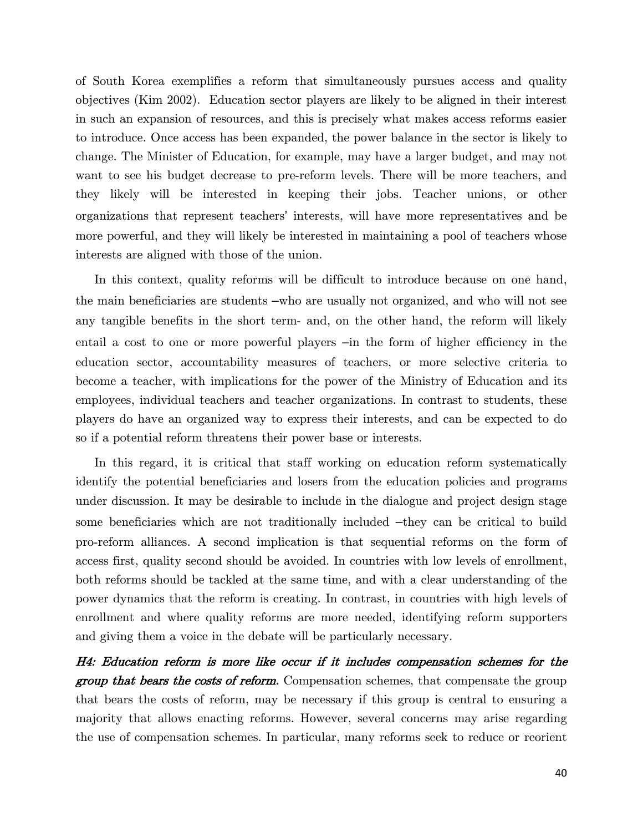of South Korea exemplifies a reform that simultaneously pursues access and quality objectives (Kim 2002). Education sector players are likely to be aligned in their interest in such an expansion of resources, and this is precisely what makes access reforms easier to introduce. Once access has been expanded, the power balance in the sector is likely to change. The Minister of Education, for example, may have a larger budget, and may not want to see his budget decrease to pre-reform levels. There will be more teachers, and they likely will be interested in keeping their jobs. Teacher unions, or other organizations that represent teachers' interests, will have more representatives and be more powerful, and they will likely be interested in maintaining a pool of teachers whose interests are aligned with those of the union.

In this context, quality reforms will be difficult to introduce because on one hand, the main beneficiaries are students –who are usually not organized, and who will not see any tangible benefits in the short term- and, on the other hand, the reform will likely entail a cost to one or more powerful players –in the form of higher efficiency in the education sector, accountability measures of teachers, or more selective criteria to become a teacher, with implications for the power of the Ministry of Education and its employees, individual teachers and teacher organizations. In contrast to students, these players do have an organized way to express their interests, and can be expected to do so if a potential reform threatens their power base or interests.

In this regard, it is critical that staff working on education reform systematically identify the potential beneficiaries and losers from the education policies and programs under discussion. It may be desirable to include in the dialogue and project design stage some beneficiaries which are not traditionally included –they can be critical to build pro-reform alliances. A second implication is that sequential reforms on the form of access first, quality second should be avoided. In countries with low levels of enrollment, both reforms should be tackled at the same time, and with a clear understanding of the power dynamics that the reform is creating. In contrast, in countries with high levels of enrollment and where quality reforms are more needed, identifying reform supporters and giving them a voice in the debate will be particularly necessary.

H4: Education reform is more like occur if it includes compensation schemes for the group that bears the costs of reform. Compensation schemes, that compensate the group that bears the costs of reform, may be necessary if this group is central to ensuring a majority that allows enacting reforms. However, several concerns may arise regarding the use of compensation schemes. In particular, many reforms seek to reduce or reorient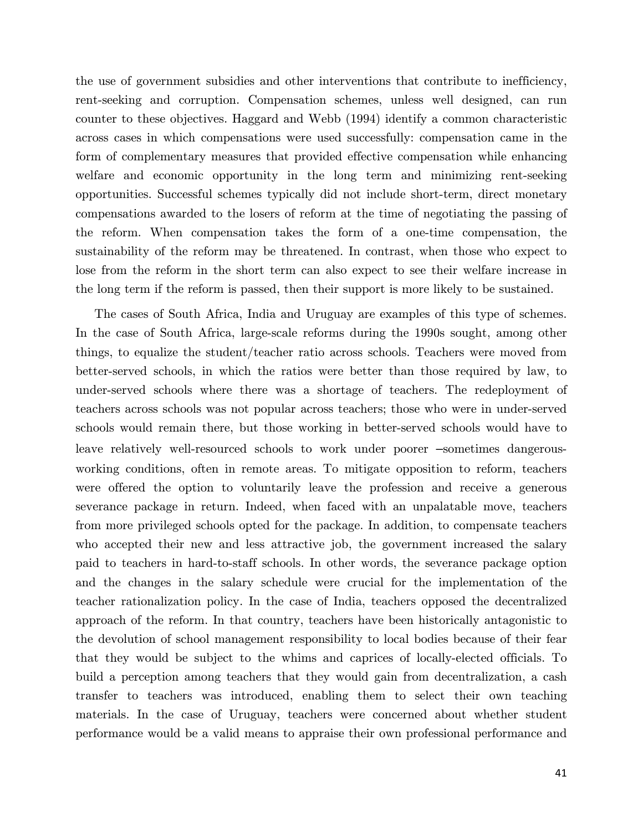the use of government subsidies and other interventions that contribute to inefficiency, rent-seeking and corruption. Compensation schemes, unless well designed, can run counter to these objectives. Haggard and Webb (1994) identify a common characteristic across cases in which compensations were used successfully: compensation came in the form of complementary measures that provided effective compensation while enhancing welfare and economic opportunity in the long term and minimizing rent-seeking opportunities. Successful schemes typically did not include short-term, direct monetary compensations awarded to the losers of reform at the time of negotiating the passing of the reform. When compensation takes the form of a one-time compensation, the sustainability of the reform may be threatened. In contrast, when those who expect to lose from the reform in the short term can also expect to see their welfare increase in the long term if the reform is passed, then their support is more likely to be sustained.

The cases of South Africa, India and Uruguay are examples of this type of schemes. In the case of South Africa, large-scale reforms during the 1990s sought, among other things, to equalize the student/teacher ratio across schools. Teachers were moved from better-served schools, in which the ratios were better than those required by law, to under-served schools where there was a shortage of teachers. The redeployment of teachers across schools was not popular across teachers; those who were in under-served schools would remain there, but those working in better-served schools would have to leave relatively well-resourced schools to work under poorer –sometimes dangerousworking conditions, often in remote areas. To mitigate opposition to reform, teachers were offered the option to voluntarily leave the profession and receive a generous severance package in return. Indeed, when faced with an unpalatable move, teachers from more privileged schools opted for the package. In addition, to compensate teachers who accepted their new and less attractive job, the government increased the salary paid to teachers in hard-to-staff schools. In other words, the severance package option and the changes in the salary schedule were crucial for the implementation of the teacher rationalization policy. In the case of India, teachers opposed the decentralized approach of the reform. In that country, teachers have been historically antagonistic to the devolution of school management responsibility to local bodies because of their fear that they would be subject to the whims and caprices of locally-elected officials. To build a perception among teachers that they would gain from decentralization, a cash transfer to teachers was introduced, enabling them to select their own teaching materials. In the case of Uruguay, teachers were concerned about whether student performance would be a valid means to appraise their own professional performance and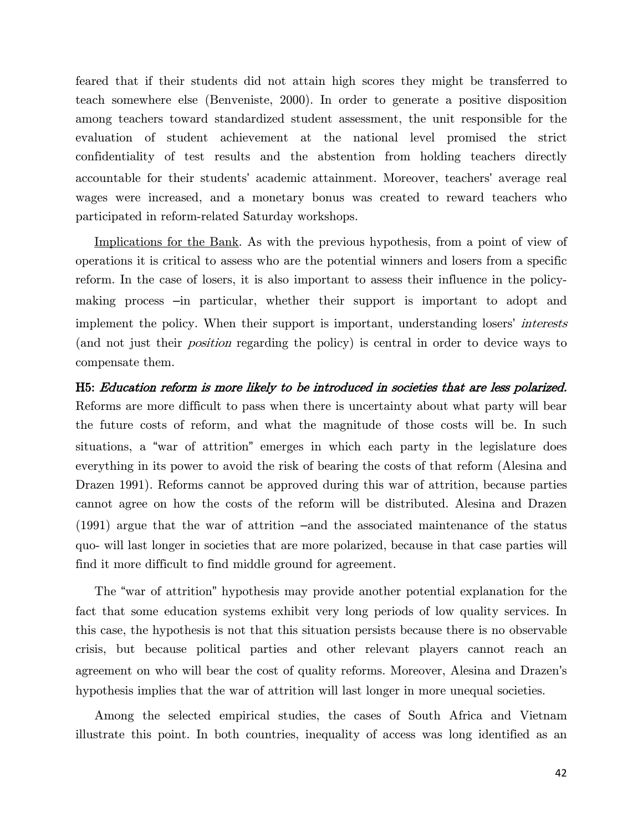feared that if their students did not attain high scores they might be transferred to teach somewhere else (Benveniste, 2000). In order to generate a positive disposition among teachers toward standardized student assessment, the unit responsible for the evaluation of student achievement at the national level promised the strict confidentiality of test results and the abstention from holding teachers directly accountable for their students' academic attainment. Moreover, teachers' average real wages were increased, and a monetary bonus was created to reward teachers who participated in reform-related Saturday workshops.

Implications for the Bank. As with the previous hypothesis, from a point of view of operations it is critical to assess who are the potential winners and losers from a specific reform. In the case of losers, it is also important to assess their influence in the policymaking process –in particular, whether their support is important to adopt and implement the policy. When their support is important, understanding losers' *interests* (and not just their position regarding the policy) is central in order to device ways to compensate them.

H5: Education reform is more likely to be introduced in societies that are less polarized. Reforms are more difficult to pass when there is uncertainty about what party will bear the future costs of reform, and what the magnitude of those costs will be. In such situations, a "war of attrition" emerges in which each party in the legislature does everything in its power to avoid the risk of bearing the costs of that reform (Alesina and Drazen 1991). Reforms cannot be approved during this war of attrition, because parties cannot agree on how the costs of the reform will be distributed. Alesina and Drazen (1991) argue that the war of attrition –and the associated maintenance of the status quo- will last longer in societies that are more polarized, because in that case parties will find it more difficult to find middle ground for agreement.

The "war of attrition" hypothesis may provide another potential explanation for the fact that some education systems exhibit very long periods of low quality services. In this case, the hypothesis is not that this situation persists because there is no observable crisis, but because political parties and other relevant players cannot reach an agreement on who will bear the cost of quality reforms. Moreover, Alesina and Drazen's hypothesis implies that the war of attrition will last longer in more unequal societies.

Among the selected empirical studies, the cases of South Africa and Vietnam illustrate this point. In both countries, inequality of access was long identified as an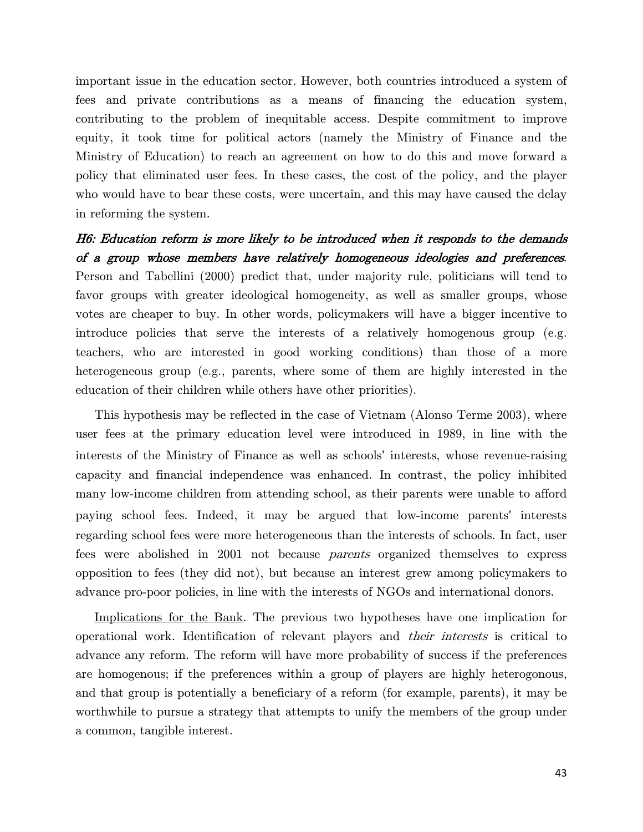important issue in the education sector. However, both countries introduced a system of fees and private contributions as a means of financing the education system, contributing to the problem of inequitable access. Despite commitment to improve equity, it took time for political actors (namely the Ministry of Finance and the Ministry of Education) to reach an agreement on how to do this and move forward a policy that eliminated user fees. In these cases, the cost of the policy, and the player who would have to bear these costs, were uncertain, and this may have caused the delay in reforming the system.

H6: Education reform is more likely to be introduced when it responds to the demands of a group whose members have relatively homogeneous ideologies and preferences. Person and Tabellini (2000) predict that, under majority rule, politicians will tend to favor groups with greater ideological homogeneity, as well as smaller groups, whose votes are cheaper to buy. In other words, policymakers will have a bigger incentive to introduce policies that serve the interests of a relatively homogenous group (e.g. teachers, who are interested in good working conditions) than those of a more heterogeneous group (e.g., parents, where some of them are highly interested in the education of their children while others have other priorities).

This hypothesis may be reflected in the case of Vietnam (Alonso Terme 2003), where user fees at the primary education level were introduced in 1989, in line with the interests of the Ministry of Finance as well as schools' interests, whose revenue-raising capacity and financial independence was enhanced. In contrast, the policy inhibited many low-income children from attending school, as their parents were unable to afford paying school fees. Indeed, it may be argued that low-income parents' interests regarding school fees were more heterogeneous than the interests of schools. In fact, user fees were abolished in 2001 not because parents organized themselves to express opposition to fees (they did not), but because an interest grew among policymakers to advance pro-poor policies, in line with the interests of NGOs and international donors.

Implications for the Bank. The previous two hypotheses have one implication for operational work. Identification of relevant players and their interests is critical to advance any reform. The reform will have more probability of success if the preferences are homogenous; if the preferences within a group of players are highly heterogonous, and that group is potentially a beneficiary of a reform (for example, parents), it may be worthwhile to pursue a strategy that attempts to unify the members of the group under a common, tangible interest.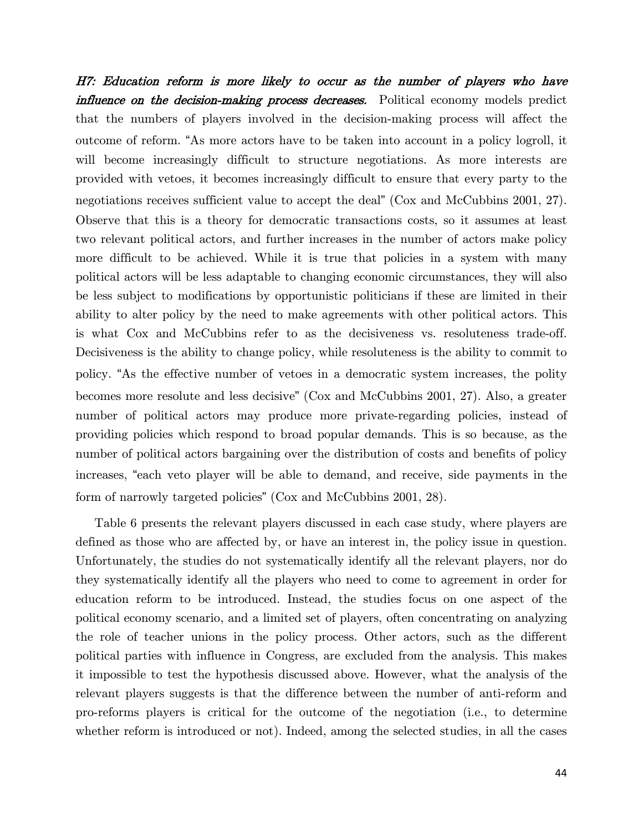H7: Education reform is more likely to occur as the number of players who have influence on the decision-making process decreases. Political economy models predict that the numbers of players involved in the decision-making process will affect the outcome of reform. "As more actors have to be taken into account in a policy logroll, it will become increasingly difficult to structure negotiations. As more interests are provided with vetoes, it becomes increasingly difficult to ensure that every party to the negotiations receives sufficient value to accept the deal" (Cox and McCubbins 2001, 27). Observe that this is a theory for democratic transactions costs, so it assumes at least two relevant political actors, and further increases in the number of actors make policy more difficult to be achieved. While it is true that policies in a system with many political actors will be less adaptable to changing economic circumstances, they will also be less subject to modifications by opportunistic politicians if these are limited in their ability to alter policy by the need to make agreements with other political actors. This is what Cox and McCubbins refer to as the decisiveness vs. resoluteness trade-off. Decisiveness is the ability to change policy, while resoluteness is the ability to commit to policy. "As the effective number of vetoes in a democratic system increases, the polity becomes more resolute and less decisive" (Cox and McCubbins 2001, 27). Also, a greater number of political actors may produce more private-regarding policies, instead of providing policies which respond to broad popular demands. This is so because, as the number of political actors bargaining over the distribution of costs and benefits of policy increases, "each veto player will be able to demand, and receive, side payments in the form of narrowly targeted policies" (Cox and McCubbins 2001, 28).

[Table 6](#page-51-0) presents the relevant players discussed in each case study, where players are defined as those who are affected by, or have an interest in, the policy issue in question. Unfortunately, the studies do not systematically identify all the relevant players, nor do they systematically identify all the players who need to come to agreement in order for education reform to be introduced. Instead, the studies focus on one aspect of the political economy scenario, and a limited set of players, often concentrating on analyzing the role of teacher unions in the policy process. Other actors, such as the different political parties with influence in Congress, are excluded from the analysis. This makes it impossible to test the hypothesis discussed above. However, what the analysis of the relevant players suggests is that the difference between the number of anti-reform and pro-reforms players is critical for the outcome of the negotiation (i.e., to determine whether reform is introduced or not). Indeed, among the selected studies, in all the cases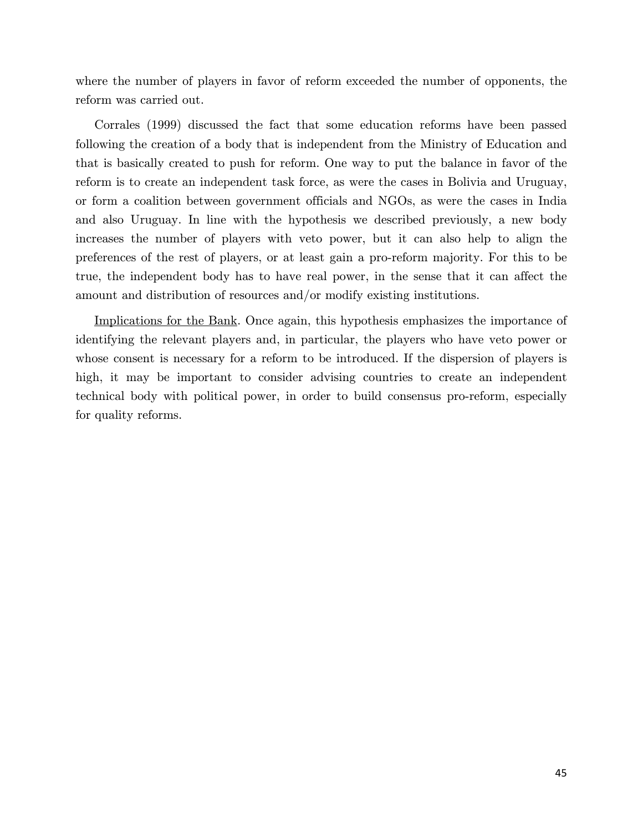where the number of players in favor of reform exceeded the number of opponents, the reform was carried out.

Corrales (1999) discussed the fact that some education reforms have been passed following the creation of a body that is independent from the Ministry of Education and that is basically created to push for reform. One way to put the balance in favor of the reform is to create an independent task force, as were the cases in Bolivia and Uruguay, or form a coalition between government officials and NGOs, as were the cases in India and also Uruguay. In line with the hypothesis we described previously, a new body increases the number of players with veto power, but it can also help to align the preferences of the rest of players, or at least gain a pro-reform majority. For this to be true, the independent body has to have real power, in the sense that it can affect the amount and distribution of resources and/or modify existing institutions.

Implications for the Bank. Once again, this hypothesis emphasizes the importance of identifying the relevant players and, in particular, the players who have veto power or whose consent is necessary for a reform to be introduced. If the dispersion of players is high, it may be important to consider advising countries to create an independent technical body with political power, in order to build consensus pro-reform, especially for quality reforms.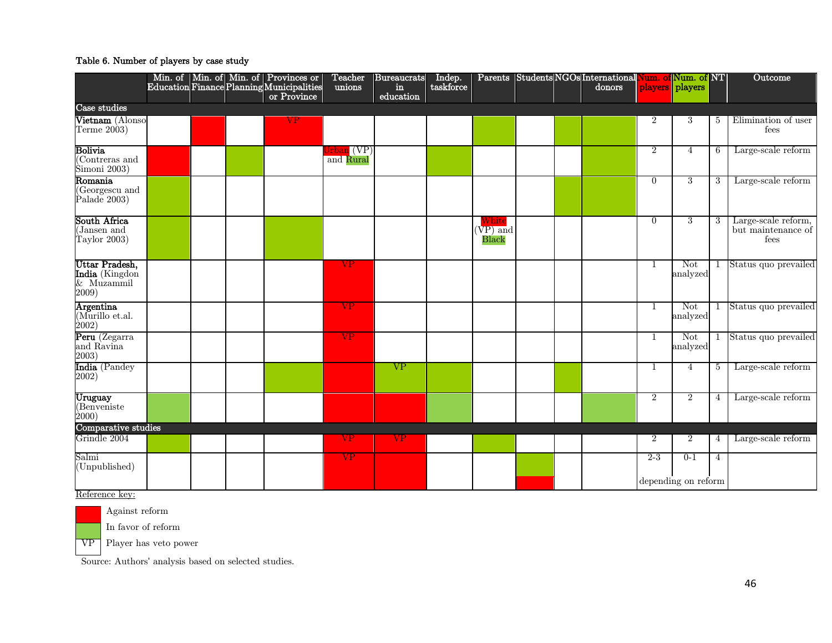#### Table 6. Number of players by case study

<span id="page-51-0"></span>

|                                                            |  | Min. of Min. of Min. of Provinces or<br>Education Finance Planning Municipalities | Teacher<br>unions                                                | Bureaucrats<br>in. | Indep.<br>taskforce |                                         |  | Parents Students NGOs International Num. of Num. of NT<br>donors |                | players players     |                | Outcome                                           |
|------------------------------------------------------------|--|-----------------------------------------------------------------------------------|------------------------------------------------------------------|--------------------|---------------------|-----------------------------------------|--|------------------------------------------------------------------|----------------|---------------------|----------------|---------------------------------------------------|
|                                                            |  | or Province                                                                       |                                                                  | education          |                     |                                         |  |                                                                  |                |                     |                |                                                   |
| Case studies                                               |  |                                                                                   |                                                                  |                    |                     |                                         |  |                                                                  |                |                     |                |                                                   |
| Vietnam (Alonso<br>Terme $2003$ )                          |  | VP                                                                                |                                                                  |                    |                     |                                         |  |                                                                  | 2              | 3                   | 5              | Elimination of user<br>fees                       |
| Bolivia<br>(Contreras and<br>Šimoni 2003)                  |  |                                                                                   | J $\mathop{\rm rban}\nolimits\left({\rm VP}\right)$<br>and Rural |                    |                     |                                         |  |                                                                  | $\overline{2}$ | $\overline{4}$      | 6              | Large-scale reform                                |
| $\operatorname{Romania}$<br>(Georgescu and<br>Palade 2003) |  |                                                                                   |                                                                  |                    |                     |                                         |  |                                                                  | $\overline{0}$ | 3                   | 3              | Large-scale reform                                |
| South Africa<br>(Jansen and<br>Taylor 2003)                |  |                                                                                   |                                                                  |                    |                     | $W\mathrm{hite}$<br>$(VP)$ and<br>Black |  |                                                                  | $\overline{0}$ | 3                   | 3              | Large-scale reform,<br>but maintenance of<br>fees |
| Uttar Pradesh,<br>India (Kingdon<br>& Muzammil<br>2009)    |  |                                                                                   | VP.                                                              |                    |                     |                                         |  |                                                                  | -1             | Not<br>analyzed     |                | 1 Status quo prevailed                            |
| <b>Argentina</b><br>$Murillo$ et.al.<br>$\dot{2}002)$      |  |                                                                                   | VP                                                               |                    |                     |                                         |  |                                                                  | 1              | Not<br>analyzed     |                | 1 Status quo prevailed                            |
| Peru (Zegarra<br>and Ravina<br>2003)                       |  |                                                                                   | VP                                                               |                    |                     |                                         |  |                                                                  | 1              | Not<br>analyzed     |                | 1 Status quo prevailed                            |
| India (Pandey<br>2002)                                     |  |                                                                                   |                                                                  | <b>VP</b>          |                     |                                         |  |                                                                  | 1              | $\overline{4}$      | 5              | Large-scale reform                                |
| Uruguay<br>(Benveniste<br>$\dot{2}000)$                    |  |                                                                                   |                                                                  |                    |                     |                                         |  |                                                                  | 2              | $\overline{2}$      | 4              | Large-scale reform                                |
| Comparative studies                                        |  |                                                                                   |                                                                  |                    |                     |                                         |  |                                                                  |                |                     |                |                                                   |
| Grindle 2004                                               |  |                                                                                   | VP                                                               | VP                 |                     |                                         |  |                                                                  | 2              | $\overline{2}$      | 4              | Large-scale reform                                |
| Salmi<br>(Unpublished)                                     |  |                                                                                   | VP                                                               |                    |                     |                                         |  |                                                                  | $2 - 3$        | $0 - 1$             | $\overline{4}$ |                                                   |
|                                                            |  |                                                                                   |                                                                  |                    |                     |                                         |  |                                                                  |                | depending on reform |                |                                                   |

Reference key:



Against reform

In favor of reform

VP Player has veto power

Source: Authors' analysis based on selected studies.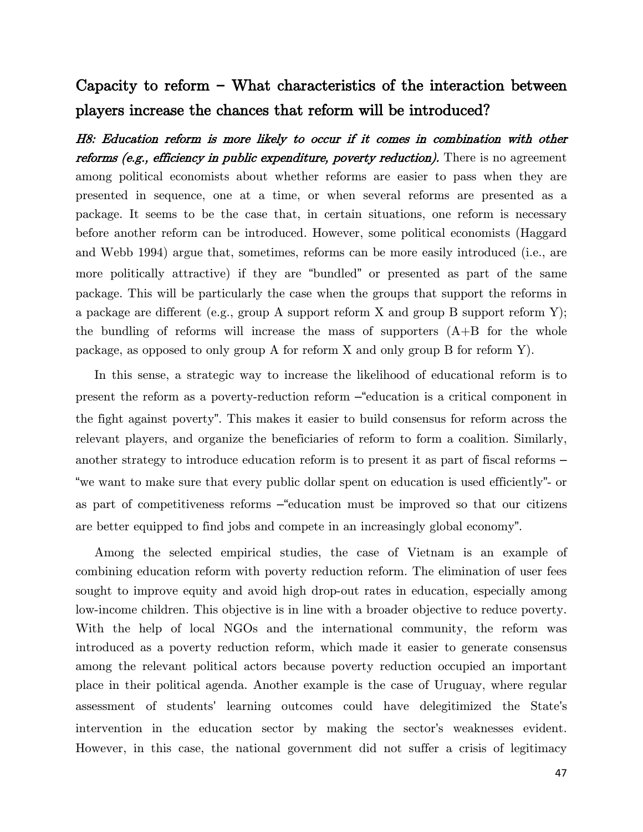# Capacity to reform **–** What characteristics of the interaction between players increase the chances that reform will be introduced?

H8: Education reform is more likely to occur if it comes in combination with other reforms (e.g., efficiency in public expenditure, poverty reduction). There is no agreement among political economists about whether reforms are easier to pass when they are presented in sequence, one at a time, or when several reforms are presented as a package. It seems to be the case that, in certain situations, one reform is necessary before another reform can be introduced. However, some political economists (Haggard and Webb 1994) argue that, sometimes, reforms can be more easily introduced (i.e., are more politically attractive) if they are "bundled" or presented as part of the same package. This will be particularly the case when the groups that support the reforms in a package are different (e.g., group A support reform X and group B support reform Y); the bundling of reforms will increase the mass of supporters  $(A+B)$  for the whole package, as opposed to only group A for reform X and only group B for reform Y).

In this sense, a strategic way to increase the likelihood of educational reform is to present the reform as a poverty-reduction reform –"education is a critical component in the fight against poverty". This makes it easier to build consensus for reform across the relevant players, and organize the beneficiaries of reform to form a coalition. Similarly, another strategy to introduce education reform is to present it as part of fiscal reforms – "we want to make sure that every public dollar spent on education is used efficiently"- or as part of competitiveness reforms –"education must be improved so that our citizens are better equipped to find jobs and compete in an increasingly global economy".

Among the selected empirical studies, the case of Vietnam is an example of combining education reform with poverty reduction reform. The elimination of user fees sought to improve equity and avoid high drop-out rates in education, especially among low-income children. This objective is in line with a broader objective to reduce poverty. With the help of local NGOs and the international community, the reform was introduced as a poverty reduction reform, which made it easier to generate consensus among the relevant political actors because poverty reduction occupied an important place in their political agenda. Another example is the case of Uruguay, where regular assessment of students' learning outcomes could have delegitimized the State's intervention in the education sector by making the sector's weaknesses evident. However, in this case, the national government did not suffer a crisis of legitimacy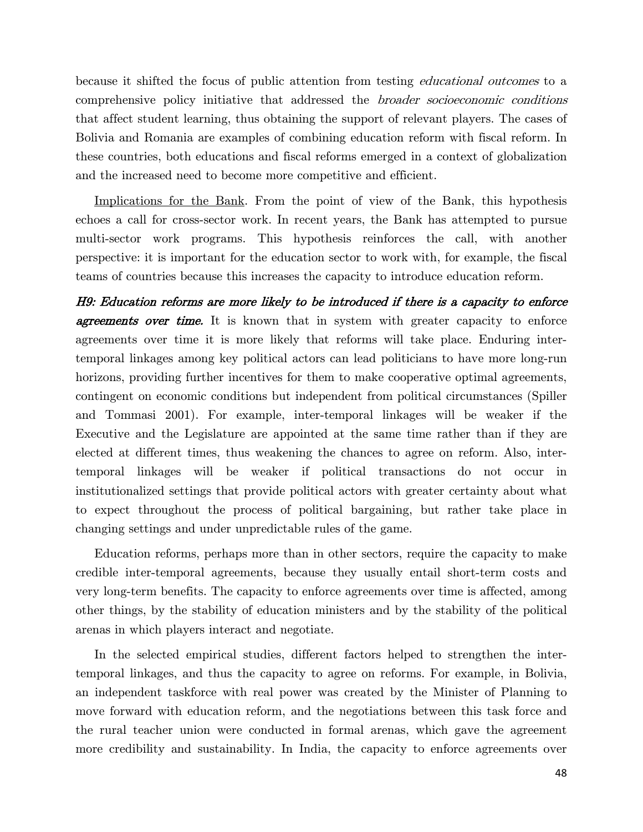because it shifted the focus of public attention from testing educational outcomes to a comprehensive policy initiative that addressed the broader socioeconomic conditions that affect student learning, thus obtaining the support of relevant players. The cases of Bolivia and Romania are examples of combining education reform with fiscal reform. In these countries, both educations and fiscal reforms emerged in a context of globalization and the increased need to become more competitive and efficient.

Implications for the Bank. From the point of view of the Bank, this hypothesis echoes a call for cross-sector work. In recent years, the Bank has attempted to pursue multi-sector work programs. This hypothesis reinforces the call, with another perspective: it is important for the education sector to work with, for example, the fiscal teams of countries because this increases the capacity to introduce education reform.

H9: Education reforms are more likely to be introduced if there is a capacity to enforce **agreements over time.** It is known that in system with greater capacity to enforce agreements over time it is more likely that reforms will take place. Enduring intertemporal linkages among key political actors can lead politicians to have more long-run horizons, providing further incentives for them to make cooperative optimal agreements, contingent on economic conditions but independent from political circumstances (Spiller and Tommasi 2001). For example, inter-temporal linkages will be weaker if the Executive and the Legislature are appointed at the same time rather than if they are elected at different times, thus weakening the chances to agree on reform. Also, intertemporal linkages will be weaker if political transactions do not occur in institutionalized settings that provide political actors with greater certainty about what to expect throughout the process of political bargaining, but rather take place in changing settings and under unpredictable rules of the game.

Education reforms, perhaps more than in other sectors, require the capacity to make credible inter-temporal agreements, because they usually entail short-term costs and very long-term benefits. The capacity to enforce agreements over time is affected, among other things, by the stability of education ministers and by the stability of the political arenas in which players interact and negotiate.

In the selected empirical studies, different factors helped to strengthen the intertemporal linkages, and thus the capacity to agree on reforms. For example, in Bolivia, an independent taskforce with real power was created by the Minister of Planning to move forward with education reform, and the negotiations between this task force and the rural teacher union were conducted in formal arenas, which gave the agreement more credibility and sustainability. In India, the capacity to enforce agreements over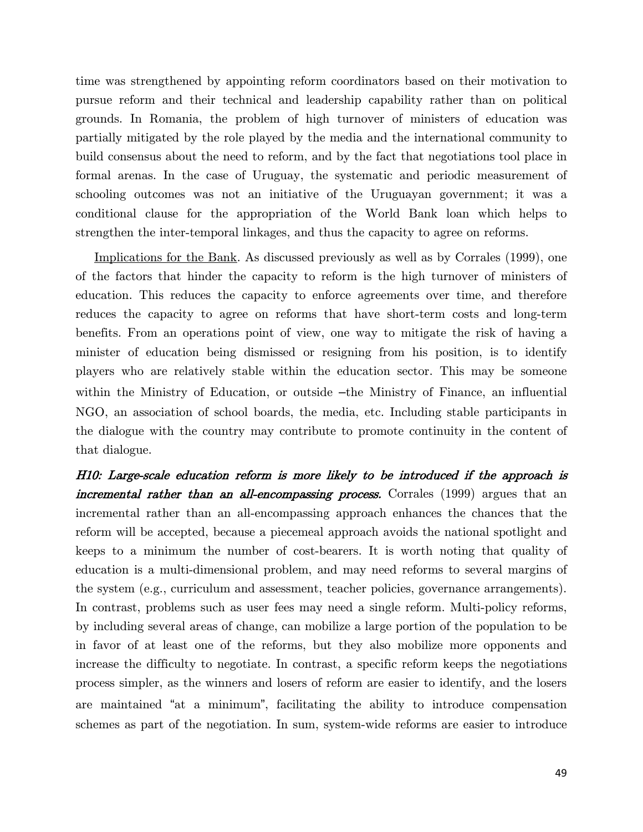time was strengthened by appointing reform coordinators based on their motivation to pursue reform and their technical and leadership capability rather than on political grounds. In Romania, the problem of high turnover of ministers of education was partially mitigated by the role played by the media and the international community to build consensus about the need to reform, and by the fact that negotiations tool place in formal arenas. In the case of Uruguay, the systematic and periodic measurement of schooling outcomes was not an initiative of the Uruguayan government; it was a conditional clause for the appropriation of the World Bank loan which helps to strengthen the inter-temporal linkages, and thus the capacity to agree on reforms.

Implications for the Bank. As discussed previously as well as by Corrales (1999), one of the factors that hinder the capacity to reform is the high turnover of ministers of education. This reduces the capacity to enforce agreements over time, and therefore reduces the capacity to agree on reforms that have short-term costs and long-term benefits. From an operations point of view, one way to mitigate the risk of having a minister of education being dismissed or resigning from his position, is to identify players who are relatively stable within the education sector. This may be someone within the Ministry of Education, or outside –the Ministry of Finance, an influential NGO, an association of school boards, the media, etc. Including stable participants in the dialogue with the country may contribute to promote continuity in the content of that dialogue.

H10: Large-scale education reform is more likely to be introduced if the approach is incremental rather than an all-encompassing process. Corrales (1999) argues that an incremental rather than an all-encompassing approach enhances the chances that the reform will be accepted, because a piecemeal approach avoids the national spotlight and keeps to a minimum the number of cost-bearers. It is worth noting that quality of education is a multi-dimensional problem, and may need reforms to several margins of the system (e.g., curriculum and assessment, teacher policies, governance arrangements). In contrast, problems such as user fees may need a single reform. Multi-policy reforms, by including several areas of change, can mobilize a large portion of the population to be in favor of at least one of the reforms, but they also mobilize more opponents and increase the difficulty to negotiate. In contrast, a specific reform keeps the negotiations process simpler, as the winners and losers of reform are easier to identify, and the losers are maintained "at a minimum", facilitating the ability to introduce compensation schemes as part of the negotiation. In sum, system-wide reforms are easier to introduce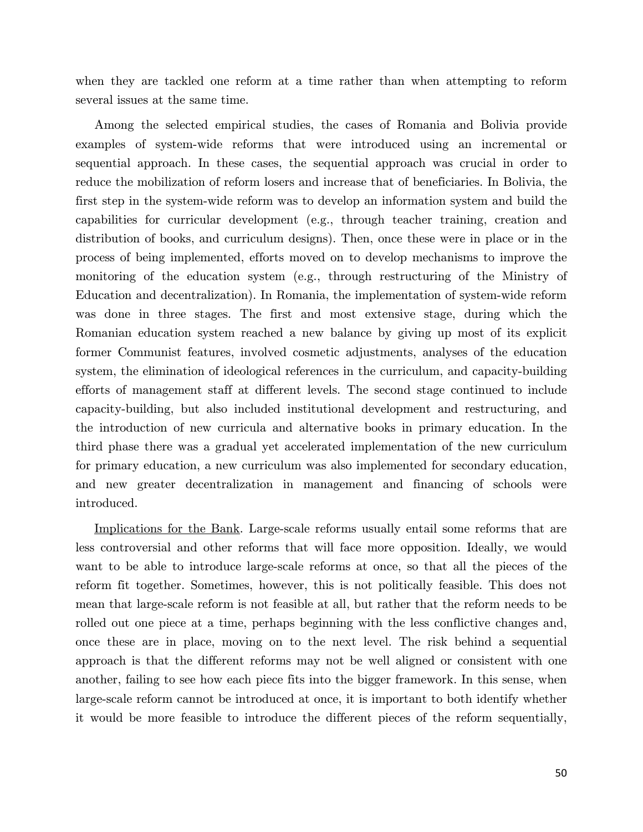when they are tackled one reform at a time rather than when attempting to reform several issues at the same time.

Among the selected empirical studies, the cases of Romania and Bolivia provide examples of system-wide reforms that were introduced using an incremental or sequential approach. In these cases, the sequential approach was crucial in order to reduce the mobilization of reform losers and increase that of beneficiaries. In Bolivia, the first step in the system-wide reform was to develop an information system and build the capabilities for curricular development (e.g., through teacher training, creation and distribution of books, and curriculum designs). Then, once these were in place or in the process of being implemented, efforts moved on to develop mechanisms to improve the monitoring of the education system (e.g., through restructuring of the Ministry of Education and decentralization). In Romania, the implementation of system-wide reform was done in three stages. The first and most extensive stage, during which the Romanian education system reached a new balance by giving up most of its explicit former Communist features, involved cosmetic adjustments, analyses of the education system, the elimination of ideological references in the curriculum, and capacity-building efforts of management staff at different levels. The second stage continued to include capacity-building, but also included institutional development and restructuring, and the introduction of new curricula and alternative books in primary education. In the third phase there was a gradual yet accelerated implementation of the new curriculum for primary education, a new curriculum was also implemented for secondary education, and new greater decentralization in management and financing of schools were introduced.

Implications for the Bank. Large-scale reforms usually entail some reforms that are less controversial and other reforms that will face more opposition. Ideally, we would want to be able to introduce large-scale reforms at once, so that all the pieces of the reform fit together. Sometimes, however, this is not politically feasible. This does not mean that large-scale reform is not feasible at all, but rather that the reform needs to be rolled out one piece at a time, perhaps beginning with the less conflictive changes and, once these are in place, moving on to the next level. The risk behind a sequential approach is that the different reforms may not be well aligned or consistent with one another, failing to see how each piece fits into the bigger framework. In this sense, when large-scale reform cannot be introduced at once, it is important to both identify whether it would be more feasible to introduce the different pieces of the reform sequentially,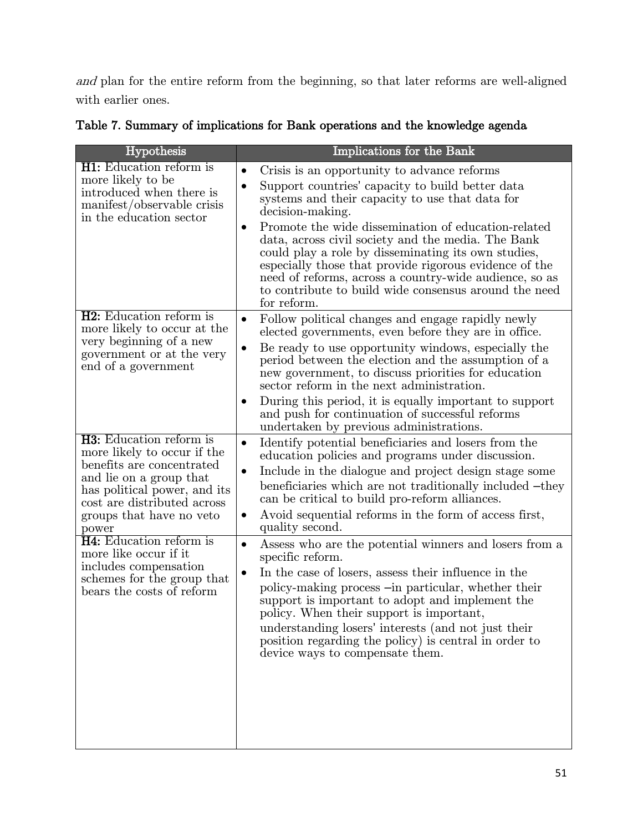and plan for the entire reform from the beginning, so that later reforms are well-aligned with earlier ones.

|  |  |  | Table 7. Summary of implications for Bank operations and the knowledge agenda |  |
|--|--|--|-------------------------------------------------------------------------------|--|
|  |  |  |                                                                               |  |

| Hypothesis                                                                                                                                                                                                                | Implications for the Bank                                                                                                                                                                                                                                                                                                                                                                                                                                                                                                                                                     |
|---------------------------------------------------------------------------------------------------------------------------------------------------------------------------------------------------------------------------|-------------------------------------------------------------------------------------------------------------------------------------------------------------------------------------------------------------------------------------------------------------------------------------------------------------------------------------------------------------------------------------------------------------------------------------------------------------------------------------------------------------------------------------------------------------------------------|
| <b>H1:</b> Education reform is<br>more likely to be<br>introduced when there is<br>manifest/observable crisis<br>in the education sector                                                                                  | Crisis is an opportunity to advance reforms<br>$\bullet$<br>Support countries' capacity to build better data<br>$\bullet$<br>systems and their capacity to use that data for<br>decision-making.<br>Promote the wide dissemination of education-related<br>$\bullet$<br>data, across civil society and the media. The Bank<br>could play a role by disseminating its own studies,<br>especially those that provide rigorous evidence of the<br>need of reforms, across a country-wide audience, so as<br>to contribute to build wide consensus around the need<br>for reform. |
| <b>H2</b> : Education reform is<br>more likely to occur at the<br>very beginning of a new<br>government or at the very<br>end of a government                                                                             | Follow political changes and engage rapidly newly<br>$\bullet$<br>elected governments, even before they are in office.<br>Be ready to use opportunity windows, especially the<br>$\bullet$<br>period between the election and the assumption of a<br>new government, to discuss priorities for education<br>sector reform in the next administration.<br>During this period, it is equally important to support<br>$\bullet$<br>and push for continuation of successful reforms<br>undertaken by previous administrations.                                                    |
| <b>H3:</b> Education reform is<br>more likely to occur if the<br>benefits are concentrated<br>and lie on a group that<br>has political power, and its<br>cost are distributed across<br>groups that have no veto<br>power | Identify potential beneficiaries and losers from the<br>$\bullet$<br>education policies and programs under discussion.<br>Include in the dialogue and project design stage some<br>$\bullet$<br>beneficiaries which are not traditionally included -they<br>can be critical to build pro-reform alliances.<br>Avoid sequential reforms in the form of access first,<br>$\bullet$<br>quality second.                                                                                                                                                                           |
| <b>H4:</b> Education reform is<br>more like occur if it<br>includes compensation<br>schemes for the group that<br>bears the costs of reform                                                                               | Assess who are the potential winners and losers from a<br>$\bullet$<br>specific reform.<br>In the case of losers, assess their influence in the<br>$\bullet$<br>policy-making process -in particular, whether their<br>support is important to adopt and implement the<br>policy. When their support is important,<br>understanding losers' interests (and not just their<br>position regarding the policy) is central in order to<br>device ways to compensate them.                                                                                                         |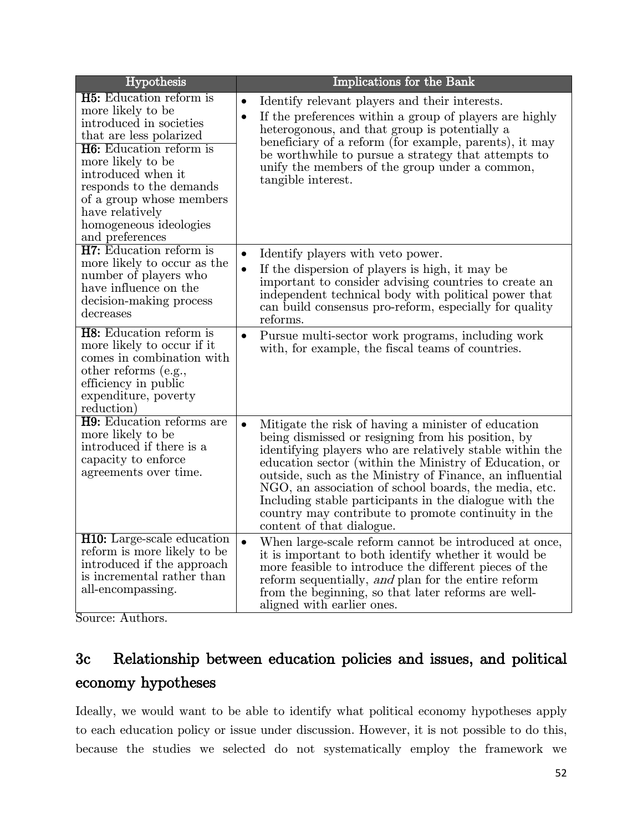| Hypothesis                                                                                                                                                                                                                                                                                                    | Implications for the Bank                                                                                                                                                                                                                                                                                                                                                                                                                                                                                       |
|---------------------------------------------------------------------------------------------------------------------------------------------------------------------------------------------------------------------------------------------------------------------------------------------------------------|-----------------------------------------------------------------------------------------------------------------------------------------------------------------------------------------------------------------------------------------------------------------------------------------------------------------------------------------------------------------------------------------------------------------------------------------------------------------------------------------------------------------|
| <b>H5:</b> Education reform is<br>more likely to be<br>introduced in societies<br>that are less polarized<br><b>H6:</b> Education reform is<br>more likely to be<br>introduced when it<br>responds to the demands<br>of a group whose members<br>have relatively<br>homogeneous ideologies<br>and preferences | Identify relevant players and their interests.<br>$\bullet$<br>If the preferences within a group of players are highly<br>$\bullet$<br>heterogonous, and that group is potentially a<br>beneficiary of a reform (for example, parents), it may<br>be worthwhile to pursue a strategy that attempts to<br>unify the members of the group under a common,<br>tangible interest.                                                                                                                                   |
| <b>H7</b> : Education reform is<br>more likely to occur as the<br>number of players who<br>have influence on the<br>decision-making process<br>decreases                                                                                                                                                      | Identify players with veto power.<br>$\bullet$<br>If the dispersion of players is high, it may be<br>$\bullet$<br>important to consider advising countries to create an<br>independent technical body with political power that<br>can build consensus pro-reform, especially for quality<br>reforms.                                                                                                                                                                                                           |
| <b>H8</b> : Education reform is<br>more likely to occur if it<br>comes in combination with<br>other reforms (e.g.,<br>efficiency in public<br>expenditure, poverty<br>reduction)                                                                                                                              | Pursue multi-sector work programs, including work<br>$\bullet$<br>with, for example, the fiscal teams of countries.                                                                                                                                                                                                                                                                                                                                                                                             |
| H9: Education reforms are<br>more likely to be<br>introduced if there is a<br>capacity to enforce<br>agreements over time.                                                                                                                                                                                    | Mitigate the risk of having a minister of education<br>$\bullet$<br>being dismissed or resigning from his position, by<br>identifying players who are relatively stable within the<br>education sector (within the Ministry of Education, or<br>outside, such as the Ministry of Finance, an influential<br>NGO, an association of school boards, the media, etc.<br>Including stable participants in the dialogue with the<br>country may contribute to promote continuity in the<br>content of that dialogue. |
| <b>H10:</b> Large-scale education<br>reform is more likely to be<br>introduced if the approach<br>is incremental rather than<br>all-encompassing.                                                                                                                                                             | $\bullet$<br>When large-scale reform cannot be introduced at once,<br>it is important to both identify whether it would be<br>more feasible to introduce the different pieces of the<br>reform sequentially, and plan for the entire reform<br>from the beginning, so that later reforms are well-<br>aligned with earlier ones.                                                                                                                                                                                |

Source: Authors.

# <span id="page-57-0"></span>3c Relationship between education policies and issues, and political economy hypotheses

Ideally, we would want to be able to identify what political economy hypotheses apply to each education policy or issue under discussion. However, it is not possible to do this, because the studies we selected do not systematically employ the framework we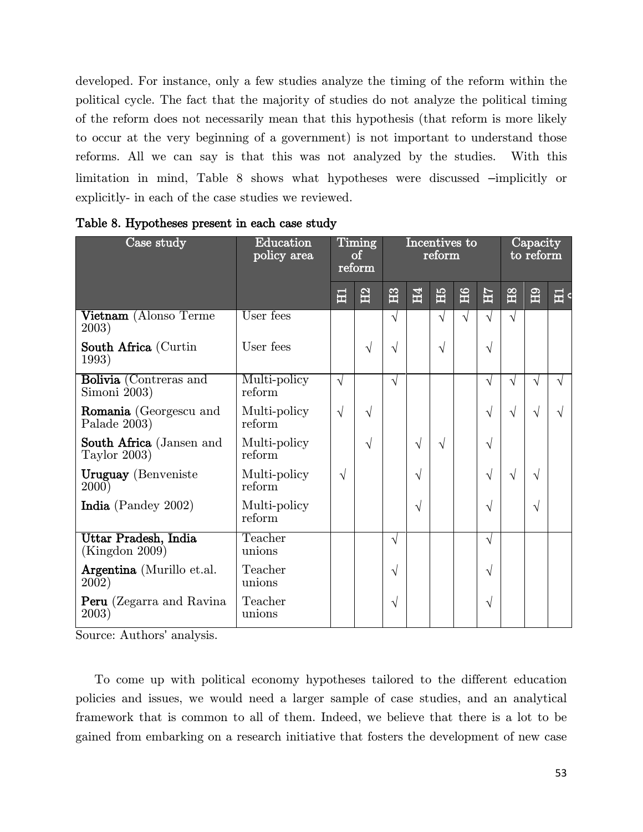developed. For instance, only a few studies analyze the timing of the reform within the political cycle. The fact that the majority of studies do not analyze the political timing of the reform does not necessarily mean that this hypothesis (that reform is more likely to occur at the very beginning of a government) is not important to understand those reforms. All we can say is that this was not analyzed by the studies. With this limitation in mind, [Table 8](#page-58-0) shows what hypotheses were discussed –implicitly or explicitly- in each of the case studies we reviewed.

| Case study                                  | Education<br>policy area | Timing<br>οf<br>reform |           | Incentives to<br>reform |                |            |           |            | Capacity<br>to reform |              |            |
|---------------------------------------------|--------------------------|------------------------|-----------|-------------------------|----------------|------------|-----------|------------|-----------------------|--------------|------------|
|                                             |                          | 量                      | E         | $\mathbb{E}$            | H <sub>4</sub> | ĚБ         | <b>H6</b> | ZН         | B <sub>2</sub>        | $\mathbf{H}$ | 畐          |
| Vietnam (Alonso Terme<br>2003)              | User fees                |                        |           | $\sqrt{}$               |                | $\sqrt{ }$ | $\sqrt{}$ | $\sqrt{ }$ | $\sqrt{}$             |              |            |
| <b>South Africa</b> (Curtin<br>1993)        | User fees                |                        | V         | V                       |                | $\sqrt{ }$ |           | $\sqrt{}$  |                       |              |            |
| Bolivia (Contreras and<br>Simoni 2003)      | Multi-policy<br>reform   | $\sqrt{ }$             |           | $\sqrt{ }$              |                |            |           | $\sqrt{}$  | $\sqrt{}$             | V            | $\sqrt{ }$ |
| Romania (Georgescu and<br>Palade 2003)      | Multi-policy<br>reform   | $\sqrt{}$              | $\sqrt{}$ |                         |                |            |           | $\sqrt{}$  | $\sqrt{ }$            | $\sqrt{ }$   | $\sqrt{}$  |
| South Africa (Jansen and<br>Taylor $2003$ ) | Multi-policy<br>reform   |                        | V         |                         | $\sqrt{}$      | $\sqrt{ }$ |           | $\sqrt{}$  |                       |              |            |
| <b>Uruguay</b> (Benveniste<br><b>2000</b> ) | Multi-policy<br>reform   | $\sqrt{ }$             |           |                         | V              |            |           | $\sqrt{}$  | $\sqrt{}$             | $\sqrt{ }$   |            |
| India (Pandey 2002)                         | Multi-policy<br>reform   |                        |           |                         | V              |            |           | $\sqrt{}$  |                       | V            |            |
| Uttar Pradesh, India<br>(Kingdon 2009)      | Teacher<br>unions        |                        |           | $\sqrt{ }$              |                |            |           | $\sqrt{ }$ |                       |              |            |
| Argentina (Murillo et.al.<br>2002)          | Teacher<br>unions        |                        |           | $\sqrt{ }$              |                |            |           | $\sqrt{}$  |                       |              |            |
| <b>Peru</b> (Zegarra and Ravina)<br>2003)   | Teacher<br>unions        |                        |           | V                       |                |            |           | V          |                       |              |            |

<span id="page-58-0"></span>Table 8. Hypotheses present in each case study

Source: Authors' analysis.

To come up with political economy hypotheses tailored to the different education policies and issues, we would need a larger sample of case studies, and an analytical framework that is common to all of them. Indeed, we believe that there is a lot to be gained from embarking on a research initiative that fosters the development of new case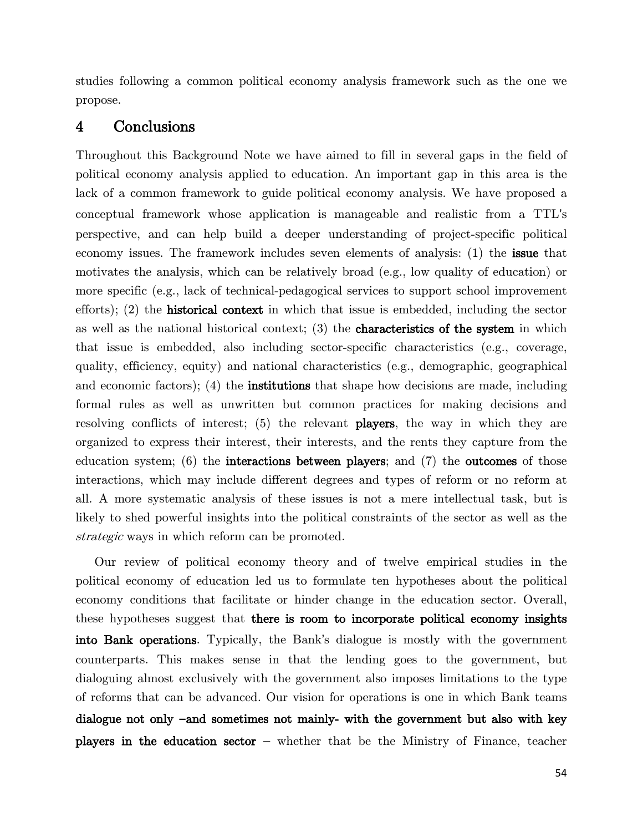studies following a common political economy analysis framework such as the one we propose.

### <span id="page-59-0"></span>4 Conclusions

Throughout this Background Note we have aimed to fill in several gaps in the field of political economy analysis applied to education. An important gap in this area is the lack of a common framework to guide political economy analysis. We have proposed a conceptual framework whose application is manageable and realistic from a TTL's perspective, and can help build a deeper understanding of project-specific political economy issues. The framework includes seven elements of analysis: (1) the issue that motivates the analysis, which can be relatively broad (e.g., low quality of education) or more specific (e.g., lack of technical-pedagogical services to support school improvement efforts); (2) the **historical context** in which that issue is embedded, including the sector as well as the national historical context; (3) the characteristics of the system in which that issue is embedded, also including sector-specific characteristics (e.g., coverage, quality, efficiency, equity) and national characteristics (e.g., demographic, geographical and economic factors); (4) the institutions that shape how decisions are made, including formal rules as well as unwritten but common practices for making decisions and resolving conflicts of interest; (5) the relevant players, the way in which they are organized to express their interest, their interests, and the rents they capture from the education system;  $(6)$  the **interactions between players**; and  $(7)$  the **outcomes** of those interactions, which may include different degrees and types of reform or no reform at all. A more systematic analysis of these issues is not a mere intellectual task, but is likely to shed powerful insights into the political constraints of the sector as well as the strategic ways in which reform can be promoted.

Our review of political economy theory and of twelve empirical studies in the political economy of education led us to formulate ten hypotheses about the political economy conditions that facilitate or hinder change in the education sector. Overall, these hypotheses suggest that there is room to incorporate political economy insights into Bank operations. Typically, the Bank's dialogue is mostly with the government counterparts. This makes sense in that the lending goes to the government, but dialoguing almost exclusively with the government also imposes limitations to the type of reforms that can be advanced. Our vision for operations is one in which Bank teams dialogue not only **–**and sometimes not mainly- with the government but also with key players in the education sector – whether that be the Ministry of Finance, teacher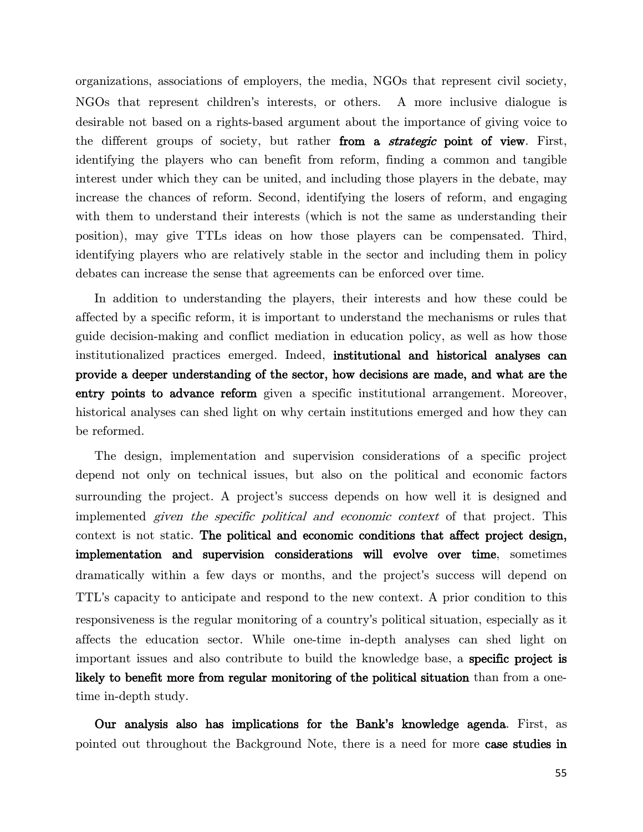organizations, associations of employers, the media, NGOs that represent civil society, NGOs that represent children's interests, or others. A more inclusive dialogue is desirable not based on a rights-based argument about the importance of giving voice to the different groups of society, but rather from a *strategic* point of view. First, identifying the players who can benefit from reform, finding a common and tangible interest under which they can be united, and including those players in the debate, may increase the chances of reform. Second, identifying the losers of reform, and engaging with them to understand their interests (which is not the same as understanding their position), may give TTLs ideas on how those players can be compensated. Third, identifying players who are relatively stable in the sector and including them in policy debates can increase the sense that agreements can be enforced over time.

In addition to understanding the players, their interests and how these could be affected by a specific reform, it is important to understand the mechanisms or rules that guide decision-making and conflict mediation in education policy, as well as how those institutionalized practices emerged. Indeed, institutional and historical analyses can provide a deeper understanding of the sector, how decisions are made, and what are the entry points to advance reform given a specific institutional arrangement. Moreover, historical analyses can shed light on why certain institutions emerged and how they can be reformed.

The design, implementation and supervision considerations of a specific project depend not only on technical issues, but also on the political and economic factors surrounding the project. A project's success depends on how well it is designed and implemented given the specific political and economic context of that project. This context is not static. The political and economic conditions that affect project design, implementation and supervision considerations will evolve over time, sometimes dramatically within a few days or months, and the project's success will depend on TTL's capacity to anticipate and respond to the new context. A prior condition to this responsiveness is the regular monitoring of a country's political situation, especially as it affects the education sector. While one-time in-depth analyses can shed light on important issues and also contribute to build the knowledge base, a specific project is likely to benefit more from regular monitoring of the political situation than from a onetime in-depth study.

Our analysis also has implications for the Bank**'**s knowledge agenda. First, as pointed out throughout the Background Note, there is a need for more case studies in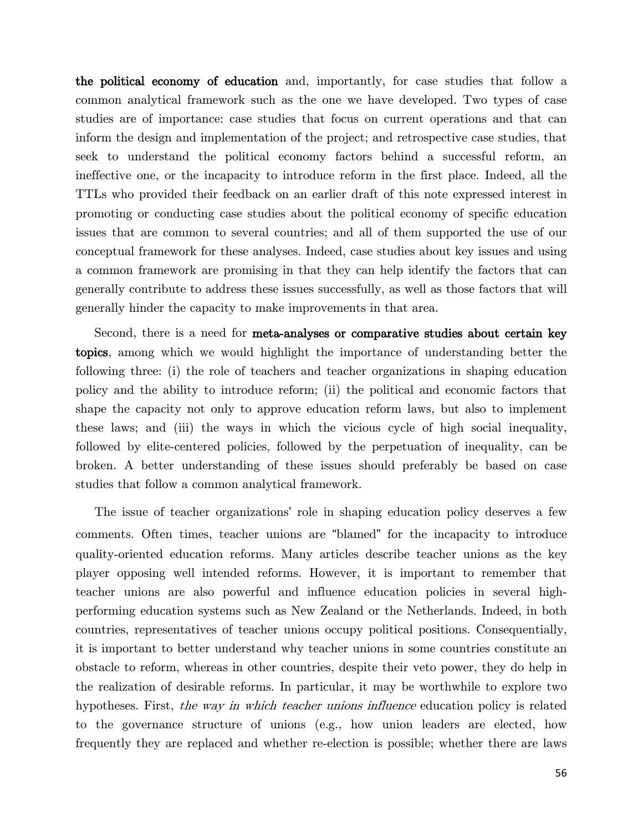the political economy of education and, importantly, for case studies that follow a common analytical framework such as the one we have developed. Two types of case studies are of importance: case studies that focus on current operations and that can inform the design and implementation of the project; and retrospective case studies, that seek to understand the political economy factors behind a successful reform, an ineffective one, or the incapacity to introduce reform in the first place. Indeed, all the TTLs who provided their feedback on an earlier draft of this note expressed interest in promoting or conducting case studies about the political economy of specific education issues that are common to several countries; and all of them supported the use of our conceptual framework for these analyses. Indeed, case studies about key issues and using a common framework are promising in that they can help identify the factors that can generally contribute to address these issues successfully, as well as those factors that will generally hinder the capacity to make improvements in that area.

Second, there is a need for meta-analyses or comparative studies about certain key topics, among which we would highlight the importance of understanding better the following three: (i) the role of teachers and teacher organizations in shaping education policy and the ability to introduce reform; (ii) the political and economic factors that shape the capacity not only to approve education reform laws, but also to implement these laws; and (iii) the ways in which the vicious cycle of high social inequality, followed by elite-centered policies, followed by the perpetuation of inequality, can be broken. A better understanding of these issues should preferably be based on case studies that follow a common analytical framework.

The issue of teacher organizations' role in shaping education policy deserves a few comments. Often times, teacher unions are "blamed" for the incapacity to introduce quality-oriented education reforms. Many articles describe teacher unions as the key player opposing well intended reforms. However, it is important to remember that teacher unions are also powerful and influence education policies in several highperforming education systems such as New Zealand or the Netherlands. Indeed, in both countries, representatives of teacher unions occupy political positions. Consequentially, it is important to better understand why teacher unions in some countries constitute an obstacle to reform, whereas in other countries, despite their veto power, they do help in the realization of desirable reforms. In particular, it may be worthwhile to explore two hypotheses. First, the way in which teacher unions influence education policy is related to the governance structure of unions (e.g., how union leaders are elected, how frequently they are replaced and whether re-election is possible; whether there are laws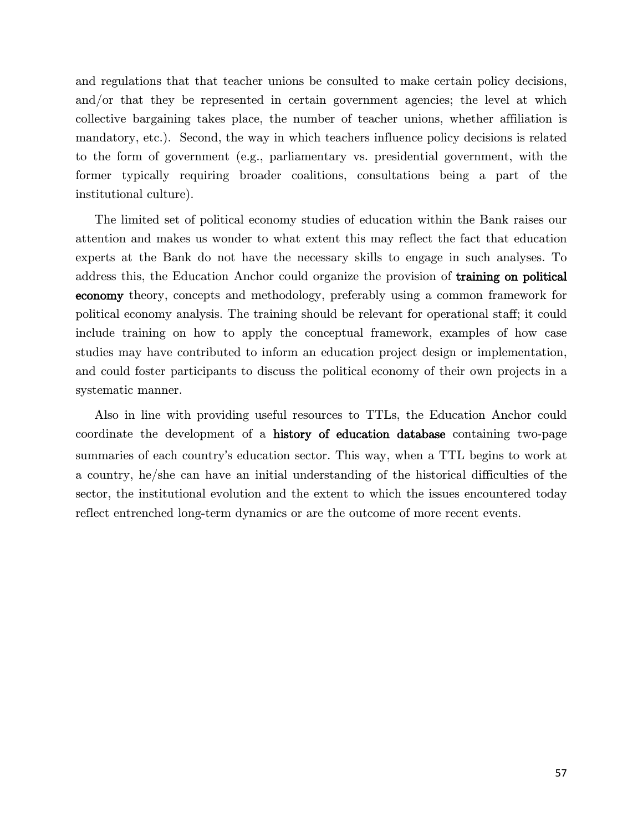and regulations that that teacher unions be consulted to make certain policy decisions, and/or that they be represented in certain government agencies; the level at which collective bargaining takes place, the number of teacher unions, whether affiliation is mandatory, etc.). Second, the way in which teachers influence policy decisions is related to the form of government (e.g., parliamentary vs. presidential government, with the former typically requiring broader coalitions, consultations being a part of the institutional culture).

The limited set of political economy studies of education within the Bank raises our attention and makes us wonder to what extent this may reflect the fact that education experts at the Bank do not have the necessary skills to engage in such analyses. To address this, the Education Anchor could organize the provision of training on political economy theory, concepts and methodology, preferably using a common framework for political economy analysis. The training should be relevant for operational staff; it could include training on how to apply the conceptual framework, examples of how case studies may have contributed to inform an education project design or implementation, and could foster participants to discuss the political economy of their own projects in a systematic manner.

Also in line with providing useful resources to TTLs, the Education Anchor could coordinate the development of a history of education database containing two-page summaries of each country's education sector. This way, when a TTL begins to work at a country, he/she can have an initial understanding of the historical difficulties of the sector, the institutional evolution and the extent to which the issues encountered today reflect entrenched long-term dynamics or are the outcome of more recent events.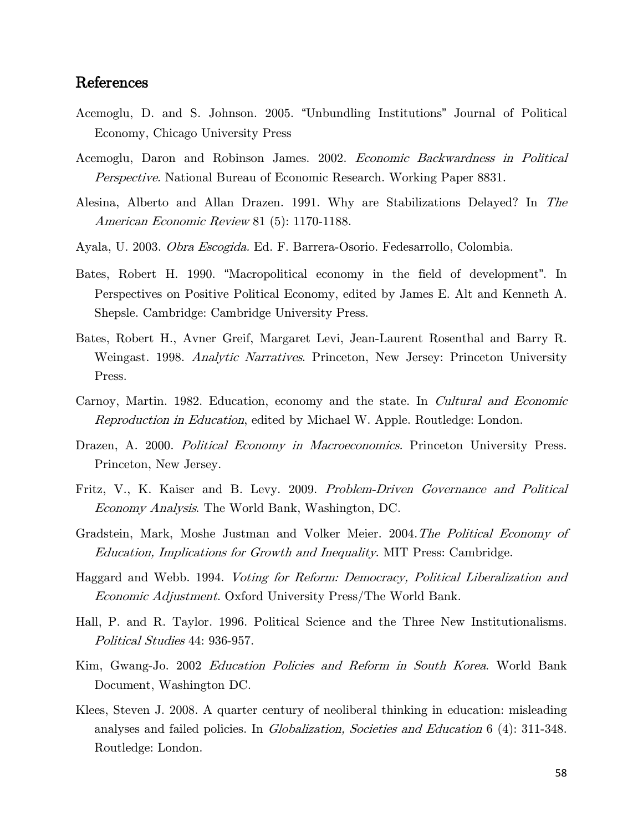### <span id="page-63-0"></span>References

- Acemoglu, D. and S. Johnson. 2005. "Unbundling Institutions" Journal of Political Economy, Chicago University Press
- Acemoglu, Daron and Robinson James. 2002. Economic Backwardness in Political Perspective. National Bureau of Economic Research. Working Paper 8831.
- Alesina, Alberto and Allan Drazen. 1991. Why are Stabilizations Delayed? In The American Economic Review 81 (5): 1170-1188.
- Ayala, U. 2003. Obra Escogida. Ed. F. Barrera-Osorio. Fedesarrollo, Colombia.
- Bates, Robert H. 1990. "Macropolitical economy in the field of development". In Perspectives on Positive Political Economy, edited by James E. Alt and Kenneth A. Shepsle. Cambridge: Cambridge University Press.
- Bates, Robert H., Avner Greif, Margaret Levi, Jean-Laurent Rosenthal and Barry R. Weingast. 1998. Analytic Narratives. Princeton, New Jersey: Princeton University Press.
- Carnoy, Martin. 1982. Education, economy and the state. In Cultural and Economic Reproduction in Education, edited by Michael W. Apple. Routledge: London.
- Drazen, A. 2000. Political Economy in Macroeconomics. Princeton University Press. Princeton, New Jersey.
- Fritz, V., K. Kaiser and B. Levy. 2009. Problem-Driven Governance and Political Economy Analysis. The World Bank, Washington, DC.
- Gradstein, Mark, Moshe Justman and Volker Meier. 2004.The Political Economy of Education, Implications for Growth and Inequality. MIT Press: Cambridge.
- Haggard and Webb. 1994. Voting for Reform: Democracy, Political Liberalization and Economic Adjustment. Oxford University Press/The World Bank.
- Hall, P. and R. Taylor. 1996. Political Science and the Three New Institutionalisms. Political Studies 44: 936-957.
- Kim, Gwang-Jo. 2002 Education Policies and Reform in South Korea. World Bank Document, Washington DC.
- Klees, Steven J. 2008. A quarter century of neoliberal thinking in education: misleading analyses and failed policies. In Globalization, Societies and Education 6 (4): 311-348. Routledge: London.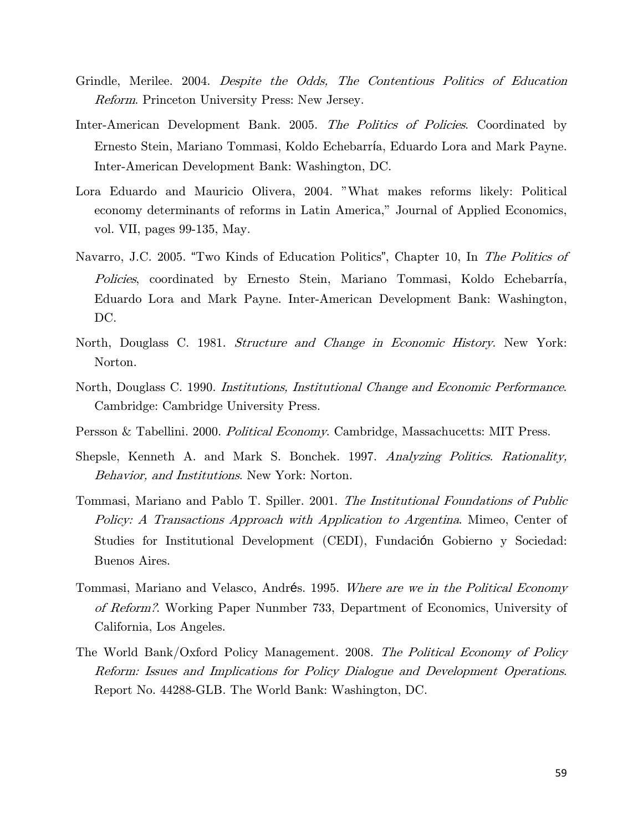- Grindle, Merilee. 2004. Despite the Odds, The Contentious Politics of Education Reform. Princeton University Press: New Jersey.
- Inter-American Development Bank. 2005. The Politics of Policies. Coordinated by Ernesto Stein, Mariano Tommasi, Koldo Echebarría, Eduardo Lora and Mark Payne. Inter-American Development Bank: Washington, DC.
- Lora Eduardo and Mauricio Olivera, 2004. "What makes reforms likely: Political economy determinants of reforms in Latin America," Journal of Applied Economics, vol. VII, pages 99-135, May.
- Navarro, J.C. 2005. "Two Kinds of Education Politics", Chapter 10, In The Politics of Policies, coordinated by Ernesto Stein, Mariano Tommasi, Koldo Echebarría, Eduardo Lora and Mark Payne. Inter-American Development Bank: Washington, DC.
- North, Douglass C. 1981. Structure and Change in Economic History. New York: Norton.
- North, Douglass C. 1990. Institutions, Institutional Change and Economic Performance. Cambridge: Cambridge University Press.
- Persson & Tabellini. 2000. Political Economy. Cambridge, Massachucetts: MIT Press.
- Shepsle, Kenneth A. and Mark S. Bonchek. 1997. Analyzing Politics. Rationality, Behavior, and Institutions. New York: Norton.
- Tommasi, Mariano and Pablo T. Spiller. 2001. The Institutional Foundations of Public Policy: A Transactions Approach with Application to Argentina. Mimeo, Center of Studies for Institutional Development (CEDI), Fundación Gobierno y Sociedad: Buenos Aires.
- Tommasi, Mariano and Velasco, Andrés. 1995. Where are we in the Political Economy of Reform?. Working Paper Nunmber 733, Department of Economics, University of California, Los Angeles.
- The World Bank/Oxford Policy Management. 2008. The Political Economy of Policy Reform: Issues and Implications for Policy Dialogue and Development Operations. Report No. 44288-GLB. The World Bank: Washington, DC.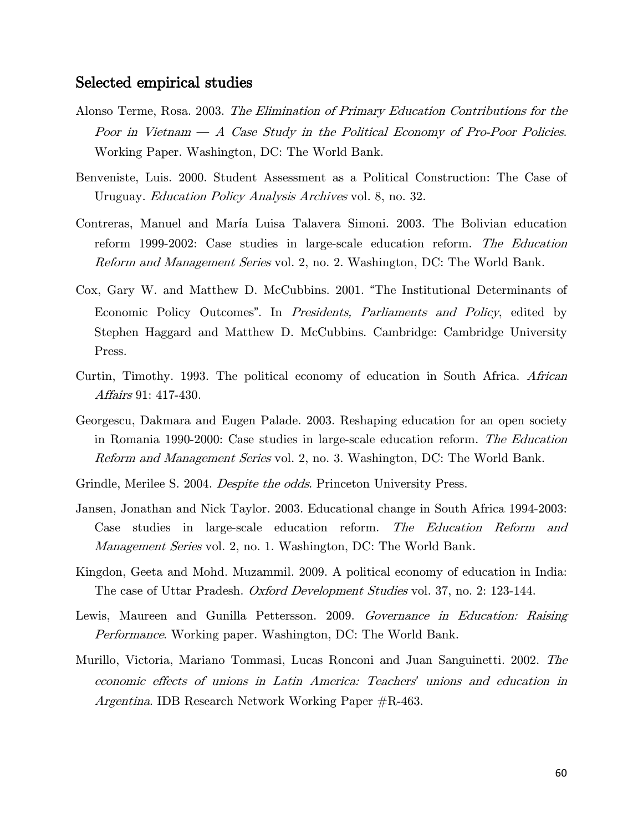#### Selected empirical studies

- Alonso Terme, Rosa. 2003. The Elimination of Primary Education Contributions for the Poor in Vietnam *—* A Case Study in the Political Economy of Pro-Poor Policies. Working Paper. Washington, DC: The World Bank.
- Benveniste, Luis. 2000. Student Assessment as a Political Construction: The Case of Uruguay. *Education Policy Analysis Archives* vol. 8, no. 32.
- Contreras, Manuel and María Luisa Talavera Simoni. 2003. The Bolivian education reform 1999-2002: Case studies in large-scale education reform. The Education Reform and Management Series vol. 2, no. 2. Washington, DC: The World Bank.
- Cox, Gary W. and Matthew D. McCubbins. 2001. "The Institutional Determinants of Economic Policy Outcomes". In Presidents, Parliaments and Policy, edited by Stephen Haggard and Matthew D. McCubbins. Cambridge: Cambridge University Press.
- Curtin, Timothy. 1993. The political economy of education in South Africa. African Affairs 91: 417-430.
- Georgescu, Dakmara and Eugen Palade. 2003. Reshaping education for an open society in Romania 1990-2000: Case studies in large-scale education reform. The Education Reform and Management Series vol. 2, no. 3. Washington, DC: The World Bank.
- Grindle, Merilee S. 2004. *Despite the odds*. Princeton University Press.
- Jansen, Jonathan and Nick Taylor. 2003. Educational change in South Africa 1994-2003: Case studies in large-scale education reform. The Education Reform and Management Series vol. 2, no. 1. Washington, DC: The World Bank.
- Kingdon, Geeta and Mohd. Muzammil. 2009. A political economy of education in India: The case of Uttar Pradesh. Oxford Development Studies vol. 37, no. 2: 123-144.
- Lewis, Maureen and Gunilla Pettersson. 2009. Governance in Education: Raising Performance. Working paper. Washington, DC: The World Bank.
- Murillo, Victoria, Mariano Tommasi, Lucas Ronconi and Juan Sanguinetti. 2002. The economic effects of unions in Latin America: Teachers*'* unions and education in Argentina. IDB Research Network Working Paper #R-463.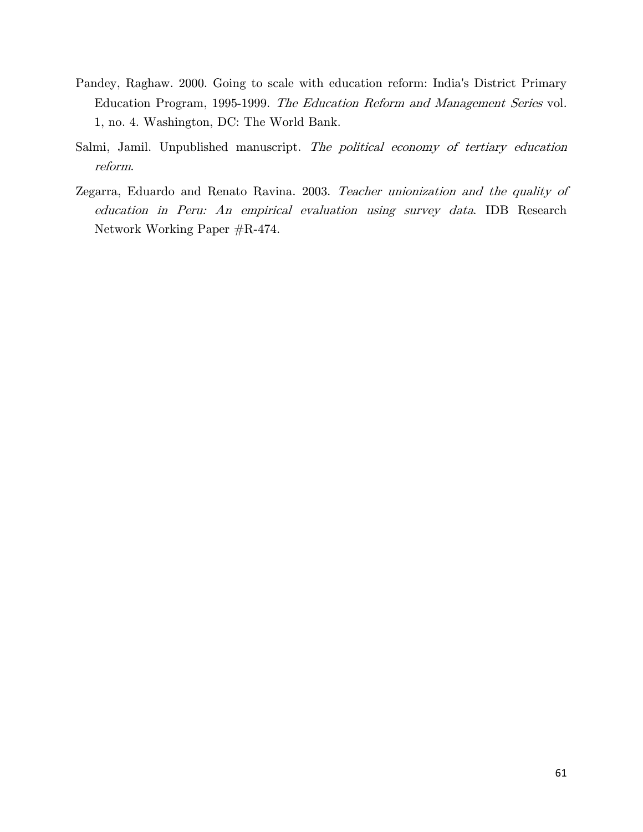- Pandey, Raghaw. 2000. Going to scale with education reform: India's District Primary Education Program, 1995-1999. The Education Reform and Management Series vol. 1, no. 4. Washington, DC: The World Bank.
- Salmi, Jamil. Unpublished manuscript. The political economy of tertiary education reform.
- Zegarra, Eduardo and Renato Ravina. 2003. Teacher unionization and the quality of education in Peru: An empirical evaluation using survey data. IDB Research Network Working Paper #R-474.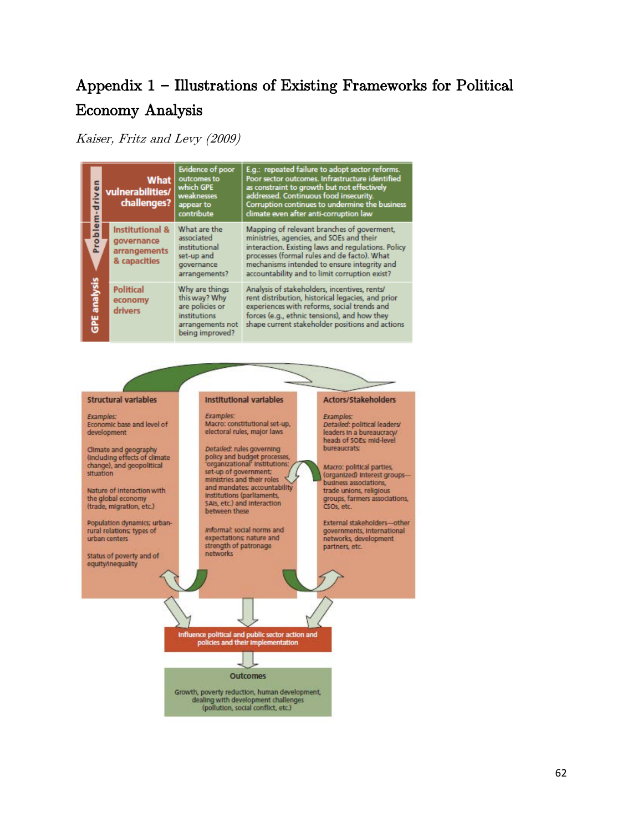# Appendix 1 **–** Illustrations of Existing Frameworks for Political Economy Analysis

Kaiser, Fritz and Levy (2009)

| š<br>ō                  | What<br>vulnerabilities/<br>challenges?                                                                                                             | <b>Evidence of poor</b><br>outcomes to<br>which GPE<br>weaknesses<br>appear to<br>contribute                                                                                                                                                        | E.g.: repeated failure to adopt sector reforms.<br>Poor sector outcomes. Infrastructure identified<br>as constraint to growth but not effectively<br>addressed. Continuous food insecurity.<br>Corruption continues to undermine the business<br>climate even after anti-corruption law     |
|-------------------------|-----------------------------------------------------------------------------------------------------------------------------------------------------|-----------------------------------------------------------------------------------------------------------------------------------------------------------------------------------------------------------------------------------------------------|---------------------------------------------------------------------------------------------------------------------------------------------------------------------------------------------------------------------------------------------------------------------------------------------|
| Problem<br>GPE analysis | Institutional &<br>governance<br>arrangements<br>& capacities                                                                                       | What are the<br>associated<br>institutional<br>set-up and<br>governance<br>arrangements?                                                                                                                                                            | Mapping of relevant branches of goverment.<br>ministries, agencies, and SOEs and their<br>interaction. Existing laws and regulations. Policy<br>processes (formal rules and de facto). What<br>mechanisms intended to ensure integrity and<br>accountability and to limit corruption exist? |
|                         | <b>Political</b><br>Why are things<br>this way? Why<br>economy<br>are policies or<br>drivers<br>institutions<br>arrangements not<br>being improved? | Analysis of stakeholders, incentives, rents/<br>rent distribution, historical legacies, and prior<br>experiences with reforms, social trends and<br>forces (e.g., ethnic tensions), and how they<br>shape current stakeholder positions and actions |                                                                                                                                                                                                                                                                                             |

#### **Structural variables**

Examples: Economic base and level of development

Climate and geography<br>(Including effects of climate change), and geopolitical situation

Nature of Interaction with the global economy (trade, migration, etc.)

Population dynamics; urban-<br>rural relations; types of urban centers

Status of poverty and of equity/inequality

#### Institutional variables

Examples: Macro: constitutional set-up, electoral rules, major laws

Detailed: rules governing policy and budget processes,<br>'organizational' institutions: set-up of government; ministries and their roles and mandates; accountability Institutions (parliaments,<br>SAIs, etc.) and interaction between these

Informal: social norms and expectations; nature and strength of patronage networks

#### Actors/Stakeholders

**Examples:** Detailed: political leaders/ leaders in a bureaucracy/ heads of SOEs; mid-level **bureaucrats** 

Macro: political parties,<br>(organized) interest groups-business associations, trade unions, religious groups, farmers associations, CSOs, etc.

External stakeholders-other<br>governments, international networks, development partners, etc.

Influence political and public sector action and<br>policies and their implementation

Outcomes

Growth, poverty reduction, human development,<br>dealing with development challenges<br>(pollution, social conflict, etc.)